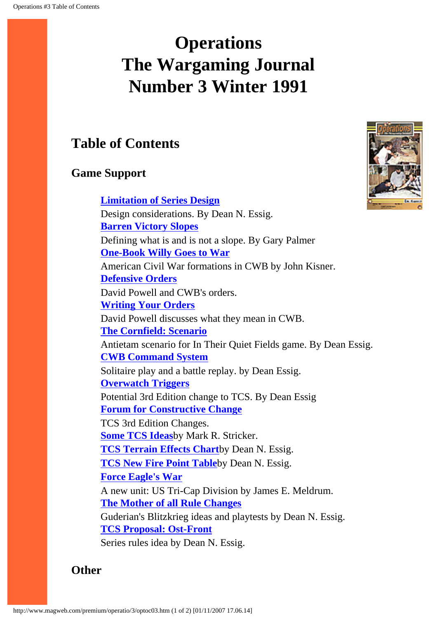# <span id="page-0-0"></span>**Operations The Wargaming Journal Number 3 Winter 1991**

## **Table of Contents**

### **Game Support**

**[Limitation of Series Design](#page-2-0)** Design considerations. By Dean N. Essig. **[Barren Victory Slopes](#page-7-0)** Defining what is and is not a slope. By Gary Palmer **[One-Book Willy Goes to War](#page-9-0)** American Civil War formations in CWB by John Kisner. **[Defensive Orders](#page-12-0)** David Powell and CWB's orders. **[Writing Your Orders](#page-16-0)** David Powell discusses what they mean in CWB. **[The Cornfield: Scenario](#page-21-0)** Antietam scenario for In Their Quiet Fields game. By Dean Essig. **[CWB Command System](#page-23-0)** Solitaire play and a battle replay. by Dean Essig. **[Overwatch Triggers](#page-28-0)** Potential 3rd Edition change to TCS. By Dean Essig **[Forum for Constructive Change](#page-30-0)** TCS 3rd Edition Changes. **[Some TCS Ideas](#page-31-0)**by Mark R. Stricker. **[TCS Terrain Effects Chart](#page-34-0)**by Dean N. Essig. **[TCS New Fire Point Table](#page-35-0)**by Dean N. Essig. **[Force Eagle's War](#page-38-0)** A new unit: US Tri-Cap Division by James E. Meldrum. **[The Mother of all Rule Changes](#page-42-0)** Guderian's Blitzkrieg ideas and playtests by Dean N. Essig. **[TCS Proposal: Ost-Front](#page-51-0)** Series rules idea by Dean N. Essig.



**Other**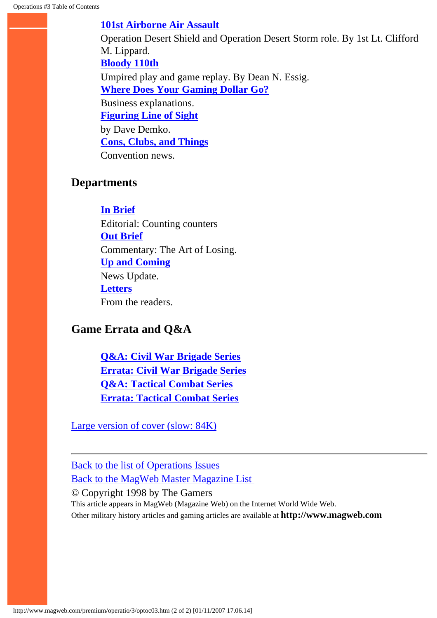#### **[101st Airborne Air Assault](#page-53-0)**

Operation Desert Shield and Operation Desert Storm role. By 1st Lt. Clifford M. Lippard. **[Bloody 110th](#page-65-0)** Umpired play and game replay. By Dean N. Essig. **[Where Does Your Gaming Dollar Go?](#page-69-0)** Business explanations. **[Figuring Line of Sight](#page-72-0)** by Dave Demko. **[Cons, Clubs, and Things](#page-74-0)** Convention news.

#### **Departments**

**[In Brief](#page-75-0)**

Editorial: Counting counters **[Out Brief](#page-78-0)** Commentary: The Art of Losing. **[Up and Coming](#page-81-0)** News Update. **[Letters](#page-85-0)** From the readers.

### **Game Errata and Q&A**

**[Q&A: Civil War Brigade Series](#page-93-0) [Errata: Civil War Brigade Series](#page-96-0) [Q&A: Tactical Combat Series](#page-99-0) [Errata: Tactical Combat Series](#page-102-0)**

[Large version of cover \(slow: 84K\)](#page-105-0)

[Back to the list of Operations Issues](http://www.magweb.com/premium/operatio/operiss.htm) [Back to the MagWeb Master Magazine List](http://www.magweb.com/premium/maglist.htm) 

© Copyright 1998 by The Gamers

This article appears in MagWeb (Magazine Web) on the Internet World Wide Web. Other military history articles and gaming articles are available at **http://www.magweb.com**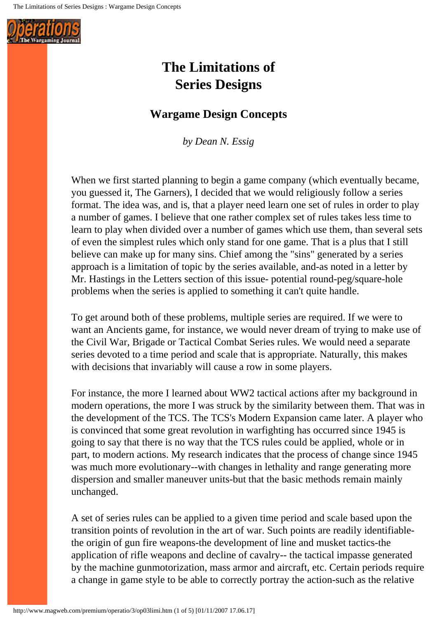<span id="page-2-0"></span>

## **The Limitations of Series Designs**

### **Wargame Design Concepts**

*by Dean N. Essig*

When we first started planning to begin a game company (which eventually became, you guessed it, The Garners), I decided that we would religiously follow a series format. The idea was, and is, that a player need learn one set of rules in order to play a number of games. I believe that one rather complex set of rules takes less time to learn to play when divided over a number of games which use them, than several sets of even the simplest rules which only stand for one game. That is a plus that I still believe can make up for many sins. Chief among the "sins" generated by a series approach is a limitation of topic by the series available, and-as noted in a letter by Mr. Hastings in the Letters section of this issue- potential round-peg/square-hole problems when the series is applied to something it can't quite handle.

To get around both of these problems, multiple series are required. If we were to want an Ancients game, for instance, we would never dream of trying to make use of the Civil War, Brigade or Tactical Combat Series rules. We would need a separate series devoted to a time period and scale that is appropriate. Naturally, this makes with decisions that invariably will cause a row in some players.

For instance, the more I learned about WW2 tactical actions after my background in modern operations, the more I was struck by the similarity between them. That was in the development of the TCS. The TCS's Modern Expansion came later. A player who is convinced that some great revolution in warfighting has occurred since 1945 is going to say that there is no way that the TCS rules could be applied, whole or in part, to modern actions. My research indicates that the process of change since 1945 was much more evolutionary--with changes in lethality and range generating more dispersion and smaller maneuver units-but that the basic methods remain mainly unchanged.

A set of series rules can be applied to a given time period and scale based upon the transition points of revolution in the art of war. Such points are readily identifiablethe origin of gun fire weapons-the development of line and musket tactics-the application of rifle weapons and decline of cavalry-- the tactical impasse generated by the machine gunmotorization, mass armor and aircraft, etc. Certain periods require a change in game style to be able to correctly portray the action-such as the relative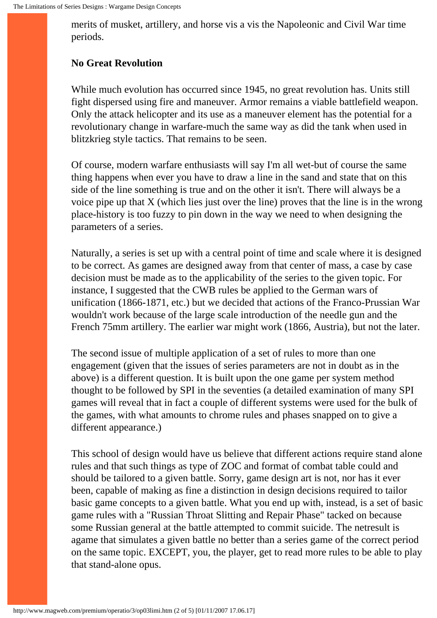merits of musket, artillery, and horse vis a vis the Napoleonic and Civil War time periods.

#### **No Great Revolution**

While much evolution has occurred since 1945, no great revolution has. Units still fight dispersed using fire and maneuver. Armor remains a viable battlefield weapon. Only the attack helicopter and its use as a maneuver element has the potential for a revolutionary change in warfare-much the same way as did the tank when used in blitzkrieg style tactics. That remains to be seen.

Of course, modern warfare enthusiasts will say I'm all wet-but of course the same thing happens when ever you have to draw a line in the sand and state that on this side of the line something is true and on the other it isn't. There will always be a voice pipe up that  $X$  (which lies just over the line) proves that the line is in the wrong place-history is too fuzzy to pin down in the way we need to when designing the parameters of a series.

Naturally, a series is set up with a central point of time and scale where it is designed to be correct. As games are designed away from that center of mass, a case by case decision must be made as to the applicability of the series to the given topic. For instance, I suggested that the CWB rules be applied to the German wars of unification (1866-1871, etc.) but we decided that actions of the Franco-Prussian War wouldn't work because of the large scale introduction of the needle gun and the French 75mm artillery. The earlier war might work (1866, Austria), but not the later.

The second issue of multiple application of a set of rules to more than one engagement (given that the issues of series parameters are not in doubt as in the above) is a different question. It is built upon the one game per system method thought to be followed by SPI in the seventies (a detailed examination of many SPI games will reveal that in fact a couple of different systems were used for the bulk of the games, with what amounts to chrome rules and phases snapped on to give a different appearance.)

This school of design would have us believe that different actions require stand alone rules and that such things as type of ZOC and format of combat table could and should be tailored to a given battle. Sorry, game design art is not, nor has it ever been, capable of making as fine a distinction in design decisions required to tailor basic game concepts to a given battle. What you end up with, instead, is a set of basic game rules with a "Russian Throat Slitting and Repair Phase" tacked on because some Russian general at the battle attempted to commit suicide. The netresult is agame that simulates a given battle no better than a series game of the correct period on the same topic. EXCEPT, you, the player, get to read more rules to be able to play that stand-alone opus.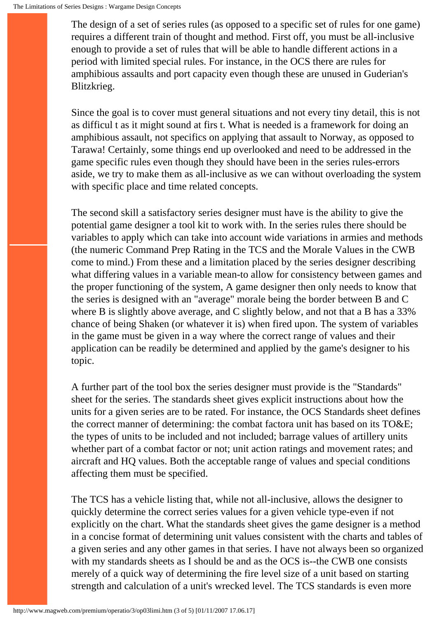The design of a set of series rules (as opposed to a specific set of rules for one game) requires a different train of thought and method. First off, you must be all-inclusive enough to provide a set of rules that will be able to handle different actions in a period with limited special rules. For instance, in the OCS there are rules for amphibious assaults and port capacity even though these are unused in Guderian's Blitzkrieg.

Since the goal is to cover must general situations and not every tiny detail, this is not as difficul t as it might sound at firs t. What is needed is a framework for doing an amphibious assault, not specifics on applying that assault to Norway, as opposed to Tarawa! Certainly, some things end up overlooked and need to be addressed in the game specific rules even though they should have been in the series rules-errors aside, we try to make them as all-inclusive as we can without overloading the system with specific place and time related concepts.

The second skill a satisfactory series designer must have is the ability to give the potential game designer a tool kit to work with. In the series rules there should be variables to apply which can take into account wide variations in armies and methods (the numeric Command Prep Rating in the TCS and the Morale Values in the CWB come to mind.) From these and a limitation placed by the series designer describing what differing values in a variable mean-to allow for consistency between games and the proper functioning of the system, A game designer then only needs to know that the series is designed with an "average" morale being the border between B and C where B is slightly above average, and C slightly below, and not that a B has a 33% chance of being Shaken (or whatever it is) when fired upon. The system of variables in the game must be given in a way where the correct range of values and their application can be readily be determined and applied by the game's designer to his topic.

A further part of the tool box the series designer must provide is the "Standards" sheet for the series. The standards sheet gives explicit instructions about how the units for a given series are to be rated. For instance, the OCS Standards sheet defines the correct manner of determining: the combat factora unit has based on its TO&E; the types of units to be included and not included; barrage values of artillery units whether part of a combat factor or not; unit action ratings and movement rates; and aircraft and HQ values. Both the acceptable range of values and special conditions affecting them must be specified.

The TCS has a vehicle listing that, while not all-inclusive, allows the designer to quickly determine the correct series values for a given vehicle type-even if not explicitly on the chart. What the standards sheet gives the game designer is a method in a concise format of determining unit values consistent with the charts and tables of a given series and any other games in that series. I have not always been so organized with my standards sheets as I should be and as the OCS is--the CWB one consists merely of a quick way of determining the fire level size of a unit based on starting strength and calculation of a unit's wrecked level. The TCS standards is even more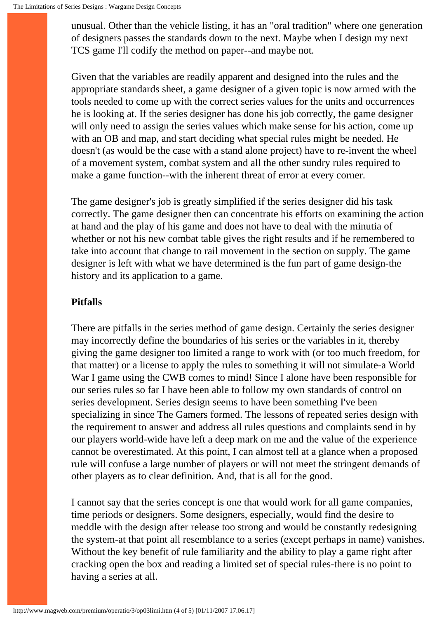unusual. Other than the vehicle listing, it has an "oral tradition" where one generation of designers passes the standards down to the next. Maybe when I design my next TCS game I'll codify the method on paper--and maybe not.

Given that the variables are readily apparent and designed into the rules and the appropriate standards sheet, a game designer of a given topic is now armed with the tools needed to come up with the correct series values for the units and occurrences he is looking at. If the series designer has done his job correctly, the game designer will only need to assign the series values which make sense for his action, come up with an OB and map, and start deciding what special rules might be needed. He doesn't (as would be the case with a stand alone project) have to re-invent the wheel of a movement system, combat system and all the other sundry rules required to make a game function--with the inherent threat of error at every corner.

The game designer's job is greatly simplified if the series designer did his task correctly. The game designer then can concentrate his efforts on examining the action at hand and the play of his game and does not have to deal with the minutia of whether or not his new combat table gives the right results and if he remembered to take into account that change to rail movement in the section on supply. The game designer is left with what we have determined is the fun part of game design-the history and its application to a game.

#### **Pitfalls**

There are pitfalls in the series method of game design. Certainly the series designer may incorrectly define the boundaries of his series or the variables in it, thereby giving the game designer too limited a range to work with (or too much freedom, for that matter) or a license to apply the rules to something it will not simulate-a World War I game using the CWB comes to mind! Since I alone have been responsible for our series rules so far I have been able to follow my own standards of control on series development. Series design seems to have been something I've been specializing in since The Gamers formed. The lessons of repeated series design with the requirement to answer and address all rules questions and complaints send in by our players world-wide have left a deep mark on me and the value of the experience cannot be overestimated. At this point, I can almost tell at a glance when a proposed rule will confuse a large number of players or will not meet the stringent demands of other players as to clear definition. And, that is all for the good.

I cannot say that the series concept is one that would work for all game companies, time periods or designers. Some designers, especially, would find the desire to meddle with the design after release too strong and would be constantly redesigning the system-at that point all resemblance to a series (except perhaps in name) vanishes. Without the key benefit of rule familiarity and the ability to play a game right after cracking open the box and reading a limited set of special rules-there is no point to having a series at all.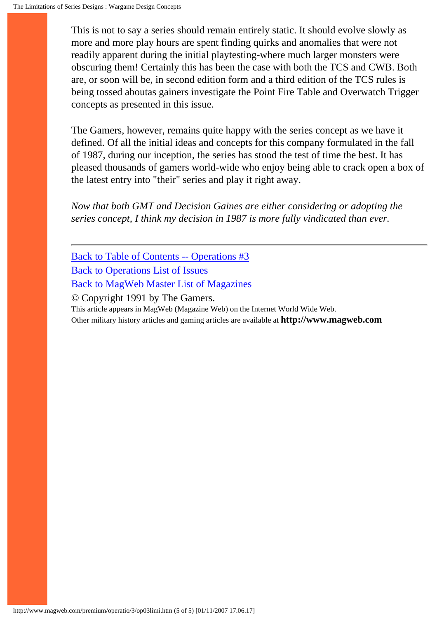This is not to say a series should remain entirely static. It should evolve slowly as more and more play hours are spent finding quirks and anomalies that were not readily apparent during the initial playtesting-where much larger monsters were obscuring them! Certainly this has been the case with both the TCS and CWB. Both are, or soon will be, in second edition form and a third edition of the TCS rules is being tossed aboutas gainers investigate the Point Fire Table and Overwatch Trigger concepts as presented in this issue.

The Gamers, however, remains quite happy with the series concept as we have it defined. Of all the initial ideas and concepts for this company formulated in the fall of 1987, during our inception, the series has stood the test of time the best. It has pleased thousands of gamers world-wide who enjoy being able to crack open a box of the latest entry into "their" series and play it right away.

*Now that both GMT and Decision Gaines are either considering or adopting the series concept, I think my decision in 1987 is more fully vindicated than ever.*

[Back to Table of Contents -- Operations #3](#page-0-0) [Back to Operations List of Issues](http://www.magweb.com/premium/operatio/operiss.htm) [Back to MagWeb Master List of Magazines](http://www.magweb.com/premium/maglist.htm) © Copyright 1991 by The Gamers. This article appears in MagWeb (Magazine Web) on the Internet World Wide Web. Other military history articles and gaming articles are available at **http://www.magweb.com**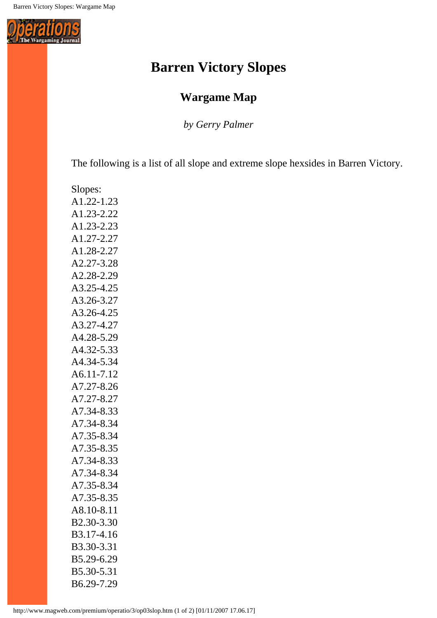<span id="page-7-0"></span>

## **Barren Victory Slopes**

### **Wargame Map**

*by Gerry Palmer*

The following is a list of all slope and extreme slope hexsides in Barren Victory.

Slopes: A1.22-1.23 A1.23-2.22 A1.23-2.23 A1.27-2.27 A1.28-2.27 A2.27-3.28 A2.28-2.29 A3.25-4.25 A3.26-3.27 A3.26-4.25 A3.27-4.27 A4.28-5.29 A4.32-5.33 A4.34-5.34 A6.11-7.12 A7.27-8.26 A7.27-8.27 A7.34-8.33 A7.34-8.34 A7.35-8.34 A7.35-8.35 A7.34-8.33 A7.34-8.34 A7.35-8.34 A7.35-8.35 A8.10-8.11 B2.30-3.30 B3.17-4.16 B3.30-3.31 B5.29-6.29 B5.30-5.31 B6.29-7.29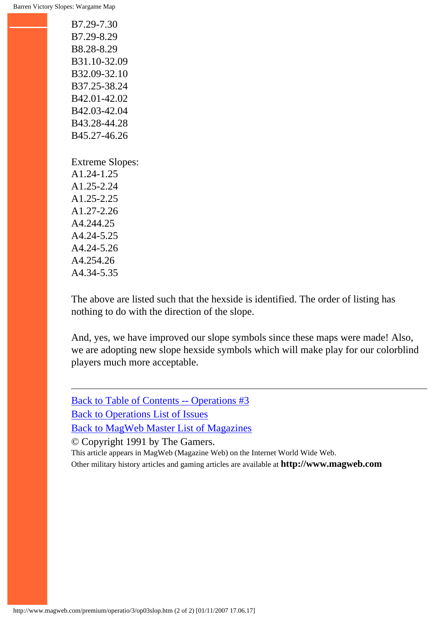B7.29-7.30 B7.29-8.29 B8.28-8.29 B31.10-32.09 B32.09-32.10 B37.25-38.24 B42.01-42.02 B42.03-42.04 B43.28-44.28 B45.27-46.26 Extreme Slopes: A1.24-1.25 A1.25-2.24 A1.25-2.25

A1.27-2.26 A4.244.25 A4.24-5.25 A4.24-5.26 A4.254.26 A4.34-5.35

The above are listed such that the hexside is identified. The order of listing has nothing to do with the direction of the slope.

And, yes, we have improved our slope symbols since these maps were made! Also, we are adopting new slope hexside symbols which will make play for our colorblind players much more acceptable.

[Back to Table of Contents -- Operations #3](#page-0-0) [Back to Operations List of Issues](http://www.magweb.com/premium/operatio/operiss.htm) [Back to MagWeb Master List of Magazines](http://www.magweb.com/premium/maglist.htm) © Copyright 1991 by The Gamers.

This article appears in MagWeb (Magazine Web) on the Internet World Wide Web. Other military history articles and gaming articles are available at **http://www.magweb.com**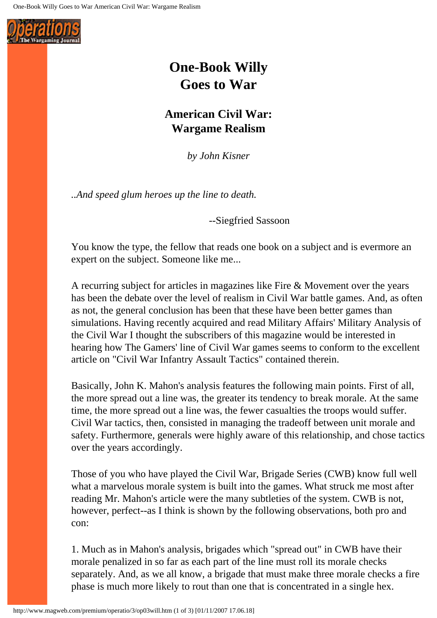<span id="page-9-0"></span>

## **One-Book Willy Goes to War**

### **American Civil War: Wargame Realism**

*by John Kisner*

*..And speed glum heroes up the line to death.*

--Siegfried Sassoon

You know the type, the fellow that reads one book on a subject and is evermore an expert on the subject. Someone like me...

A recurring subject for articles in magazines like Fire & Movement over the years has been the debate over the level of realism in Civil War battle games. And, as often as not, the general conclusion has been that these have been better games than simulations. Having recently acquired and read Military Affairs' Military Analysis of the Civil War I thought the subscribers of this magazine would be interested in hearing how The Gamers' line of Civil War games seems to conform to the excellent article on "Civil War Infantry Assault Tactics" contained therein.

Basically, John K. Mahon's analysis features the following main points. First of all, the more spread out a line was, the greater its tendency to break morale. At the same time, the more spread out a line was, the fewer casualties the troops would suffer. Civil War tactics, then, consisted in managing the tradeoff between unit morale and safety. Furthermore, generals were highly aware of this relationship, and chose tactics over the years accordingly.

Those of you who have played the Civil War, Brigade Series (CWB) know full well what a marvelous morale system is built into the games. What struck me most after reading Mr. Mahon's article were the many subtleties of the system. CWB is not, however, perfect--as I think is shown by the following observations, both pro and con:

1. Much as in Mahon's analysis, brigades which "spread out" in CWB have their morale penalized in so far as each part of the line must roll its morale checks separately. And, as we all know, a brigade that must make three morale checks a fire phase is much more likely to rout than one that is concentrated in a single hex.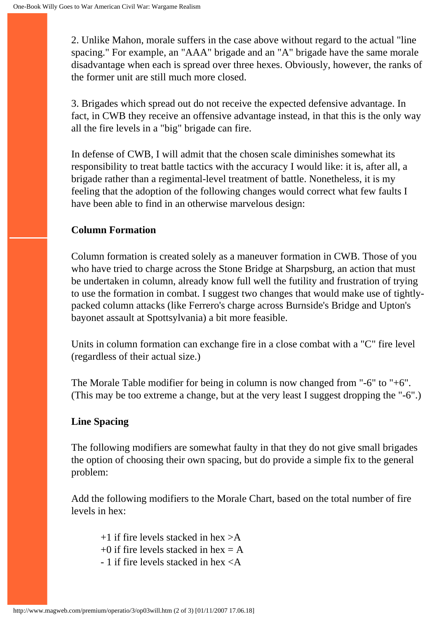2. Unlike Mahon, morale suffers in the case above without regard to the actual "line spacing." For example, an "AAA" brigade and an "A" brigade have the same morale disadvantage when each is spread over three hexes. Obviously, however, the ranks of the former unit are still much more closed.

3. Brigades which spread out do not receive the expected defensive advantage. In fact, in CWB they receive an offensive advantage instead, in that this is the only way all the fire levels in a "big" brigade can fire.

In defense of CWB, I will admit that the chosen scale diminishes somewhat its responsibility to treat battle tactics with the accuracy I would like: it is, after all, a brigade rather than a regimental-level treatment of battle. Nonetheless, it is my feeling that the adoption of the following changes would correct what few faults I have been able to find in an otherwise marvelous design:

#### **Column Formation**

Column formation is created solely as a maneuver formation in CWB. Those of you who have tried to charge across the Stone Bridge at Sharpsburg, an action that must be undertaken in column, already know full well the futility and frustration of trying to use the formation in combat. I suggest two changes that would make use of tightlypacked column attacks (like Ferrero's charge across Burnside's Bridge and Upton's bayonet assault at Spottsylvania) a bit more feasible.

Units in column formation can exchange fire in a close combat with a "C" fire level (regardless of their actual size.)

The Morale Table modifier for being in column is now changed from "-6" to "+6". (This may be too extreme a change, but at the very least I suggest dropping the "-6".)

### **Line Spacing**

The following modifiers are somewhat faulty in that they do not give small brigades the option of choosing their own spacing, but do provide a simple fix to the general problem:

Add the following modifiers to the Morale Chart, based on the total number of fire levels in hex:

- $+1$  if fire levels stacked in hex  $>$ A
- $+0$  if fire levels stacked in hex = A
- 1 if fire levels stacked in hex <A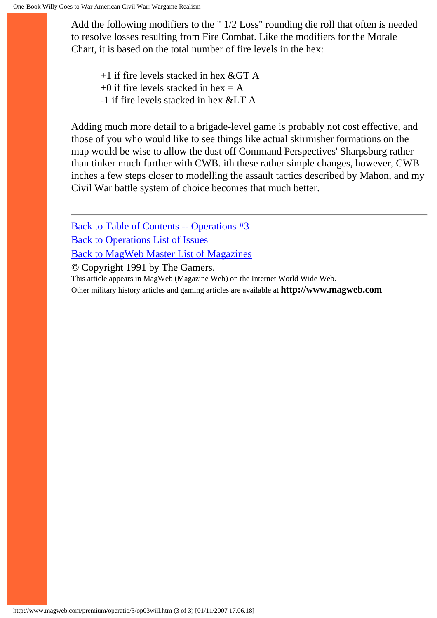Add the following modifiers to the " 1/2 Loss" rounding die roll that often is needed to resolve losses resulting from Fire Combat. Like the modifiers for the Morale Chart, it is based on the total number of fire levels in the hex:

 $+1$  if fire levels stacked in hex & GT A

 $+0$  if fire levels stacked in hex = A

 $-1$  if fire levels stacked in hex &LT A

Adding much more detail to a brigade-level game is probably not cost effective, and those of you who would like to see things like actual skirmisher formations on the map would be wise to allow the dust off Command Perspectives' Sharpsburg rather than tinker much further with CWB. ith these rather simple changes, however, CWB inches a few steps closer to modelling the assault tactics described by Mahon, and my Civil War battle system of choice becomes that much better.

[Back to Table of Contents -- Operations #3](#page-0-0) [Back to Operations List of Issues](http://www.magweb.com/premium/operatio/operiss.htm) [Back to MagWeb Master List of Magazines](http://www.magweb.com/premium/maglist.htm)

© Copyright 1991 by The Gamers.

This article appears in MagWeb (Magazine Web) on the Internet World Wide Web.

Other military history articles and gaming articles are available at **http://www.magweb.com**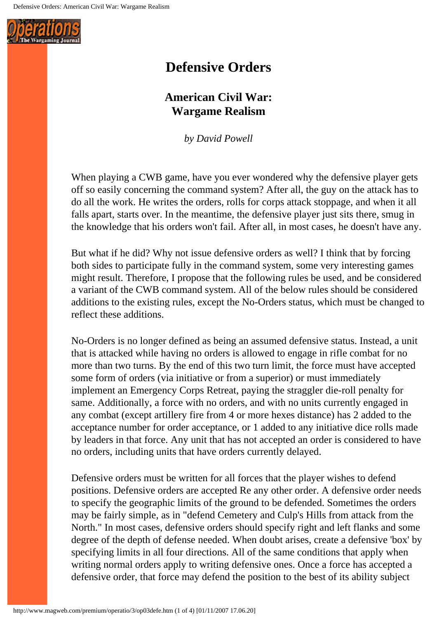<span id="page-12-0"></span>

## **Defensive Orders**

### **American Civil War: Wargame Realism**

*by David Powell*

When playing a CWB game, have you ever wondered why the defensive player gets off so easily concerning the command system? After all, the guy on the attack has to do all the work. He writes the orders, rolls for corps attack stoppage, and when it all falls apart, starts over. In the meantime, the defensive player just sits there, smug in the knowledge that his orders won't fail. After all, in most cases, he doesn't have any.

But what if he did? Why not issue defensive orders as well? I think that by forcing both sides to participate fully in the command system, some very interesting games might result. Therefore, I propose that the following rules be used, and be considered a variant of the CWB command system. All of the below rules should be considered additions to the existing rules, except the No-Orders status, which must be changed to reflect these additions.

No-Orders is no longer defined as being an assumed defensive status. Instead, a unit that is attacked while having no orders is allowed to engage in rifle combat for no more than two turns. By the end of this two turn limit, the force must have accepted some form of orders (via initiative or from a superior) or must immediately implement an Emergency Corps Retreat, paying the straggler die-roll penalty for same. Additionally, a force with no orders, and with no units currently engaged in any combat (except artillery fire from 4 or more hexes distance) has 2 added to the acceptance number for order acceptance, or 1 added to any initiative dice rolls made by leaders in that force. Any unit that has not accepted an order is considered to have no orders, including units that have orders currently delayed.

Defensive orders must be written for all forces that the player wishes to defend positions. Defensive orders are accepted Re any other order. A defensive order needs to specify the geographic limits of the ground to be defended. Sometimes the orders may be fairly simple, as in "defend Cemetery and Culp's Hills from attack from the North." In most cases, defensive orders should specify right and left flanks and some degree of the depth of defense needed. When doubt arises, create a defensive 'box' by specifying limits in all four directions. All of the same conditions that apply when writing normal orders apply to writing defensive ones. Once a force has accepted a defensive order, that force may defend the position to the best of its ability subject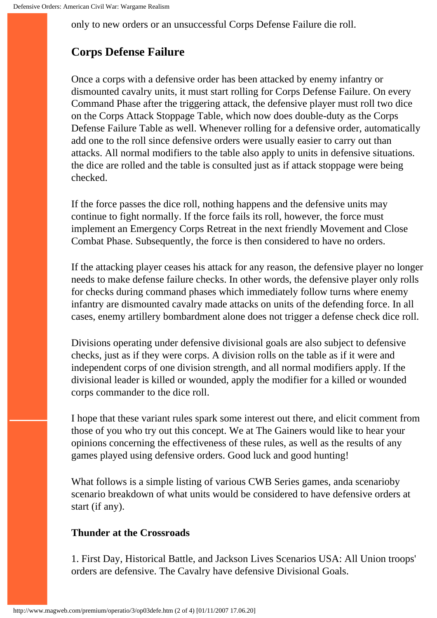only to new orders or an unsuccessful Corps Defense Failure die roll.

### **Corps Defense Failure**

Once a corps with a defensive order has been attacked by enemy infantry or dismounted cavalry units, it must start rolling for Corps Defense Failure. On every Command Phase after the triggering attack, the defensive player must roll two dice on the Corps Attack Stoppage Table, which now does double-duty as the Corps Defense Failure Table as well. Whenever rolling for a defensive order, automatically add one to the roll since defensive orders were usually easier to carry out than attacks. All normal modifiers to the table also apply to units in defensive situations. the dice are rolled and the table is consulted just as if attack stoppage were being checked.

If the force passes the dice roll, nothing happens and the defensive units may continue to fight normally. If the force fails its roll, however, the force must implement an Emergency Corps Retreat in the next friendly Movement and Close Combat Phase. Subsequently, the force is then considered to have no orders.

If the attacking player ceases his attack for any reason, the defensive player no longer needs to make defense failure checks. In other words, the defensive player only rolls for checks during command phases which immediately follow turns where enemy infantry are dismounted cavalry made attacks on units of the defending force. In all cases, enemy artillery bombardment alone does not trigger a defense check dice roll.

Divisions operating under defensive divisional goals are also subject to defensive checks, just as if they were corps. A division rolls on the table as if it were and independent corps of one division strength, and all normal modifiers apply. If the divisional leader is killed or wounded, apply the modifier for a killed or wounded corps commander to the dice roll.

I hope that these variant rules spark some interest out there, and elicit comment from those of you who try out this concept. We at The Gainers would like to hear your opinions concerning the effectiveness of these rules, as well as the results of any games played using defensive orders. Good luck and good hunting!

What follows is a simple listing of various CWB Series games, anda scenarioby scenario breakdown of what units would be considered to have defensive orders at start (if any).

#### **Thunder at the Crossroads**

1. First Day, Historical Battle, and Jackson Lives Scenarios USA: All Union troops' orders are defensive. The Cavalry have defensive Divisional Goals.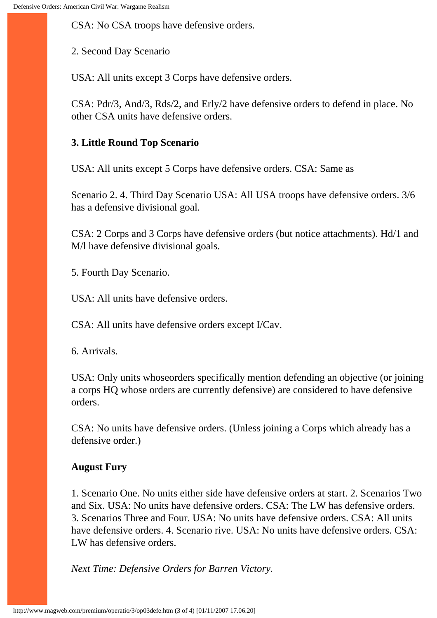CSA: No CSA troops have defensive orders.

2. Second Day Scenario

USA: All units except 3 Corps have defensive orders.

CSA: Pdr/3, And/3, Rds/2, and Erly/2 have defensive orders to defend in place. No other CSA units have defensive orders.

#### **3. Little Round Top Scenario**

USA: All units except 5 Corps have defensive orders. CSA: Same as

Scenario 2. 4. Third Day Scenario USA: All USA troops have defensive orders. 3/6 has a defensive divisional goal.

CSA: 2 Corps and 3 Corps have defensive orders (but notice attachments). Hd/1 and M/l have defensive divisional goals.

5. Fourth Day Scenario.

USA: All units have defensive orders.

CSA: All units have defensive orders except I/Cav.

6. Arrivals.

USA: Only units whoseorders specifically mention defending an objective (or joining a corps HQ whose orders are currently defensive) are considered to have defensive orders.

CSA: No units have defensive orders. (Unless joining a Corps which already has a defensive order.)

#### **August Fury**

1. Scenario One. No units either side have defensive orders at start. 2. Scenarios Two and Six. USA: No units have defensive orders. CSA: The LW has defensive orders. 3. Scenarios Three and Four. USA: No units have defensive orders. CSA: All units have defensive orders. 4. Scenario rive. USA: No units have defensive orders. CSA: LW has defensive orders.

*Next Time: Defensive Orders for Barren Victory.*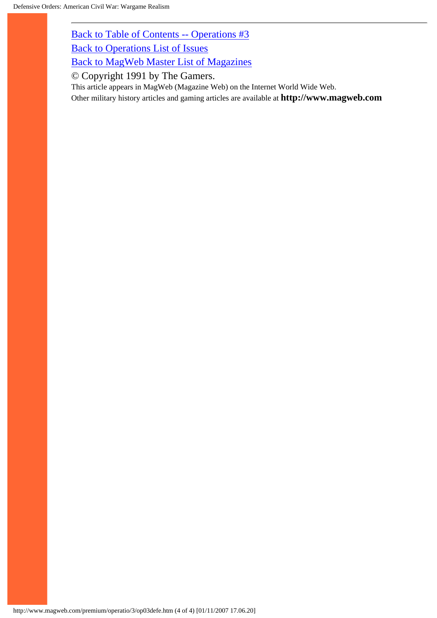[Back to Table of Contents -- Operations #3](#page-0-0)

[Back to Operations List of Issues](http://www.magweb.com/premium/operatio/operiss.htm)

[Back to MagWeb Master List of Magazines](http://www.magweb.com/premium/maglist.htm)

© Copyright 1991 by The Gamers.

This article appears in MagWeb (Magazine Web) on the Internet World Wide Web.

Other military history articles and gaming articles are available at **http://www.magweb.com**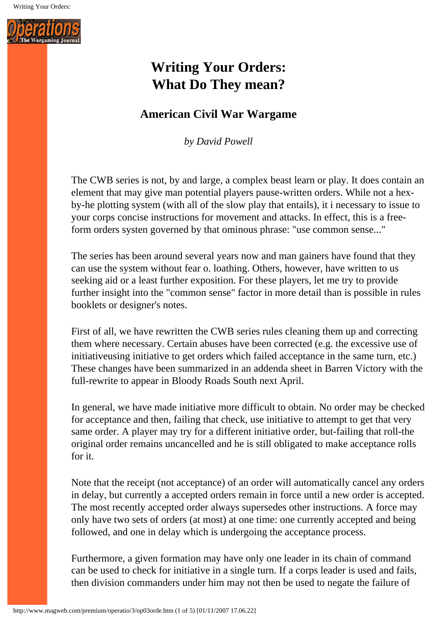<span id="page-16-0"></span>

## **Writing Your Orders: What Do They mean?**

### **American Civil War Wargame**

*by David Powell*

The CWB series is not, by and large, a complex beast learn or play. It does contain an element that may give man potential players pause-written orders. While not a hexby-he plotting system (with all of the slow play that entails), it i necessary to issue to your corps concise instructions for movement and attacks. In effect, this is a freeform orders systen governed by that ominous phrase: "use common sense..."

The series has been around several years now and man gainers have found that they can use the system without fear o. loathing. Others, however, have written to us seeking aid or a least further exposition. For these players, let me try to provide further insight into the "common sense" factor in more detail than is possible in rules booklets or designer's notes.

First of all, we have rewritten the CWB series rules cleaning them up and correcting them where necessary. Certain abuses have been corrected (e.g. the excessive use of initiativeusing initiative to get orders which failed acceptance in the same turn, etc.) These changes have been summarized in an addenda sheet in Barren Victory with the full-rewrite to appear in Bloody Roads South next April.

In general, we have made initiative more difficult to obtain. No order may be checked for acceptance and then, failing that check, use initiative to attempt to get that very same order. A player may try for a different initiative order, but-failing that roll-the original order remains uncancelled and he is still obligated to make acceptance rolls for it.

Note that the receipt (not acceptance) of an order will automatically cancel any orders in delay, but currently a accepted orders remain in force until a new order is accepted. The most recently accepted order always supersedes other instructions. A force may only have two sets of orders (at most) at one time: one currently accepted and being followed, and one in delay which is undergoing the acceptance process.

Furthermore, a given formation may have only one leader in its chain of command can be used to check for initiative in a single turn. If a corps leader is used and fails, then division commanders under him may not then be used to negate the failure of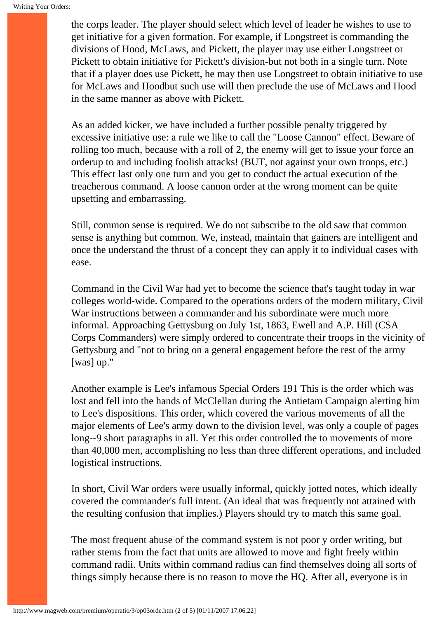the corps leader. The player should select which level of leader he wishes to use to get initiative for a given formation. For example, if Longstreet is commanding the divisions of Hood, McLaws, and Pickett, the player may use either Longstreet or Pickett to obtain initiative for Pickett's division-but not both in a single turn. Note that if a player does use Pickett, he may then use Longstreet to obtain initiative to use for McLaws and Hoodbut such use will then preclude the use of McLaws and Hood in the same manner as above with Pickett.

As an added kicker, we have included a further possible penalty triggered by excessive initiative use: a rule we like to call the "Loose Cannon" effect. Beware of rolling too much, because with a roll of 2, the enemy will get to issue your force an orderup to and including foolish attacks! (BUT, not against your own troops, etc.) This effect last only one turn and you get to conduct the actual execution of the treacherous command. A loose cannon order at the wrong moment can be quite upsetting and embarrassing.

Still, common sense is required. We do not subscribe to the old saw that common sense is anything but common. We, instead, maintain that gainers are intelligent and once the understand the thrust of a concept they can apply it to individual cases with ease.

Command in the Civil War had yet to become the science that's taught today in war colleges world-wide. Compared to the operations orders of the modern military, Civil War instructions between a commander and his subordinate were much more informal. Approaching Gettysburg on July 1st, 1863, Ewell and A.P. Hill (CSA Corps Commanders) were simply ordered to concentrate their troops in the vicinity of Gettysburg and "not to bring on a general engagement before the rest of the army [was] up."

Another example is Lee's infamous Special Orders 191 This is the order which was lost and fell into the hands of McClellan during the Antietam Campaign alerting him to Lee's dispositions. This order, which covered the various movements of all the major elements of Lee's army down to the division level, was only a couple of pages long--9 short paragraphs in all. Yet this order controlled the to movements of more than 40,000 men, accomplishing no less than three different operations, and included logistical instructions.

In short, Civil War orders were usually informal, quickly jotted notes, which ideally covered the commander's full intent. (An ideal that was frequently not attained with the resulting confusion that implies.) Players should try to match this same goal.

The most frequent abuse of the command system is not poor y order writing, but rather stems from the fact that units are allowed to move and fight freely within command radii. Units within command radius can find themselves doing all sorts of things simply because there is no reason to move the HQ. After all, everyone is in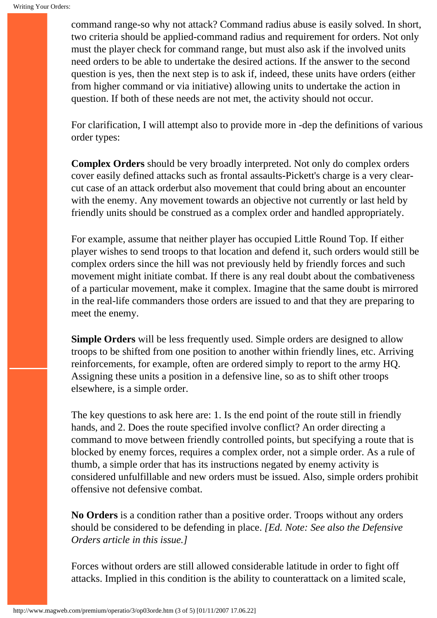command range-so why not attack? Command radius abuse is easily solved. In short, two criteria should be applied-command radius and requirement for orders. Not only must the player check for command range, but must also ask if the involved units need orders to be able to undertake the desired actions. If the answer to the second question is yes, then the next step is to ask if, indeed, these units have orders (either from higher command or via initiative) allowing units to undertake the action in question. If both of these needs are not met, the activity should not occur.

For clarification, I will attempt also to provide more in -dep the definitions of various order types:

**Complex Orders** should be very broadly interpreted. Not only do complex orders cover easily defined attacks such as frontal assaults-Pickett's charge is a very clearcut case of an attack orderbut also movement that could bring about an encounter with the enemy. Any movement towards an objective not currently or last held by friendly units should be construed as a complex order and handled appropriately.

For example, assume that neither player has occupied Little Round Top. If either player wishes to send troops to that location and defend it, such orders would still be complex orders since the hill was not previously held by friendly forces and such movement might initiate combat. If there is any real doubt about the combativeness of a particular movement, make it complex. Imagine that the same doubt is mirrored in the real-life commanders those orders are issued to and that they are preparing to meet the enemy.

**Simple Orders** will be less frequently used. Simple orders are designed to allow troops to be shifted from one position to another within friendly lines, etc. Arriving reinforcements, for example, often are ordered simply to report to the army HQ. Assigning these units a position in a defensive line, so as to shift other troops elsewhere, is a simple order.

The key questions to ask here are: 1. Is the end point of the route still in friendly hands, and 2. Does the route specified involve conflict? An order directing a command to move between friendly controlled points, but specifying a route that is blocked by enemy forces, requires a complex order, not a simple order. As a rule of thumb, a simple order that has its instructions negated by enemy activity is considered unfulfillable and new orders must be issued. Also, simple orders prohibit offensive not defensive combat.

**No Orders** is a condition rather than a positive order. Troops without any orders should be considered to be defending in place. *[Ed. Note: See also the Defensive Orders article in this issue.]*

Forces without orders are still allowed considerable latitude in order to fight off attacks. Implied in this condition is the ability to counterattack on a limited scale,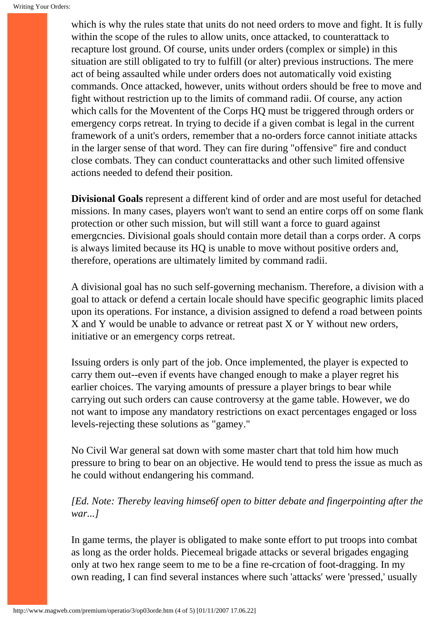which is why the rules state that units do not need orders to move and fight. It is fully within the scope of the rules to allow units, once attacked, to counterattack to recapture lost ground. Of course, units under orders (complex or simple) in this situation are still obligated to try to fulfill (or alter) previous instructions. The mere act of being assaulted while under orders does not automatically void existing commands. Once attacked, however, units without orders should be free to move and fight without restriction up to the limits of command radii. Of course, any action which calls for the Moventent of the Corps HQ must be triggered through orders or emergency corps retreat. In trying to decide if a given combat is legal in the current framework of a unit's orders, remember that a no-orders force cannot initiate attacks in the larger sense of that word. They can fire during "offensive" fire and conduct close combats. They can conduct counterattacks and other such limited offensive actions needed to defend their position.

**Divisional Goals** represent a different kind of order and are most useful for detached missions. In many cases, players won't want to send an entire corps off on some flank protection or other such mission, but will still want a force to guard against emergcncies. Divisional goals should contain more detail than a corps order. A corps is always limited because its HQ is unable to move without positive orders and, therefore, operations are ultimately limited by command radii.

A divisional goal has no such self-governing mechanism. Therefore, a division with a goal to attack or defend a certain locale should have specific geographic limits placed upon its operations. For instance, a division assigned to defend a road between points X and Y would be unable to advance or retreat past X or Y without new orders, initiative or an emergency corps retreat.

Issuing orders is only part of the job. Once implemented, the player is expected to carry them out--even if events have changed enough to make a player regret his earlier choices. The varying amounts of pressure a player brings to bear while carrying out such orders can cause controversy at the game table. However, we do not want to impose any mandatory restrictions on exact percentages engaged or loss levels-rejecting these solutions as "gamey."

No Civil War general sat down with some master chart that told him how much pressure to bring to bear on an objective. He would tend to press the issue as much as he could without endangering his command.

*[Ed. Note: Thereby leaving himse6f open to bitter debate and fingerpointing after the war...]*

In game terms, the player is obligated to make sonte effort to put troops into combat as long as the order holds. Piecemeal brigade attacks or several brigades engaging only at two hex range seem to me to be a fine re-crcation of foot-dragging. In my own reading, I can find several instances where such 'attacks' were 'pressed,' usually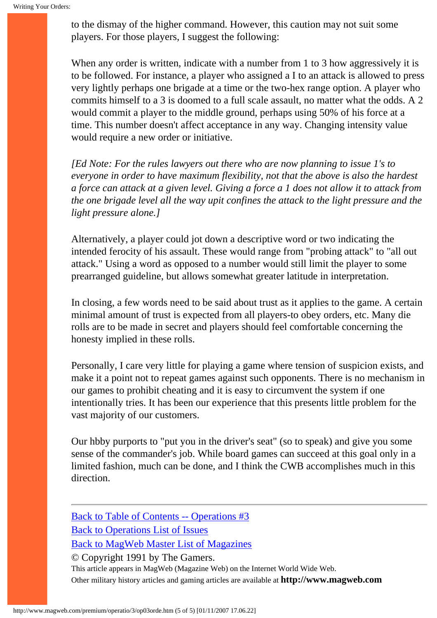to the dismay of the higher command. However, this caution may not suit some players. For those players, I suggest the following:

When any order is written, indicate with a number from 1 to 3 how aggressively it is to be followed. For instance, a player who assigned a I to an attack is allowed to press very lightly perhaps one brigade at a time or the two-hex range option. A player who commits himself to a 3 is doomed to a full scale assault, no matter what the odds. A 2 would commit a player to the middle ground, perhaps using 50% of his force at a time. This number doesn't affect acceptance in any way. Changing intensity value would require a new order or initiative.

*[Ed Note: For the rules lawyers out there who are now planning to issue 1's to everyone in order to have maximum flexibility, not that the above is also the hardest a force can attack at a given level. Giving a force a 1 does not allow it to attack from the one brigade level all the way upit confines the attack to the light pressure and the light pressure alone.]*

Alternatively, a player could jot down a descriptive word or two indicating the intended ferocity of his assault. These would range from "probing attack" to "all out attack." Using a word as opposed to a number would still limit the player to some prearranged guideline, but allows somewhat greater latitude in interpretation.

In closing, a few words need to be said about trust as it applies to the game. A certain minimal amount of trust is expected from all players-to obey orders, etc. Many die rolls are to be made in secret and players should feel comfortable concerning the honesty implied in these rolls.

Personally, I care very little for playing a game where tension of suspicion exists, and make it a point not to repeat games against such opponents. There is no mechanism in our games to prohibit cheating and it is easy to circumvent the system if one intentionally tries. It has been our experience that this presents little problem for the vast majority of our customers.

Our hbby purports to "put you in the driver's seat" (so to speak) and give you some sense of the commander's job. While board games can succeed at this goal only in a limited fashion, much can be done, and I think the CWB accomplishes much in this direction.

[Back to Table of Contents -- Operations #3](#page-0-0) [Back to Operations List of Issues](http://www.magweb.com/premium/operatio/operiss.htm) [Back to MagWeb Master List of Magazines](http://www.magweb.com/premium/maglist.htm) © Copyright 1991 by The Gamers. This article appears in MagWeb (Magazine Web) on the Internet World Wide Web.

Other military history articles and gaming articles are available at **http://www.magweb.com**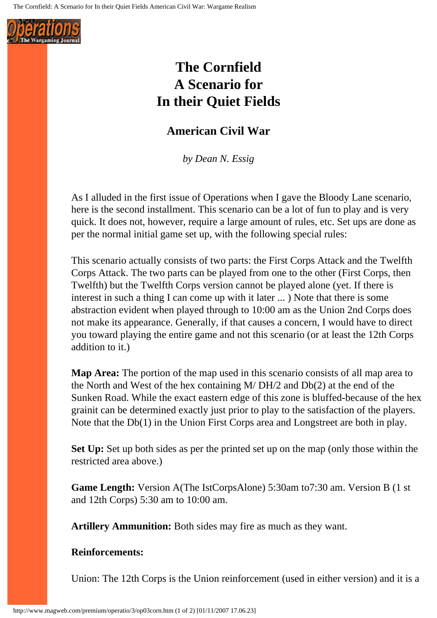<span id="page-21-0"></span>

## **The Cornfield A Scenario for In their Quiet Fields**

### **American Civil War**

*by Dean N. Essig*

As I alluded in the first issue of Operations when I gave the Bloody Lane scenario, here is the second installment. This scenario can be a lot of fun to play and is very quick. It does not, however, require a large amount of rules, etc. Set ups are done as per the normal initial game set up, with the following special rules:

This scenario actually consists of two parts: the First Corps Attack and the Twelfth Corps Attack. The two parts can be played from one to the other (First Corps, then Twelfth) but the Twelfth Corps version cannot be played alone (yet. If there is interest in such a thing I can come up with it later ... ) Note that there is some abstraction evident when played through to 10:00 am as the Union 2nd Corps does not make its appearance. Generally, if that causes a concern, I would have to direct you toward playing the entire game and not this scenario (or at least the 12th Corps addition to it.)

**Map Area:** The portion of the map used in this scenario consists of all map area to the North and West of the hex containing M/ DH/2 and Db(2) at the end of the Sunken Road. While the exact eastern edge of this zone is bluffed-because of the hex grainit can be determined exactly just prior to play to the satisfaction of the players. Note that the Db(1) in the Union First Corps area and Longstreet are both in play.

**Set Up:** Set up both sides as per the printed set up on the map (only those within the restricted area above.)

**Game Length:** Version A(The IstCorpsAlone) 5:30am to7:30 am. Version B (1 st and 12th Corps) 5:30 am to 10:00 am.

**Artillery Ammunition:** Both sides may fire as much as they want.

#### **Reinforcements:**

Union: The 12th Corps is the Union reinforcement (used in either version) and it is a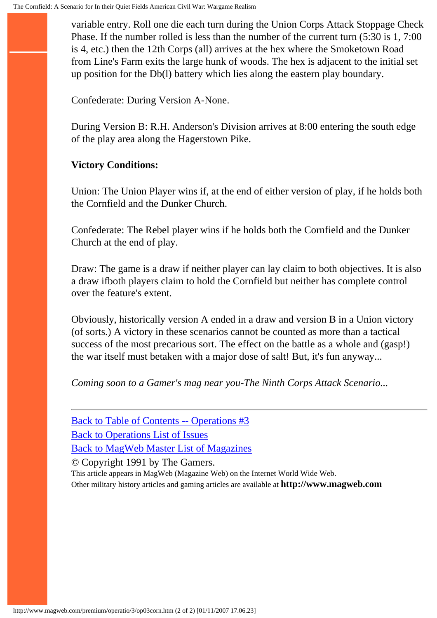variable entry. Roll one die each turn during the Union Corps Attack Stoppage Check Phase. If the number rolled is less than the number of the current turn (5:30 is 1, 7:00 is 4, etc.) then the 12th Corps (all) arrives at the hex where the Smoketown Road from Line's Farm exits the large hunk of woods. The hex is adjacent to the initial set up position for the Db(l) battery which lies along the eastern play boundary.

Confederate: During Version A-None.

During Version B: R.H. Anderson's Division arrives at 8:00 entering the south edge of the play area along the Hagerstown Pike.

#### **Victory Conditions:**

Union: The Union Player wins if, at the end of either version of play, if he holds both the Cornfield and the Dunker Church.

Confederate: The Rebel player wins if he holds both the Cornfield and the Dunker Church at the end of play.

Draw: The game is a draw if neither player can lay claim to both objectives. It is also a draw ifboth players claim to hold the Cornfield but neither has complete control over the feature's extent.

Obviously, historically version A ended in a draw and version B in a Union victory (of sorts.) A victory in these scenarios cannot be counted as more than a tactical success of the most precarious sort. The effect on the battle as a whole and (gasp!) the war itself must betaken with a major dose of salt! But, it's fun anyway...

*Coming soon to a Gamer's mag near you-The Ninth Corps Attack Scenario...*

[Back to Table of Contents -- Operations #3](#page-0-0) [Back to Operations List of Issues](http://www.magweb.com/premium/operatio/operiss.htm) [Back to MagWeb Master List of Magazines](http://www.magweb.com/premium/maglist.htm) © Copyright 1991 by The Gamers.

This article appears in MagWeb (Magazine Web) on the Internet World Wide Web.

Other military history articles and gaming articles are available at **http://www.magweb.com**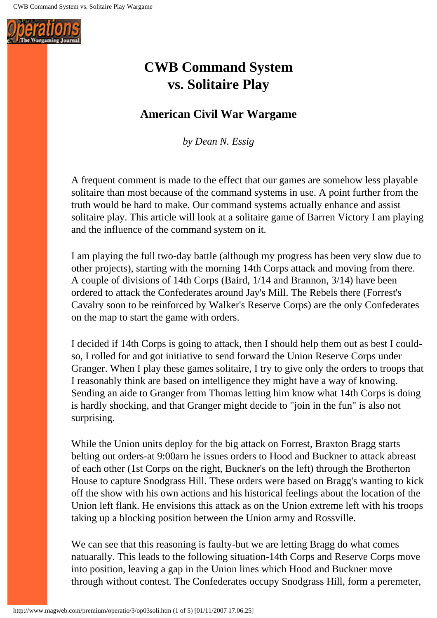<span id="page-23-0"></span>

## **CWB Command System vs. Solitaire Play**

### **American Civil War Wargame**

*by Dean N. Essig*

A frequent comment is made to the effect that our games are somehow less playable solitaire than most because of the command systems in use. A point further from the truth would be hard to make. Our command systems actually enhance and assist solitaire play. This article will look at a solitaire game of Barren Victory I am playing and the influence of the command system on it.

I am playing the full two-day battle (although my progress has been very slow due to other projects), starting with the morning 14th Corps attack and moving from there. A couple of divisions of 14th Corps (Baird, 1/14 and Brannon, 3/14) have been ordered to attack the Confederates around Jay's Mill. The Rebels there (Forrest's Cavalry soon to be reinforced by Walker's Reserve Corps) are the only Confederates on the map to start the game with orders.

I decided if 14th Corps is going to attack, then I should help them out as best I couldso, I rolled for and got initiative to send forward the Union Reserve Corps under Granger. When I play these games solitaire, I try to give only the orders to troops that I reasonably think are based on intelligence they might have a way of knowing. Sending an aide to Granger from Thomas letting him know what 14th Corps is doing is hardly shocking, and that Granger might decide to "join in the fun" is also not surprising.

While the Union units deploy for the big attack on Forrest, Braxton Bragg starts belting out orders-at 9:00arn he issues orders to Hood and Buckner to attack abreast of each other (1st Corps on the right, Buckner's on the left) through the Brotherton House to capture Snodgrass Hill. These orders were based on Bragg's wanting to kick off the show with his own actions and his historical feelings about the location of the Union left flank. He envisions this attack as on the Union extreme left with his troops taking up a blocking position between the Union army and Rossville.

We can see that this reasoning is faulty-but we are letting Bragg do what comes natuarally. This leads to the following situation-14th Corps and Reserve Corps move into position, leaving a gap in the Union lines which Hood and Buckner move through without contest. The Confederates occupy Snodgrass Hill, form a peremeter,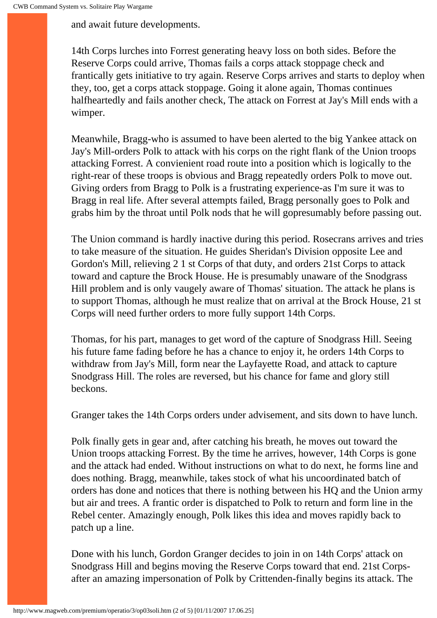and await future developments.

14th Corps lurches into Forrest generating heavy loss on both sides. Before the Reserve Corps could arrive, Thomas fails a corps attack stoppage check and frantically gets initiative to try again. Reserve Corps arrives and starts to deploy when they, too, get a corps attack stoppage. Going it alone again, Thomas continues halfheartedly and fails another check, The attack on Forrest at Jay's Mill ends with a wimper.

Meanwhile, Bragg-who is assumed to have been alerted to the big Yankee attack on Jay's Mill-orders Polk to attack with his corps on the right flank of the Union troops attacking Forrest. A convienient road route into a position which is logically to the right-rear of these troops is obvious and Bragg repeatedly orders Polk to move out. Giving orders from Bragg to Polk is a frustrating experience-as I'm sure it was to Bragg in real life. After several attempts failed, Bragg personally goes to Polk and grabs him by the throat until Polk nods that he will gopresumably before passing out.

The Union command is hardly inactive during this period. Rosecrans arrives and tries to take measure of the situation. He guides Sheridan's Division opposite Lee and Gordon's Mill, relieving 2 1 st Corps of that duty, and orders 21st Corps to attack toward and capture the Brock House. He is presumably unaware of the Snodgrass Hill problem and is only vaugely aware of Thomas' situation. The attack he plans is to support Thomas, although he must realize that on arrival at the Brock House, 21 st Corps will need further orders to more fully support 14th Corps.

Thomas, for his part, manages to get word of the capture of Snodgrass Hill. Seeing his future fame fading before he has a chance to enjoy it, he orders 14th Corps to withdraw from Jay's Mill, form near the Layfayette Road, and attack to capture Snodgrass Hill. The roles are reversed, but his chance for fame and glory still beckons.

Granger takes the 14th Corps orders under advisement, and sits down to have lunch.

Polk finally gets in gear and, after catching his breath, he moves out toward the Union troops attacking Forrest. By the time he arrives, however, 14th Corps is gone and the attack had ended. Without instructions on what to do next, he forms line and does nothing. Bragg, meanwhile, takes stock of what his uncoordinated batch of orders has done and notices that there is nothing between his HQ and the Union army but air and trees. A frantic order is dispatched to Polk to return and form line in the Rebel center. Amazingly enough, Polk likes this idea and moves rapidly back to patch up a line.

Done with his lunch, Gordon Granger decides to join in on 14th Corps' attack on Snodgrass Hill and begins moving the Reserve Corps toward that end. 21st Corpsafter an amazing impersonation of Polk by Crittenden-finally begins its attack. The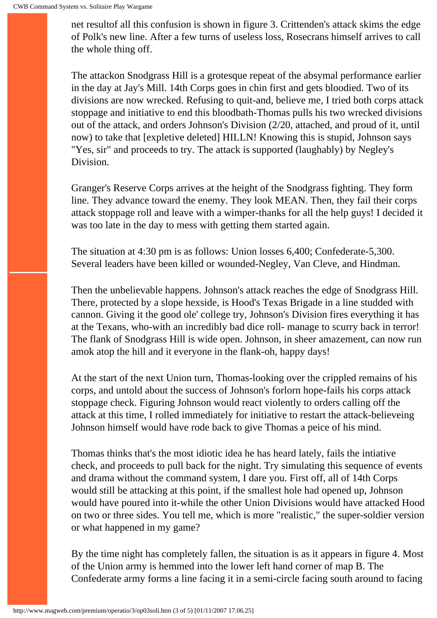net resultof all this confusion is shown in figure 3. Crittenden's attack skims the edge of Polk's new line. After a few turns of useless loss, Rosecrans himself arrives to call the whole thing off.

The attackon Snodgrass Hill is a grotesque repeat of the absymal performance earlier in the day at Jay's Mill. 14th Corps goes in chin first and gets bloodied. Two of its divisions are now wrecked. Refusing to quit-and, believe me, I tried both corps attack stoppage and initiative to end this bloodbath-Thomas pulls his two wrecked divisions out of the attack, and orders Johnson's Division (2/20, attached, and proud of it, until now) to take that [expletive deleted] HILLN! Knowing this is stupid, Johnson says "Yes, sir" and proceeds to try. The attack is supported (laughably) by Negley's Division.

Granger's Reserve Corps arrives at the height of the Snodgrass fighting. They form line. They advance toward the enemy. They look MEAN. Then, they fail their corps attack stoppage roll and leave with a wimper-thanks for all the help guys! I decided it was too late in the day to mess with getting them started again.

The situation at 4:30 pm is as follows: Union losses 6,400; Confederate-5,300. Several leaders have been killed or wounded-Negley, Van Cleve, and Hindman.

Then the unbelievable happens. Johnson's attack reaches the edge of Snodgrass Hill. There, protected by a slope hexside, is Hood's Texas Brigade in a line studded with cannon. Giving it the good ole' college try, Johnson's Division fires everything it has at the Texans, who-with an incredibly bad dice roll- manage to scurry back in terror! The flank of Snodgrass Hill is wide open. Johnson, in sheer amazement, can now run amok atop the hill and it everyone in the flank-oh, happy days!

At the start of the next Union turn, Thomas-looking over the crippled remains of his corps, and untold about the success of Johnson's forlorn hope-fails his corps attack stoppage check. Figuring Johnson would react violently to orders calling off the attack at this time, I rolled immediately for initiative to restart the attack-believeing Johnson himself would have rode back to give Thomas a peice of his mind.

Thomas thinks that's the most idiotic idea he has heard lately, fails the intiative check, and proceeds to pull back for the night. Try simulating this sequence of events and drama without the command system, I dare you. First off, all of 14th Corps would still be attacking at this point, if the smallest hole had opened up, Johnson would have poured into it-while the other Union Divisions would have attacked Hood on two or three sides. You tell me, which is more "realistic," the super-soldier version or what happened in my game?

By the time night has completely fallen, the situation is as it appears in figure 4. Most of the Union army is hemmed into the lower left hand corner of map B. The Confederate army forms a line facing it in a semi-circle facing south around to facing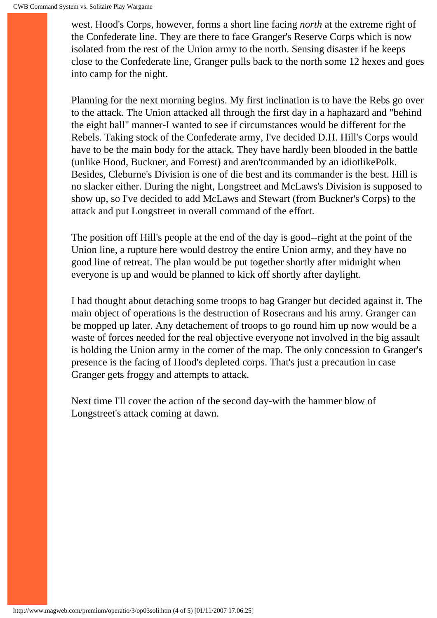west. Hood's Corps, however, forms a short line facing *north* at the extreme right of the Confederate line. They are there to face Granger's Reserve Corps which is now isolated from the rest of the Union army to the north. Sensing disaster if he keeps close to the Confederate line, Granger pulls back to the north some 12 hexes and goes into camp for the night.

Planning for the next morning begins. My first inclination is to have the Rebs go over to the attack. The Union attacked all through the first day in a haphazard and "behind the eight ball" manner-I wanted to see if circumstances would be different for the Rebels. Taking stock of the Confederate army, I've decided D.H. Hill's Corps would have to be the main body for the attack. They have hardly been blooded in the battle (unlike Hood, Buckner, and Forrest) and aren'tcommanded by an idiotlikePolk. Besides, Cleburne's Division is one of die best and its commander is the best. Hill is no slacker either. During the night, Longstreet and McLaws's Division is supposed to show up, so I've decided to add McLaws and Stewart (from Buckner's Corps) to the attack and put Longstreet in overall command of the effort.

The position off Hill's people at the end of the day is good--right at the point of the Union line, a rupture here would destroy the entire Union army, and they have no good line of retreat. The plan would be put together shortly after midnight when everyone is up and would be planned to kick off shortly after daylight.

I had thought about detaching some troops to bag Granger but decided against it. The main object of operations is the destruction of Rosecrans and his army. Granger can be mopped up later. Any detachement of troops to go round him up now would be a waste of forces needed for the real objective everyone not involved in the big assault is holding the Union army in the corner of the map. The only concession to Granger's presence is the facing of Hood's depleted corps. That's just a precaution in case Granger gets froggy and attempts to attack.

Next time I'll cover the action of the second day-with the hammer blow of Longstreet's attack coming at dawn.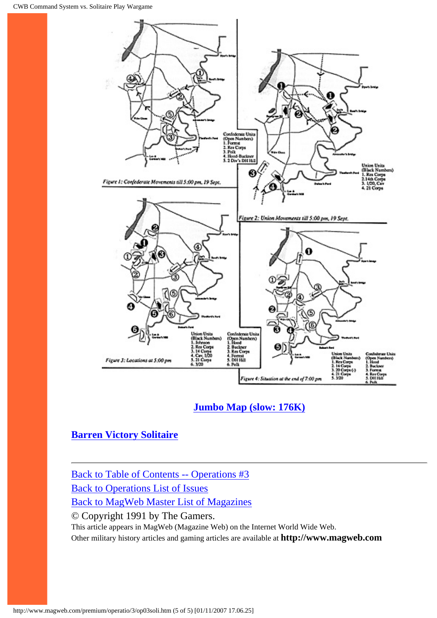

#### **[Jumbo Map \(slow: 176K\)](http://www.magweb.com/premium/operatio/3/op03solj.htm)**

#### **[Barren Victory Solitaire](http://www.magweb.com/premium/operatio/4/op04barr.htm)**

[Back to Table of Contents -- Operations #3](#page-0-0) [Back to Operations List of Issues](http://www.magweb.com/premium/operatio/operiss.htm) [Back to MagWeb Master List of Magazines](http://www.magweb.com/premium/maglist.htm) © Copyright 1991 by The Gamers. This article appears in MagWeb (Magazine Web) on the Internet World Wide Web. Other military history articles and gaming articles are available at **http://www.magweb.com**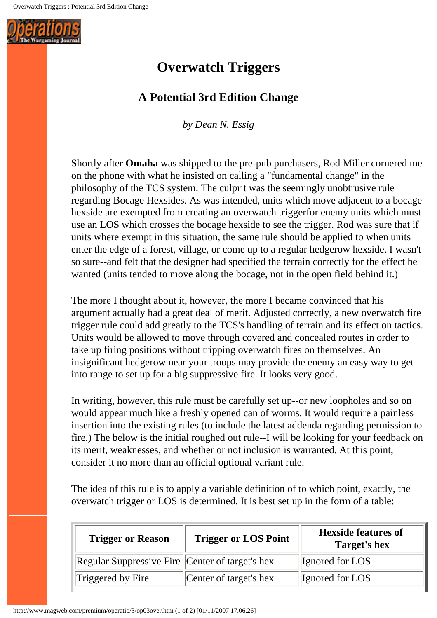<span id="page-28-0"></span>

## **Overwatch Triggers**

### **A Potential 3rd Edition Change**

*by Dean N. Essig*

Shortly after **Omaha** was shipped to the pre-pub purchasers, Rod Miller cornered me on the phone with what he insisted on calling a "fundamental change" in the philosophy of the TCS system. The culprit was the seemingly unobtrusive rule regarding Bocage Hexsides. As was intended, units which move adjacent to a bocage hexside are exempted from creating an overwatch triggerfor enemy units which must use an LOS which crosses the bocage hexside to see the trigger. Rod was sure that if units where exempt in this situation, the same rule should be applied to when units enter the edge of a forest, village, or come up to a regular hedgerow hexside. I wasn't so sure--and felt that the designer had specified the terrain correctly for the effect he wanted (units tended to move along the bocage, not in the open field behind it.)

The more I thought about it, however, the more I became convinced that his argument actually had a great deal of merit. Adjusted correctly, a new overwatch fire trigger rule could add greatly to the TCS's handling of terrain and its effect on tactics. Units would be allowed to move through covered and concealed routes in order to take up firing positions without tripping overwatch fires on themselves. An insignificant hedgerow near your troops may provide the enemy an easy way to get into range to set up for a big suppressive fire. It looks very good.

In writing, however, this rule must be carefully set up--or new loopholes and so on would appear much like a freshly opened can of worms. It would require a painless insertion into the existing rules (to include the latest addenda regarding permission to fire.) The below is the initial roughed out rule--I will be looking for your feedback on its merit, weaknesses, and whether or not inclusion is warranted. At this point, consider it no more than an official optional variant rule.

The idea of this rule is to apply a variable definition of to which point, exactly, the overwatch trigger or LOS is determined. It is best set up in the form of a table:

| <b>Trigger or Reason</b>                        | <b>Trigger or LOS Point</b> | <b>Hexside features of</b><br>Target's hex |
|-------------------------------------------------|-----------------------------|--------------------------------------------|
| Regular Suppressive Fire Center of target's hex |                             | Ignored for LOS                            |
| Triggered by Fire                               | Center of target's hex      | Ignored for LOS                            |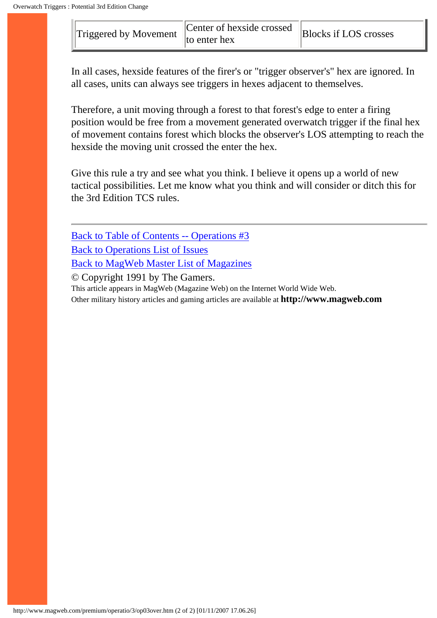| $\Vert$ Triggered by Movement $\Vert$ . | Center of hexside crossed<br>$\ $ to enter hex | <b>Blocks if LOS crosses</b> |
|-----------------------------------------|------------------------------------------------|------------------------------|
|-----------------------------------------|------------------------------------------------|------------------------------|

In all cases, hexside features of the firer's or "trigger observer's" hex are ignored. In all cases, units can always see triggers in hexes adjacent to themselves.

Therefore, a unit moving through a forest to that forest's edge to enter a firing position would be free from a movement generated overwatch trigger if the final hex of movement contains forest which blocks the observer's LOS attempting to reach the hexside the moving unit crossed the enter the hex.

Give this rule a try and see what you think. I believe it opens up a world of new tactical possibilities. Let me know what you think and will consider or ditch this for the 3rd Edition TCS rules.

[Back to Table of Contents -- Operations #3](#page-0-0) [Back to Operations List of Issues](http://www.magweb.com/premium/operatio/operiss.htm) [Back to MagWeb Master List of Magazines](http://www.magweb.com/premium/maglist.htm)

© Copyright 1991 by The Gamers.

This article appears in MagWeb (Magazine Web) on the Internet World Wide Web.

Other military history articles and gaming articles are available at **http://www.magweb.com**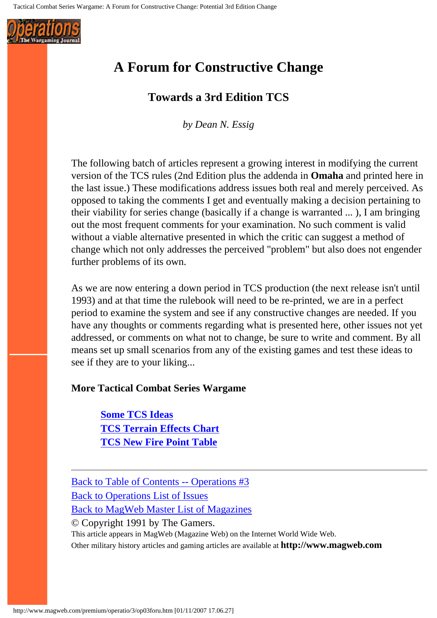<span id="page-30-0"></span>

## **A Forum for Constructive Change**

#### **Towards a 3rd Edition TCS**

*by Dean N. Essig*

The following batch of articles represent a growing interest in modifying the current version of the TCS rules (2nd Edition plus the addenda in **Omaha** and printed here in the last issue.) These modifications address issues both real and merely perceived. As opposed to taking the comments I get and eventually making a decision pertaining to their viability for series change (basically if a change is warranted ... ), I am bringing out the most frequent comments for your examination. No such comment is valid without a viable alternative presented in which the critic can suggest a method of change which not only addresses the perceived "problem" but also does not engender further problems of its own.

As we are now entering a down period in TCS production (the next release isn't until 1993) and at that time the rulebook will need to be re-printed, we are in a perfect period to examine the system and see if any constructive changes are needed. If you have any thoughts or comments regarding what is presented here, other issues not yet addressed, or comments on what not to change, be sure to write and comment. By all means set up small scenarios from any of the existing games and test these ideas to see if they are to your liking...

#### **More Tactical Combat Series Wargame**

**[Some TCS Ideas](#page-31-0) [TCS Terrain Effects Chart](#page-34-0) [TCS New Fire Point Table](#page-35-0)**

[Back to Table of Contents -- Operations #3](#page-0-0) [Back to Operations List of Issues](http://www.magweb.com/premium/operatio/operiss.htm) [Back to MagWeb Master List of Magazines](http://www.magweb.com/premium/maglist.htm) © Copyright 1991 by The Gamers. This article appears in MagWeb (Magazine Web) on the Internet World Wide Web. Other military history articles and gaming articles are available at **http://www.magweb.com**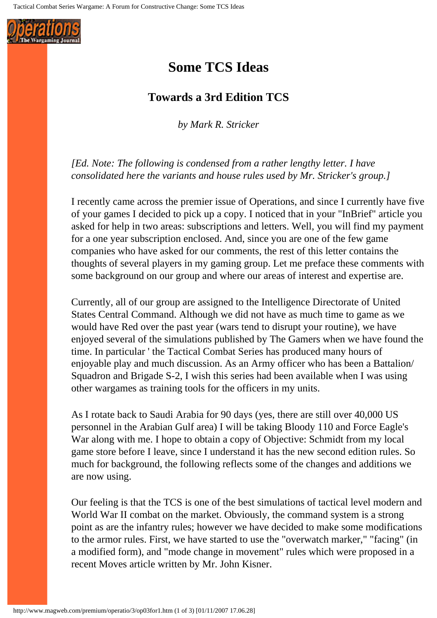<span id="page-31-0"></span>

## **Some TCS Ideas**

#### **Towards a 3rd Edition TCS**

*by Mark R. Stricker*

*[Ed. Note: The following is condensed from a rather lengthy letter. I have consolidated here the variants and house rules used by Mr. Stricker's group.]*

I recently came across the premier issue of Operations, and since I currently have five of your games I decided to pick up a copy. I noticed that in your "InBrief" article you asked for help in two areas: subscriptions and letters. Well, you will find my payment for a one year subscription enclosed. And, since you are one of the few game companies who have asked for our comments, the rest of this letter contains the thoughts of several players in my gaming group. Let me preface these comments with some background on our group and where our areas of interest and expertise are.

Currently, all of our group are assigned to the Intelligence Directorate of United States Central Command. Although we did not have as much time to game as we would have Red over the past year (wars tend to disrupt your routine), we have enjoyed several of the simulations published by The Gamers when we have found the time. In particular ' the Tactical Combat Series has produced many hours of enjoyable play and much discussion. As an Army officer who has been a Battalion/ Squadron and Brigade S-2, I wish this series had been available when I was using other wargames as training tools for the officers in my units.

As I rotate back to Saudi Arabia for 90 days (yes, there are still over 40,000 US personnel in the Arabian Gulf area) I will be taking Bloody 110 and Force Eagle's War along with me. I hope to obtain a copy of Objective: Schmidt from my local game store before I leave, since I understand it has the new second edition rules. So much for background, the following reflects some of the changes and additions we are now using.

Our feeling is that the TCS is one of the best simulations of tactical level modern and World War II combat on the market. Obviously, the command system is a strong point as are the infantry rules; however we have decided to make some modifications to the armor rules. First, we have started to use the "overwatch marker," "facing" (in a modified form), and "mode change in movement" rules which were proposed in a recent Moves article written by Mr. John Kisner.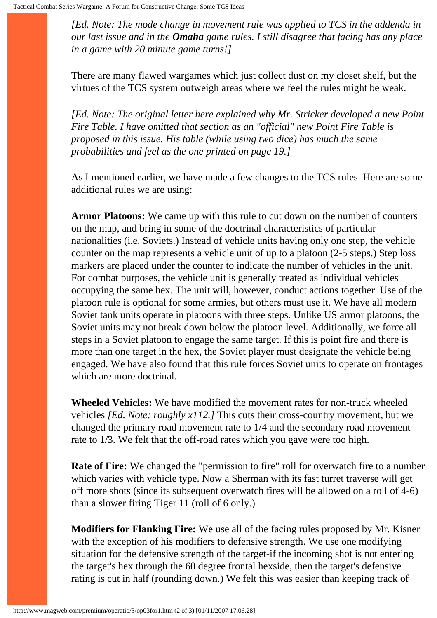*[Ed. Note: The mode change in movement rule was applied to TCS in the addenda in our last issue and in the Omaha game rules. I still disagree that facing has any place in a game with 20 minute game turns!]* 

There are many flawed wargames which just collect dust on my closet shelf, but the virtues of the TCS system outweigh areas where we feel the rules might be weak.

*[Ed. Note: The original letter here explained why Mr. Stricker developed a new Point Fire Table. I have omitted that section as an "official" new Point Fire Table is proposed in this issue. His table (while using two dice) has much the same probabilities and feel as the one printed on page 19.]*

As I mentioned earlier, we have made a few changes to the TCS rules. Here are some additional rules we are using:

**Armor Platoons:** We came up with this rule to cut down on the number of counters on the map, and bring in some of the doctrinal characteristics of particular nationalities (i.e. Soviets.) Instead of vehicle units having only one step, the vehicle counter on the map represents a vehicle unit of up to a platoon (2-5 steps.) Step loss markers are placed under the counter to indicate the number of vehicles in the unit. For combat purposes, the vehicle unit is generally treated as individual vehicles occupying the same hex. The unit will, however, conduct actions together. Use of the platoon rule is optional for some armies, but others must use it. We have all modern Soviet tank units operate in platoons with three steps. Unlike US armor platoons, the Soviet units may not break down below the platoon level. Additionally, we force all steps in a Soviet platoon to engage the same target. If this is point fire and there is more than one target in the hex, the Soviet player must designate the vehicle being engaged. We have also found that this rule forces Soviet units to operate on frontages which are more doctrinal.

**Wheeled Vehicles:** We have modified the movement rates for non-truck wheeled vehicles *[Ed. Note: roughly x112.]* This cuts their cross-country movement, but we changed the primary road movement rate to 1/4 and the secondary road movement rate to 1/3. We felt that the off-road rates which you gave were too high.

**Rate of Fire:** We changed the "permission to fire" roll for overwatch fire to a number which varies with vehicle type. Now a Sherman with its fast turret traverse will get off more shots (since its subsequent overwatch fires will be allowed on a roll of 4-6) than a slower firing Tiger 11 (roll of 6 only.)

**Modifiers for Flanking Fire:** We use all of the facing rules proposed by Mr. Kisner with the exception of his modifiers to defensive strength. We use one modifying situation for the defensive strength of the target-if the incoming shot is not entering the target's hex through the 60 degree frontal hexside, then the target's defensive rating is cut in half (rounding down.) We felt this was easier than keeping track of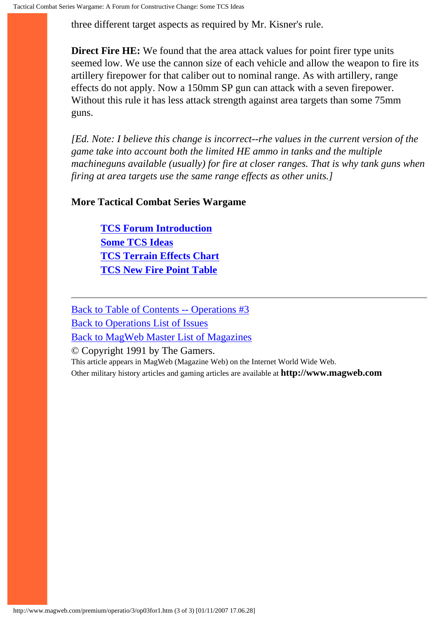three different target aspects as required by Mr. Kisner's rule.

**Direct Fire HE:** We found that the area attack values for point firer type units seemed low. We use the cannon size of each vehicle and allow the weapon to fire its artillery firepower for that caliber out to nominal range. As with artillery, range effects do not apply. Now a 150mm SP gun can attack with a seven firepower. Without this rule it has less attack strength against area targets than some 75mm guns.

*[Ed. Note: I believe this change is incorrect--rhe values in the current version of the game take into account both the limited HE ammo in tanks and the multiple machineguns available (usually) for fire at closer ranges. That is why tank guns when firing at area targets use the same range effects as other units.]*

#### **More Tactical Combat Series Wargame**

**[TCS Forum Introduction](#page-30-0) [Some TCS Ideas](#page-31-0) [TCS Terrain Effects Chart](#page-34-0) [TCS New Fire Point Table](#page-35-0)**

[Back to Table of Contents -- Operations #3](#page-0-0) [Back to Operations List of Issues](http://www.magweb.com/premium/operatio/operiss.htm) [Back to MagWeb Master List of Magazines](http://www.magweb.com/premium/maglist.htm)

© Copyright 1991 by The Gamers.

This article appears in MagWeb (Magazine Web) on the Internet World Wide Web. Other military history articles and gaming articles are available at **http://www.magweb.com**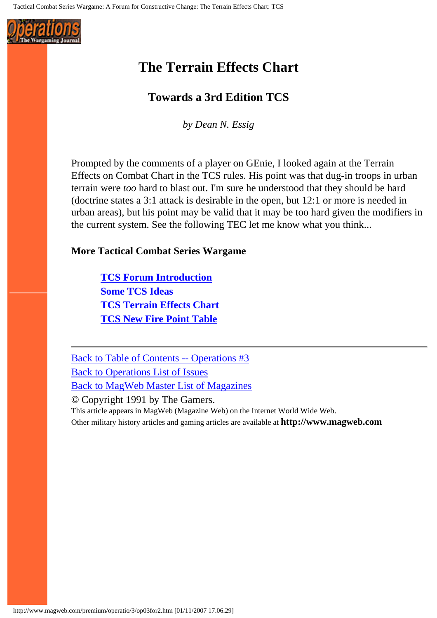<span id="page-34-0"></span>

## **The Terrain Effects Chart**

#### **Towards a 3rd Edition TCS**

*by Dean N. Essig*

Prompted by the comments of a player on GEnie, I looked again at the Terrain Effects on Combat Chart in the TCS rules. His point was that dug-in troops in urban terrain were *too* hard to blast out. I'm sure he understood that they should be hard (doctrine states a 3:1 attack is desirable in the open, but 12:1 or more is needed in urban areas), but his point may be valid that it may be too hard given the modifiers in the current system. See the following TEC let me know what you think...

#### **More Tactical Combat Series Wargame**

**[TCS Forum Introduction](#page-30-0) [Some TCS Ideas](#page-31-0) [TCS Terrain Effects Chart](#page-34-0) [TCS New Fire Point Table](#page-35-0)**

[Back to Table of Contents -- Operations #3](#page-0-0) [Back to Operations List of Issues](http://www.magweb.com/premium/operatio/operiss.htm) [Back to MagWeb Master List of Magazines](http://www.magweb.com/premium/maglist.htm)

© Copyright 1991 by The Gamers. This article appears in MagWeb (Magazine Web) on the Internet World Wide Web. Other military history articles and gaming articles are available at **http://www.magweb.com**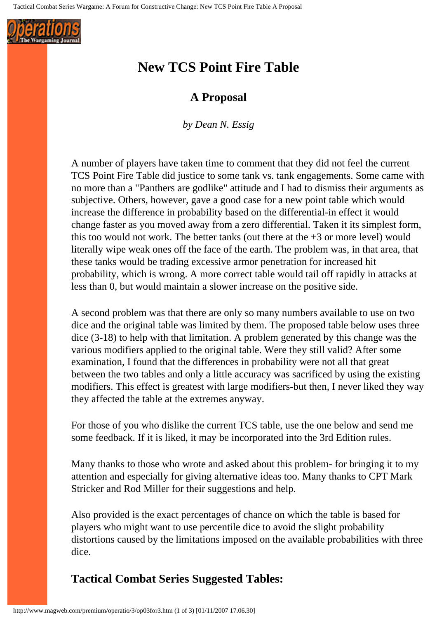<span id="page-35-0"></span>

## **New TCS Point Fire Table**

#### **A Proposal**

*by Dean N. Essig*

A number of players have taken time to comment that they did not feel the current TCS Point Fire Table did justice to some tank vs. tank engagements. Some came with no more than a "Panthers are godlike" attitude and I had to dismiss their arguments as subjective. Others, however, gave a good case for a new point table which would increase the difference in probability based on the differential-in effect it would change faster as you moved away from a zero differential. Taken it its simplest form, this too would not work. The better tanks (out there at the  $+3$  or more level) would literally wipe weak ones off the face of the earth. The problem was, in that area, that these tanks would be trading excessive armor penetration for increased hit probability, which is wrong. A more correct table would tail off rapidly in attacks at less than 0, but would maintain a slower increase on the positive side.

A second problem was that there are only so many numbers available to use on two dice and the original table was limited by them. The proposed table below uses three dice (3-18) to help with that limitation. A problem generated by this change was the various modifiers applied to the original table. Were they still valid? After some examination, I found that the differences in probability were not all that great between the two tables and only a little accuracy was sacrificed by using the existing modifiers. This effect is greatest with large modifiers-but then, I never liked they way they affected the table at the extremes anyway.

For those of you who dislike the current TCS table, use the one below and send me some feedback. If it is liked, it may be incorporated into the 3rd Edition rules.

Many thanks to those who wrote and asked about this problem- for bringing it to my attention and especially for giving alternative ideas too. Many thanks to CPT Mark Stricker and Rod Miller for their suggestions and help.

Also provided is the exact percentages of chance on which the table is based for players who might want to use percentile dice to avoid the slight probability distortions caused by the limitations imposed on the available probabilities with three dice.

### **Tactical Combat Series Suggested Tables:**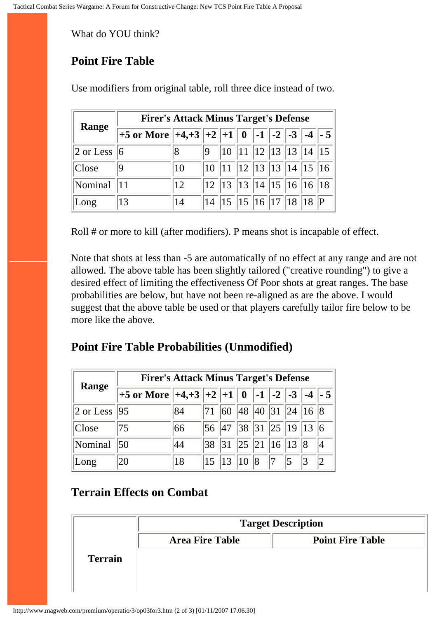What do YOU think?

# **Point Fire Table**

|                       | <b>Firer's Attack Minus Target's Defense</b>      |    |    |                                       |  |                            |  |  |  |             |
|-----------------------|---------------------------------------------------|----|----|---------------------------------------|--|----------------------------|--|--|--|-------------|
| Range                 | +5 or More $  +4,+3  +2  +1  0  -1  -2  -3  -4  $ |    |    |                                       |  |                            |  |  |  | $\vert$ - 5 |
| $ 2 \text{ or }$ Less | $\overline{6}$                                    | 8  | 19 | $ 10\rangle$                          |  | $\ 11\ 12\ 13\ 13\ 14\ 15$ |  |  |  |             |
| Close                 | 19                                                | 10 | 10 |                                       |  | 12  13  13  14  15  16     |  |  |  |             |
| Nominal               |                                                   | 12 |    | 12   13   13   14   15   16   16   18 |  |                            |  |  |  |             |
| Long                  | 13                                                | 14 |    | 14   15   15   16   17   18   18      |  |                            |  |  |  |             |

Use modifiers from original table, roll three dice instead of two.

Roll # or more to kill (after modifiers). P means shot is incapable of effect.

Note that shots at less than -5 are automatically of no effect at any range and are not allowed. The above table has been slightly tailored ("creative rounding") to give a desired effect of limiting the effectiveness Of Poor shots at great ranges. The base probabilities are below, but have not been re-aligned as are the above. I would suggest that the above table be used or that players carefully tailor fire below to be more like the above.

# **Point Fire Table Probabilities (Unmodified)**

|                                      | <b>Firer's Attack Minus Target's Defense</b>           |    |                                                               |                                 |  |  |  |                                                                   |  |  |
|--------------------------------------|--------------------------------------------------------|----|---------------------------------------------------------------|---------------------------------|--|--|--|-------------------------------------------------------------------|--|--|
| Range                                | +5 or More $ +4,+3 +2 +1 $ 0   -1   -2   -3   -4   - 5 |    |                                                               |                                 |  |  |  |                                                                   |  |  |
| $\vert 2$ or Less $\vert 95 \rangle$ |                                                        | 84 | $ 71 $ 60 48 40 31 24 16 8                                    |                                 |  |  |  |                                                                   |  |  |
| Close                                | 175                                                    | 66 | 56   47   38   31   25   19   13   6                          |                                 |  |  |  |                                                                   |  |  |
| Nominal                              | 50                                                     | 44 |                                                               | 38   31   25   21   16   13   8 |  |  |  |                                                                   |  |  |
| Long                                 | 20                                                     | 18 | $\left 15\right \left 13\right \left 10\right \left 8\right $ |                                 |  |  |  | $\begin{array}{ c c c c } \hline 7 & 5 & 3 \\ \hline \end{array}$ |  |  |

# **Terrain Effects on Combat**

| <b>Point Fire Table</b> |
|-------------------------|
|                         |
|                         |
|                         |
|                         |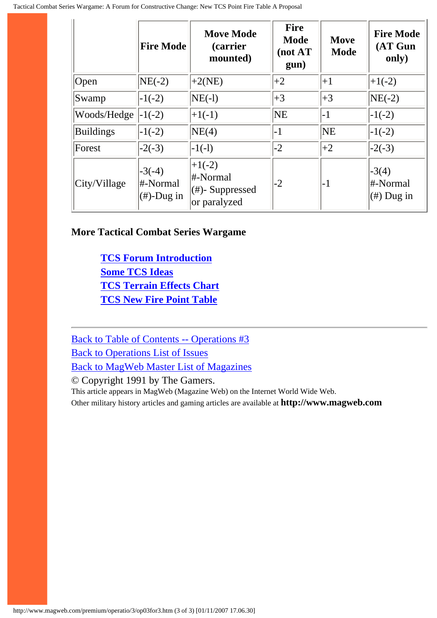|                      | <b>Fire Mode</b>                       | <b>Move Mode</b><br><i>(carrier)</i><br>mounted)            | <b>Fire</b><br><b>Mode</b><br>(not AT<br>gun) | Move<br><b>Mode</b> | <b>Fire Mode</b><br>(AT Gun<br>only) |  |
|----------------------|----------------------------------------|-------------------------------------------------------------|-----------------------------------------------|---------------------|--------------------------------------|--|
| $\sqrt{\text{Open}}$ | $NE(-2)$                               | $+2(NE)$                                                    | $+2$                                          | $+1$                | $+1(-2)$                             |  |
| Swamp                | $-1(-2)$                               | $NE(-1)$                                                    | $+3$                                          | $+3$                | $NE(-2)$                             |  |
| Woods/Hedge          | $-1(-2)$                               | $+1(-1)$                                                    | $N\mathrm{E}$                                 | $-1$                | $-1(-2)$                             |  |
| <b>Buildings</b>     | $-1(-2)$                               | NE(4)                                                       | $-1$                                          | <b>NE</b>           | $-1(-2)$                             |  |
| Forest               | $-2(-3)$                               | $-1(-1)$                                                    | $-2$                                          | $+2$                | $-2(-3)$                             |  |
| City/Village         | $-3(-4)$<br>#-Normal<br>$(\#)$ -Dug in | $+1(-2)$<br>#-Normal<br>$(\#)$ - Suppressed<br>or paralyzed | $-2$                                          | $-1$                | $-3(4)$<br>#-Normal<br>$(\#)$ Dug in |  |

#### **More Tactical Combat Series Wargame**

**[TCS Forum Introduction](#page-30-0) [Some TCS Ideas](#page-31-0) [TCS Terrain Effects Chart](#page-34-0) [TCS New Fire Point Table](#page-35-0)**

[Back to Table of Contents -- Operations #3](#page-0-0) [Back to Operations List of Issues](http://www.magweb.com/premium/operatio/operiss.htm) [Back to MagWeb Master List of Magazines](http://www.magweb.com/premium/maglist.htm)

© Copyright 1991 by The Gamers.

This article appears in MagWeb (Magazine Web) on the Internet World Wide Web.

Other military history articles and gaming articles are available at **http://www.magweb.com**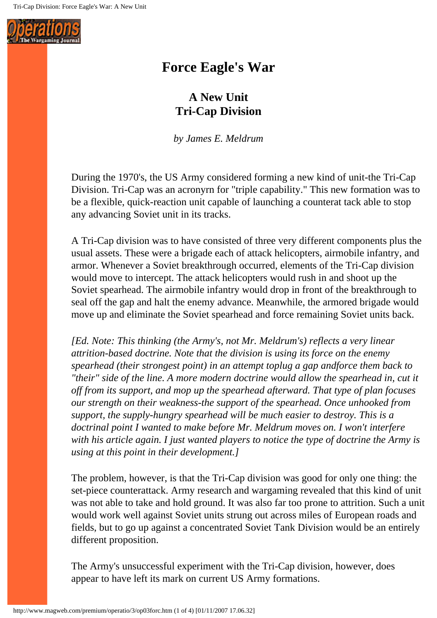

# **Force Eagle's War**

# **A New Unit Tri-Cap Division**

*by James E. Meldrum*

During the 1970's, the US Army considered forming a new kind of unit-the Tri-Cap Division. Tri-Cap was an acronyrn for "triple capability." This new formation was to be a flexible, quick-reaction unit capable of launching a counterat tack able to stop any advancing Soviet unit in its tracks.

A Tri-Cap division was to have consisted of three very different components plus the usual assets. These were a brigade each of attack helicopters, airmobile infantry, and armor. Whenever a Soviet breakthrough occurred, elements of the Tri-Cap division would move to intercept. The attack helicopters would rush in and shoot up the Soviet spearhead. The airmobile infantry would drop in front of the breakthrough to seal off the gap and halt the enemy advance. Meanwhile, the armored brigade would move up and eliminate the Soviet spearhead and force remaining Soviet units back.

*[Ed. Note: This thinking (the Army's, not Mr. Meldrum's) reflects a very linear attrition-based doctrine. Note that the division is using its force on the enemy spearhead (their strongest point) in an attempt toplug a gap andforce them back to*  "their" side of the line. A more modern doctrine would allow the spearhead in, cut it *off from its support, and mop up the spearhead afterward. That type of plan focuses our strength on their weakness-the support of the spearhead. Once unhooked from support, the supply-hungry spearhead will be much easier to destroy. This is a doctrinal point I wanted to make before Mr. Meldrum moves on. I won't interfere with his article again. I just wanted players to notice the type of doctrine the Army is using at this point in their development.]*

The problem, however, is that the Tri-Cap division was good for only one thing: the set-piece counterattack. Army research and wargaming revealed that this kind of unit was not able to take and hold ground. It was also far too prone to attrition. Such a unit would work well against Soviet units strung out across miles of European roads and fields, but to go up against a concentrated Soviet Tank Division would be an entirely different proposition.

The Army's unsuccessful experiment with the Tri-Cap division, however, does appear to have left its mark on current US Army formations.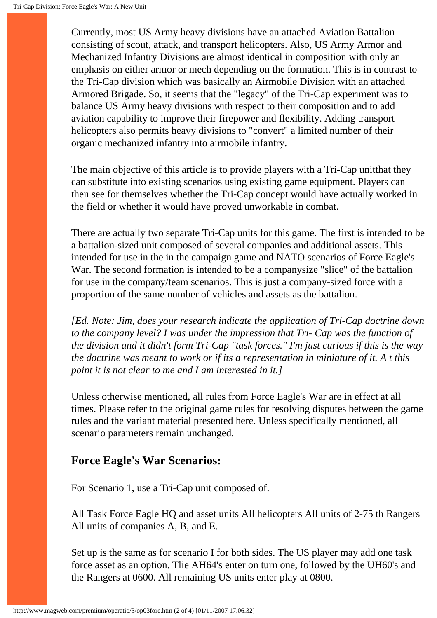Currently, most US Army heavy divisions have an attached Aviation Battalion consisting of scout, attack, and transport helicopters. Also, US Army Armor and Mechanized Infantry Divisions are almost identical in composition with only an emphasis on either armor or mech depending on the formation. This is in contrast to the Tri-Cap division which was basically an Airmobile Division with an attached Armored Brigade. So, it seems that the "legacy" of the Tri-Cap experiment was to balance US Army heavy divisions with respect to their composition and to add aviation capability to improve their firepower and flexibility. Adding transport helicopters also permits heavy divisions to "convert" a limited number of their organic mechanized infantry into airmobile infantry.

The main objective of this article is to provide players with a Tri-Cap unitthat they can substitute into existing scenarios using existing game equipment. Players can then see for themselves whether the Tri-Cap concept would have actually worked in the field or whether it would have proved unworkable in combat.

There are actually two separate Tri-Cap units for this game. The first is intended to be a battalion-sized unit composed of several companies and additional assets. This intended for use in the in the campaign game and NATO scenarios of Force Eagle's War. The second formation is intended to be a companysize "slice" of the battalion for use in the company/team scenarios. This is just a company-sized force with a proportion of the same number of vehicles and assets as the battalion.

*[Ed. Note: Jim, does your research indicate the application of Tri-Cap doctrine down to the company level? I was under the impression that Tri- Cap was the function of the division and it didn't form Tri-Cap "task forces." I'm just curious if this is the way the doctrine was meant to work or if its a representation in miniature of it. A t this point it is not clear to me and I am interested in it.]*

Unless otherwise mentioned, all rules from Force Eagle's War are in effect at all times. Please refer to the original game rules for resolving disputes between the game rules and the variant material presented here. Unless specifically mentioned, all scenario parameters remain unchanged.

### **Force Eagle's War Scenarios:**

For Scenario 1, use a Tri-Cap unit composed of.

All Task Force Eagle HQ and asset units All helicopters All units of 2-75 th Rangers All units of companies A, B, and E.

Set up is the same as for scenario I for both sides. The US player may add one task force asset as an option. Tlie AH64's enter on turn one, followed by the UH60's and the Rangers at 0600. All remaining US units enter play at 0800.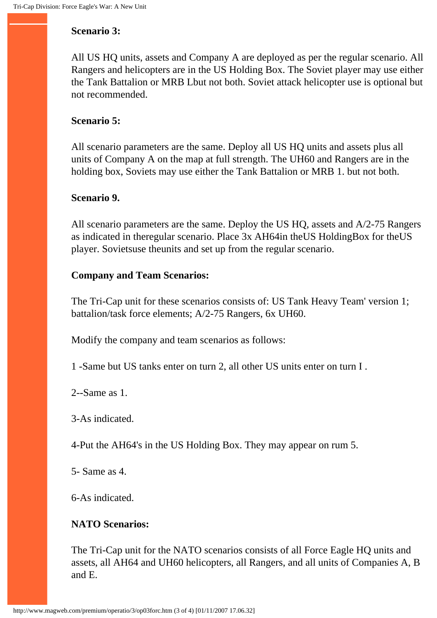#### **Scenario 3:**

All US HQ units, assets and Company A are deployed as per the regular scenario. All Rangers and helicopters are in the US Holding Box. The Soviet player may use either the Tank Battalion or MRB Lbut not both. Soviet attack helicopter use is optional but not recommended.

#### **Scenario 5:**

All scenario parameters are the same. Deploy all US HQ units and assets plus all units of Company A on the map at full strength. The UH60 and Rangers are in the holding box, Soviets may use either the Tank Battalion or MRB 1. but not both.

#### **Scenario 9.**

All scenario parameters are the same. Deploy the US HQ, assets and A/2-75 Rangers as indicated in theregular scenario. Place 3x AH64in theUS HoldingBox for theUS player. Sovietsuse theunits and set up from the regular scenario.

#### **Company and Team Scenarios:**

The Tri-Cap unit for these scenarios consists of: US Tank Heavy Team' version 1; battalion/task force elements; A/2-75 Rangers, 6x UH60.

Modify the company and team scenarios as follows:

1 -Same but US tanks enter on turn 2, all other US units enter on turn I .

2--Same as 1.

3-As indicated.

4-Put the AH64's in the US Holding Box. They may appear on rum 5.

5- Same as 4.

6-As indicated.

### **NATO Scenarios:**

The Tri-Cap unit for the NATO scenarios consists of all Force Eagle HQ units and assets, all AH64 and UH60 helicopters, all Rangers, and all units of Companies A, B and E.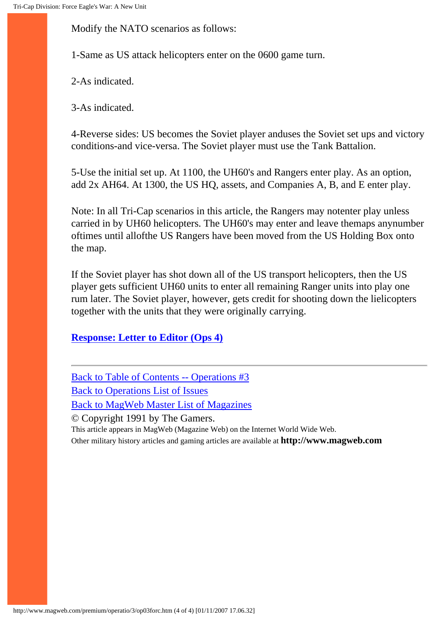Modify the NATO scenarios as follows:

1-Same as US attack helicopters enter on the 0600 game turn.

2-As indicated.

3-As indicated.

4-Reverse sides: US becomes the Soviet player anduses the Soviet set ups and victory conditions-and vice-versa. The Soviet player must use the Tank Battalion.

5-Use the initial set up. At 1100, the UH60's and Rangers enter play. As an option, add 2x AH64. At 1300, the US HQ, assets, and Companies A, B, and E enter play.

Note: In all Tri-Cap scenarios in this article, the Rangers may notenter play unless carried in by UH60 helicopters. The UH60's may enter and leave themaps anynumber oftimes until allofthe US Rangers have been moved from the US Holding Box onto the map.

If the Soviet player has shot down all of the US transport helicopters, then the US player gets sufficient UH60 units to enter all remaining Ranger units into play one rum later. The Soviet player, however, gets credit for shooting down the lielicopters together with the units that they were originally carrying.

**[Response: Letter to Editor \(Ops 4\)](http://www.magweb.com/premium/operatio/4/op04lett.htm)**

[Back to Table of Contents -- Operations #3](#page-0-0) [Back to Operations List of Issues](http://www.magweb.com/premium/operatio/operiss.htm) [Back to MagWeb Master List of Magazines](http://www.magweb.com/premium/maglist.htm) © Copyright 1991 by The Gamers. This article appears in MagWeb (Magazine Web) on the Internet World Wide Web. Other military history articles and gaming articles are available at **http://www.magweb.com**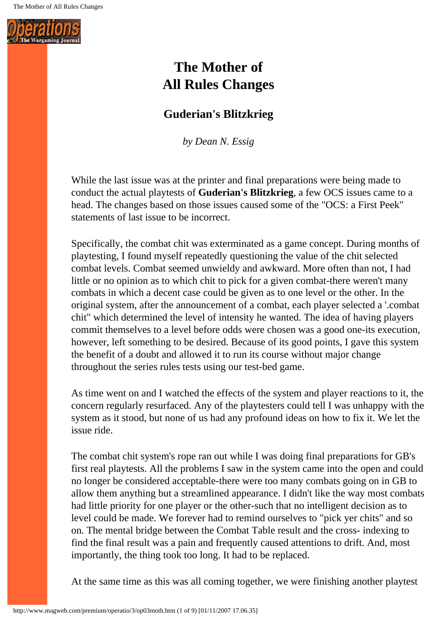

# **The Mother of All Rules Changes**

# **Guderian's Blitzkrieg**

*by Dean N. Essig*

While the last issue was at the printer and final preparations were being made to conduct the actual playtests of **Guderian's Blitzkrieg**, a few OCS issues came to a head. The changes based on those issues caused some of the "OCS: a First Peek" statements of last issue to be incorrect.

Specifically, the combat chit was exterminated as a game concept. During months of playtesting, I found myself repeatedly questioning the value of the chit selected combat levels. Combat seemed unwieldy and awkward. More often than not, I had little or no opinion as to which chit to pick for a given combat-there weren't many combats in which a decent case could be given as to one level or the other. In the original system, after the announcement of a combat, each player selected a '.combat chit" which determined the level of intensity he wanted. The idea of having players commit themselves to a level before odds were chosen was a good one-its execution, however, left something to be desired. Because of its good points, I gave this system the benefit of a doubt and allowed it to run its course without major change throughout the series rules tests using our test-bed game.

As time went on and I watched the effects of the system and player reactions to it, the concern regularly resurfaced. Any of the playtesters could tell I was unhappy with the system as it stood, but none of us had any profound ideas on how to fix it. We let the issue ride.

The combat chit system's rope ran out while I was doing final preparations for GB's first real playtests. All the problems I saw in the system came into the open and could no longer be considered acceptable-there were too many combats going on in GB to allow them anything but a streamlined appearance. I didn't like the way most combats had little priority for one player or the other-such that no intelligent decision as to level could be made. We forever had to remind ourselves to "pick yer chits" and so on. The mental bridge between the Combat Table result and the cross- indexing to find the final result was a pain and frequently caused attentions to drift. And, most importantly, the thing took too long. It had to be replaced.

At the same time as this was all coming together, we were finishing another playtest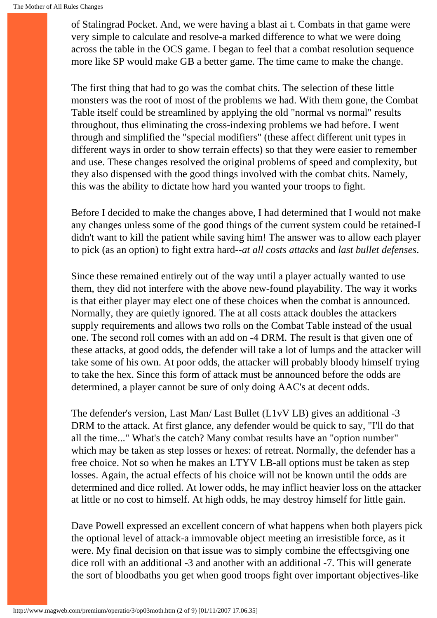of Stalingrad Pocket. And, we were having a blast ai t. Combats in that game were very simple to calculate and resolve-a marked difference to what we were doing across the table in the OCS game. I began to feel that a combat resolution sequence more like SP would make GB a better game. The time came to make the change.

The first thing that had to go was the combat chits. The selection of these little monsters was the root of most of the problems we had. With them gone, the Combat Table itself could be streamlined by applying the old "normal vs normal" results throughout, thus eliminating the cross-indexing problems we had before. I went through and simplified the "special modifiers" (these affect different unit types in different ways in order to show terrain effects) so that they were easier to remember and use. These changes resolved the original problems of speed and complexity, but they also dispensed with the good things involved with the combat chits. Namely, this was the ability to dictate how hard you wanted your troops to fight.

Before I decided to make the changes above, I had determined that I would not make any changes unless some of the good things of the current system could be retained-I didn't want to kill the patient while saving him! The answer was to allow each player to pick (as an option) to fight extra hard--*at all costs attacks* and *last bullet defenses*.

Since these remained entirely out of the way until a player actually wanted to use them, they did not interfere with the above new-found playability. The way it works is that either player may elect one of these choices when the combat is announced. Normally, they are quietly ignored. The at all costs attack doubles the attackers supply requirements and allows two rolls on the Combat Table instead of the usual one. The second roll comes with an add on -4 DRM. The result is that given one of these attacks, at good odds, the defender will take a lot of lumps and the attacker will take some of his own. At poor odds, the attacker will probably bloody himself trying to take the hex. Since this form of attack must be announced before the odds are determined, a player cannot be sure of only doing AAC's at decent odds.

The defender's version, Last Man/ Last Bullet (L1vV LB) gives an additional -3 DRM to the attack. At first glance, any defender would be quick to say, "I'll do that all the time..." What's the catch? Many combat results have an "option number" which may be taken as step losses or hexes: of retreat. Normally, the defender has a free choice. Not so when he makes an LTYV LB-all options must be taken as step losses. Again, the actual effects of his choice will not be known until the odds are determined and dice rolled. At lower odds, he may inflict heavier loss on the attacker at little or no cost to himself. At high odds, he may destroy himself for little gain.

Dave Powell expressed an excellent concern of what happens when both players pick the optional level of attack-a immovable object meeting an irresistible force, as it were. My final decision on that issue was to simply combine the effectsgiving one dice roll with an additional -3 and another with an additional -7. This will generate the sort of bloodbaths you get when good troops fight over important objectives-like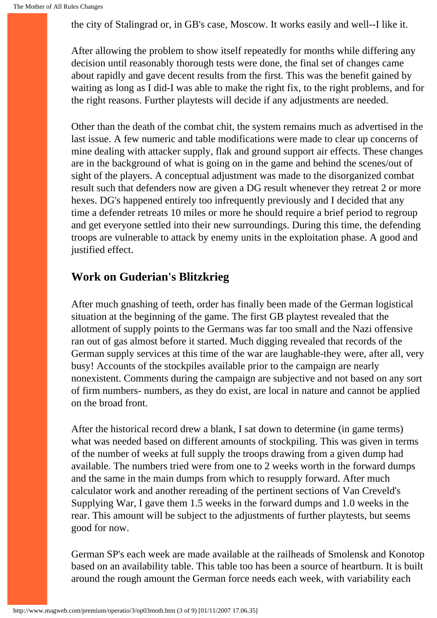the city of Stalingrad or, in GB's case, Moscow. It works easily and well--I like it.

After allowing the problem to show itself repeatedly for months while differing any decision until reasonably thorough tests were done, the final set of changes came about rapidly and gave decent results from the first. This was the benefit gained by waiting as long as I did-I was able to make the right fix, to the right problems, and for the right reasons. Further playtests will decide if any adjustments are needed.

Other than the death of the combat chit, the system remains much as advertised in the last issue. A few numeric and table modifications were made to clear up concerns of mine dealing with attacker supply, flak and ground support air effects. These changes are in the background of what is going on in the game and behind the scenes/out of sight of the players. A conceptual adjustment was made to the disorganized combat result such that defenders now are given a DG result whenever they retreat 2 or more hexes. DG's happened entirely too infrequently previously and I decided that any time a defender retreats 10 miles or more he should require a brief period to regroup and get everyone settled into their new surroundings. During this time, the defending troops are vulnerable to attack by enemy units in the exploitation phase. A good and justified effect.

### **Work on Guderian's Blitzkrieg**

After much gnashing of teeth, order has finally been made of the German logistical situation at the beginning of the game. The first GB playtest revealed that the allotment of supply points to the Germans was far too small and the Nazi offensive ran out of gas almost before it started. Much digging revealed that records of the German supply services at this time of the war are laughable-they were, after all, very busy! Accounts of the stockpiles available prior to the campaign are nearly nonexistent. Comments during the campaign are subjective and not based on any sort of firm numbers- numbers, as they do exist, are local in nature and cannot be applied on the broad front.

After the historical record drew a blank, I sat down to determine (in game terms) what was needed based on different amounts of stockpiling. This was given in terms of the number of weeks at full supply the troops drawing from a given dump had available. The numbers tried were from one to 2 weeks worth in the forward dumps and the same in the main dumps from which to resupply forward. After much calculator work and another rereading of the pertinent sections of Van Creveld's Supplying War, I gave them 1.5 weeks in the forward dumps and 1.0 weeks in the rear. This amount will be subject to the adjustments of further playtests, but seems good for now.

German SP's each week are made available at the railheads of Smolensk and Konotop based on an availability table. This table too has been a source of heartburn. It is built around the rough amount the German force needs each week, with variability each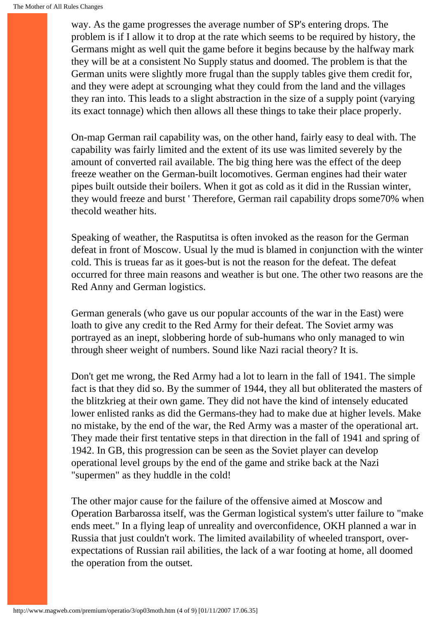way. As the game progresses the average number of SP's entering drops. The problem is if I allow it to drop at the rate which seems to be required by history, the Germans might as well quit the game before it begins because by the halfway mark they will be at a consistent No Supply status and doomed. The problem is that the German units were slightly more frugal than the supply tables give them credit for, and they were adept at scrounging what they could from the land and the villages they ran into. This leads to a slight abstraction in the size of a supply point (varying its exact tonnage) which then allows all these things to take their place properly.

On-map German rail capability was, on the other hand, fairly easy to deal with. The capability was fairly limited and the extent of its use was limited severely by the amount of converted rail available. The big thing here was the effect of the deep freeze weather on the German-built locomotives. German engines had their water pipes built outside their boilers. When it got as cold as it did in the Russian winter, they would freeze and burst ' Therefore, German rail capability drops some70% when thecold weather hits.

Speaking of weather, the Rasputitsa is often invoked as the reason for the German defeat in front of Moscow. Usual ly the mud is blamed in conjunction with the winter cold. This is trueas far as it goes-but is not the reason for the defeat. The defeat occurred for three main reasons and weather is but one. The other two reasons are the Red Anny and German logistics.

German generals (who gave us our popular accounts of the war in the East) were loath to give any credit to the Red Army for their defeat. The Soviet army was portrayed as an inept, slobbering horde of sub-humans who only managed to win through sheer weight of numbers. Sound like Nazi racial theory? It is.

Don't get me wrong, the Red Army had a lot to learn in the fall of 1941. The simple fact is that they did so. By the summer of 1944, they all but obliterated the masters of the blitzkrieg at their own game. They did not have the kind of intensely educated lower enlisted ranks as did the Germans-they had to make due at higher levels. Make no mistake, by the end of the war, the Red Army was a master of the operational art. They made their first tentative steps in that direction in the fall of 1941 and spring of 1942. In GB, this progression can be seen as the Soviet player can develop operational level groups by the end of the game and strike back at the Nazi "supermen" as they huddle in the cold!

The other major cause for the failure of the offensive aimed at Moscow and Operation Barbarossa itself, was the German logistical system's utter failure to "make ends meet." In a flying leap of unreality and overconfidence, OKH planned a war in Russia that just couldn't work. The limited availability of wheeled transport, overexpectations of Russian rail abilities, the lack of a war footing at home, all doomed the operation from the outset.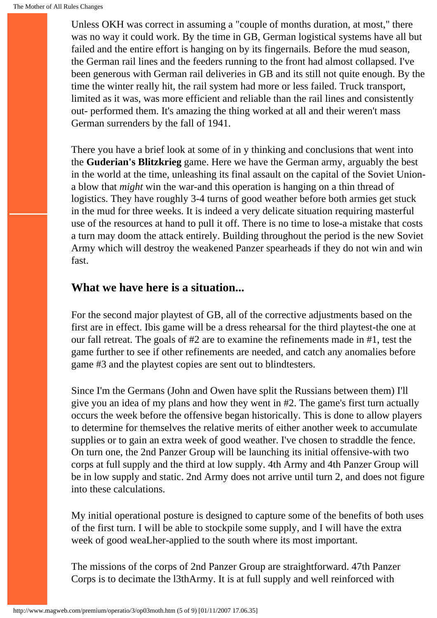Unless OKH was correct in assuming a "couple of months duration, at most," there was no way it could work. By the time in GB, German logistical systems have all but failed and the entire effort is hanging on by its fingernails. Before the mud season, the German rail lines and the feeders running to the front had almost collapsed. I've been generous with German rail deliveries in GB and its still not quite enough. By the time the winter really hit, the rail system had more or less failed. Truck transport, limited as it was, was more efficient and reliable than the rail lines and consistently out- performed them. It's amazing the thing worked at all and their weren't mass German surrenders by the fall of 1941.

There you have a brief look at some of in y thinking and conclusions that went into the **Guderian's Blitzkrieg** game. Here we have the German army, arguably the best in the world at the time, unleashing its final assault on the capital of the Soviet Uniona blow that *might* win the war-and this operation is hanging on a thin thread of logistics. They have roughly 3-4 turns of good weather before both armies get stuck in the mud for three weeks. It is indeed a very delicate situation requiring masterful use of the resources at hand to pull it off. There is no time to lose-a mistake that costs a turn may doom the attack entirely. Building throughout the period is the new Soviet Army which will destroy the weakened Panzer spearheads if they do not win and win fast.

### **What we have here is a situation...**

For the second major playtest of GB, all of the corrective adjustments based on the first are in effect. Ibis game will be a dress rehearsal for the third playtest-the one at our fall retreat. The goals of #2 are to examine the refinements made in #1, test the game further to see if other refinements are needed, and catch any anomalies before game #3 and the playtest copies are sent out to blindtesters.

Since I'm the Germans (John and Owen have split the Russians between them) I'll give you an idea of my plans and how they went in #2. The game's first turn actually occurs the week before the offensive began historically. This is done to allow players to determine for themselves the relative merits of either another week to accumulate supplies or to gain an extra week of good weather. I've chosen to straddle the fence. On turn one, the 2nd Panzer Group will be launching its initial offensive-with two corps at full supply and the third at low supply. 4th Army and 4th Panzer Group will be in low supply and static. 2nd Army does not arrive until turn 2, and does not figure into these calculations.

My initial operational posture is designed to capture some of the benefits of both uses of the first turn. I will be able to stockpile some supply, and I will have the extra week of good weaLher-applied to the south where its most important.

The missions of the corps of 2nd Panzer Group are straightforward. 47th Panzer Corps is to decimate the l3thArmy. It is at full supply and well reinforced with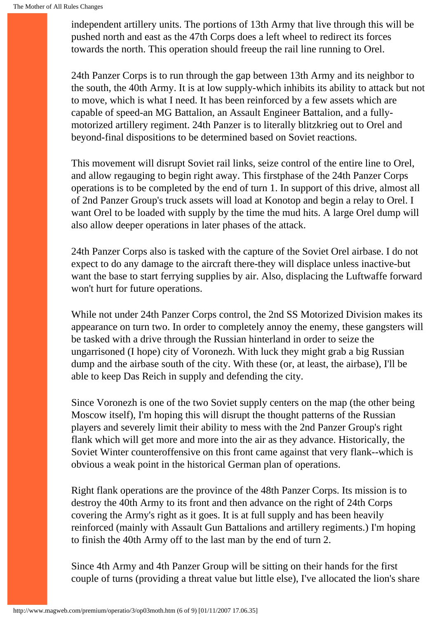independent artillery units. The portions of 13th Army that live through this will be pushed north and east as the 47th Corps does a left wheel to redirect its forces towards the north. This operation should freeup the rail line running to Orel.

24th Panzer Corps is to run through the gap between 13th Army and its neighbor to the south, the 40th Army. It is at low supply-which inhibits its ability to attack but not to move, which is what I need. It has been reinforced by a few assets which are capable of speed-an MG Battalion, an Assault Engineer Battalion, and a fullymotorized artillery regiment. 24th Panzer is to literally blitzkrieg out to Orel and beyond-final dispositions to be determined based on Soviet reactions.

This movement will disrupt Soviet rail links, seize control of the entire line to Orel, and allow regauging to begin right away. This firstphase of the 24th Panzer Corps operations is to be completed by the end of turn 1. In support of this drive, almost all of 2nd Panzer Group's truck assets will load at Konotop and begin a relay to Orel. I want Orel to be loaded with supply by the time the mud hits. A large Orel dump will also allow deeper operations in later phases of the attack.

24th Panzer Corps also is tasked with the capture of the Soviet Orel airbase. I do not expect to do any damage to the aircraft there-they will displace unless inactive-but want the base to start ferrying supplies by air. Also, displacing the Luftwaffe forward won't hurt for future operations.

While not under 24th Panzer Corps control, the 2nd SS Motorized Division makes its appearance on turn two. In order to completely annoy the enemy, these gangsters will be tasked with a drive through the Russian hinterland in order to seize the ungarrisoned (I hope) city of Voronezh. With luck they might grab a big Russian dump and the airbase south of the city. With these (or, at least, the airbase), I'll be able to keep Das Reich in supply and defending the city.

Since Voronezh is one of the two Soviet supply centers on the map (the other being Moscow itself), I'm hoping this will disrupt the thought patterns of the Russian players and severely limit their ability to mess with the 2nd Panzer Group's right flank which will get more and more into the air as they advance. Historically, the Soviet Winter counteroffensive on this front came against that very flank--which is obvious a weak point in the historical German plan of operations.

Right flank operations are the province of the 48th Panzer Corps. Its mission is to destroy the 40th Army to its front and then advance on the right of 24th Corps covering the Army's right as it goes. It is at full supply and has been heavily reinforced (mainly with Assault Gun Battalions and artillery regiments.) I'm hoping to finish the 40th Army off to the last man by the end of turn 2.

Since 4th Army and 4th Panzer Group will be sitting on their hands for the first couple of turns (providing a threat value but little else), I've allocated the lion's share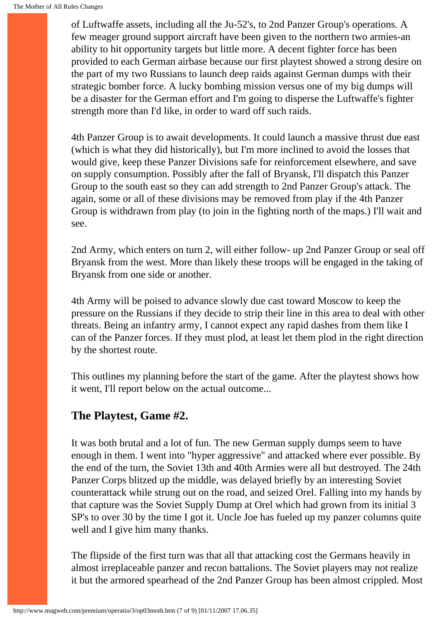of Luftwaffe assets, including all the Ju-52's, to 2nd Panzer Group's operations. A few meager ground support aircraft have been given to the northern two armies-an ability to hit opportunity targets but little more. A decent fighter force has been provided to each German airbase because our first playtest showed a strong desire on the part of my two Russians to launch deep raids against German dumps with their strategic bomber force. A lucky bombing mission versus one of my big dumps will be a disaster for the German effort and I'm going to disperse the Luftwaffe's fighter strength more than I'd like, in order to ward off such raids.

4th Panzer Group is to await developments. It could launch a massive thrust due east (which is what they did historically), but I'm more inclined to avoid the losses that would give, keep these Panzer Divisions safe for reinforcement elsewhere, and save on supply consumption. Possibly after the fall of Bryansk, I'll dispatch this Panzer Group to the south east so they can add strength to 2nd Panzer Group's attack. The again, some or all of these divisions may be removed from play if the 4th Panzer Group is withdrawn from play (to join in the fighting north of the maps.) I'll wait and see.

2nd Army, which enters on turn 2, will either follow- up 2nd Panzer Group or seal off Bryansk from the west. More than likely these troops will be engaged in the taking of Bryansk from one side or another.

4th Army will be poised to advance slowly due cast toward Moscow to keep the pressure on the Russians if they decide to strip their line in this area to deal with other threats. Being an infantry army, I cannot expect any rapid dashes from them like I can of the Panzer forces. If they must plod, at least let them plod in the right direction by the shortest route.

This outlines my planning before the start of the game. After the playtest shows how it went, I'll report below on the actual outcome...

### **The Playtest, Game #2.**

It was both brutal and a lot of fun. The new German supply dumps seem to have enough in them. I went into "hyper aggressive" and attacked where ever possible. By the end of the turn, the Soviet 13th and 40th Armies were all but destroyed. The 24th Panzer Corps blitzed up the middle, was delayed briefly by an interesting Soviet counterattack while strung out on the road, and seized Orel. Falling into my hands by that capture was the Soviet Supply Dump at Orel which had grown from its initial 3 SP's to over 30 by the time I got it. Uncle Joe has fueled up my panzer columns quite well and I give him many thanks.

The flipside of the first turn was that all that attacking cost the Germans heavily in almost irreplaceable panzer and recon battalions. The Soviet players may not realize it but the armored spearhead of the 2nd Panzer Group has been almost crippled. Most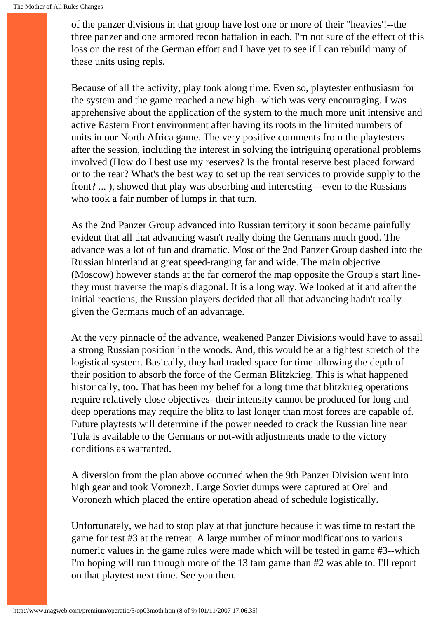of the panzer divisions in that group have lost one or more of their "heavies'!--the three panzer and one armored recon battalion in each. I'm not sure of the effect of this loss on the rest of the German effort and I have yet to see if I can rebuild many of these units using repls.

Because of all the activity, play took along time. Even so, playtester enthusiasm for the system and the game reached a new high--which was very encouraging. I was apprehensive about the application of the system to the much more unit intensive and active Eastern Front environment after having its roots in the limited numbers of units in our North Africa game. The very positive comments from the playtesters after the session, including the interest in solving the intriguing operational problems involved (How do I best use my reserves? Is the frontal reserve best placed forward or to the rear? What's the best way to set up the rear services to provide supply to the front? ... ), showed that play was absorbing and interesting---even to the Russians who took a fair number of lumps in that turn.

As the 2nd Panzer Group advanced into Russian territory it soon became painfully evident that all that advancing wasn't really doing the Germans much good. The advance was a lot of fun and dramatic. Most of the 2nd Panzer Group dashed into the Russian hinterland at great speed-ranging far and wide. The main objective (Moscow) however stands at the far cornerof the map opposite the Group's start linethey must traverse the map's diagonal. It is a long way. We looked at it and after the initial reactions, the Russian players decided that all that advancing hadn't really given the Germans much of an advantage.

At the very pinnacle of the advance, weakened Panzer Divisions would have to assail a strong Russian position in the woods. And, this would be at a tightest stretch of the logistical system. Basically, they had traded space for time-allowing the depth of their position to absorb the force of the German Blitzkrieg. This is what happened historically, too. That has been my belief for a long time that blitzkrieg operations require relatively close objectives- their intensity cannot be produced for long and deep operations may require the blitz to last longer than most forces are capable of. Future playtests will determine if the power needed to crack the Russian line near Tula is available to the Germans or not-with adjustments made to the victory conditions as warranted.

A diversion from the plan above occurred when the 9th Panzer Division went into high gear and took Voronezh. Large Soviet dumps were captured at Orel and Voronezh which placed the entire operation ahead of schedule logistically.

Unfortunately, we had to stop play at that juncture because it was time to restart the game for test #3 at the retreat. A large number of minor modifications to various numeric values in the game rules were made which will be tested in game #3--which I'm hoping will run through more of the 13 tam game than #2 was able to. I'll report on that playtest next time. See you then.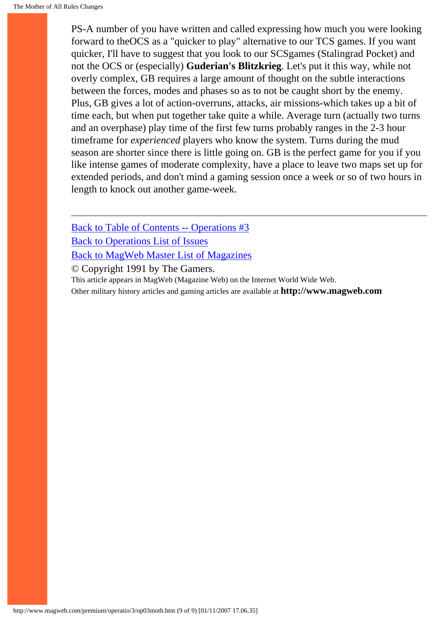PS-A number of you have written and called expressing how much you were looking forward to theOCS as a "quicker to play" alternative to our TCS games. If you want quicker, I'll have to suggest that you look to our SCSgames (Stalingrad Pocket) and not the OCS or (especially) **Guderian's Blitzkrieg**. Let's put it this way, while not overly complex, GB requires a large amount of thought on the subtle interactions between the forces, modes and phases so as to not be caught short by the enemy. Plus, GB gives a lot of action-overruns, attacks, air missions-which takes up a bit of time each, but when put together take quite a while. Average turn (actually two turns and an overphase) play time of the first few turns probably ranges in the 2-3 hour timeframe for *experienced* players who know the system. Turns during the mud season are shorter since there is little going on. GB is the perfect game for you if you like intense games of moderate complexity, have a place to leave two maps set up for extended periods, and don't mind a gaming session once a week or so of two hours in length to knock out another game-week.

[Back to Table of Contents -- Operations #3](#page-0-0) [Back to Operations List of Issues](http://www.magweb.com/premium/operatio/operiss.htm) [Back to MagWeb Master List of Magazines](http://www.magweb.com/premium/maglist.htm)

© Copyright 1991 by The Gamers.

This article appears in MagWeb (Magazine Web) on the Internet World Wide Web.

Other military history articles and gaming articles are available at **http://www.magweb.com**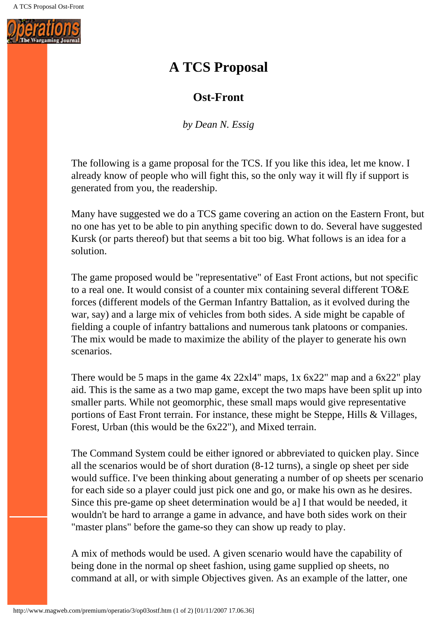

# **A TCS Proposal**

## **Ost-Front**

*by Dean N. Essig*

The following is a game proposal for the TCS. If you like this idea, let me know. I already know of people who will fight this, so the only way it will fly if support is generated from you, the readership.

Many have suggested we do a TCS game covering an action on the Eastern Front, but no one has yet to be able to pin anything specific down to do. Several have suggested Kursk (or parts thereof) but that seems a bit too big. What follows is an idea for a solution.

The game proposed would be "representative" of East Front actions, but not specific to a real one. It would consist of a counter mix containing several different TO&E forces (different models of the German Infantry Battalion, as it evolved during the war, say) and a large mix of vehicles from both sides. A side might be capable of fielding a couple of infantry battalions and numerous tank platoons or companies. The mix would be made to maximize the ability of the player to generate his own scenarios.

There would be 5 maps in the game 4x 22xl4" maps, 1x 6x22" map and a 6x22" play aid. This is the same as a two map game, except the two maps have been split up into smaller parts. While not geomorphic, these small maps would give representative portions of East Front terrain. For instance, these might be Steppe, Hills & Villages, Forest, Urban (this would be the 6x22"), and Mixed terrain.

The Command System could be either ignored or abbreviated to quicken play. Since all the scenarios would be of short duration (8-12 turns), a single op sheet per side would suffice. I've been thinking about generating a number of op sheets per scenario for each side so a player could just pick one and go, or make his own as he desires. Since this pre-game op sheet determination would be a] I that would be needed, it wouldn't be hard to arrange a game in advance, and have both sides work on their "master plans" before the game-so they can show up ready to play.

A mix of methods would be used. A given scenario would have the capability of being done in the normal op sheet fashion, using game supplied op sheets, no command at all, or with simple Objectives given. As an example of the latter, one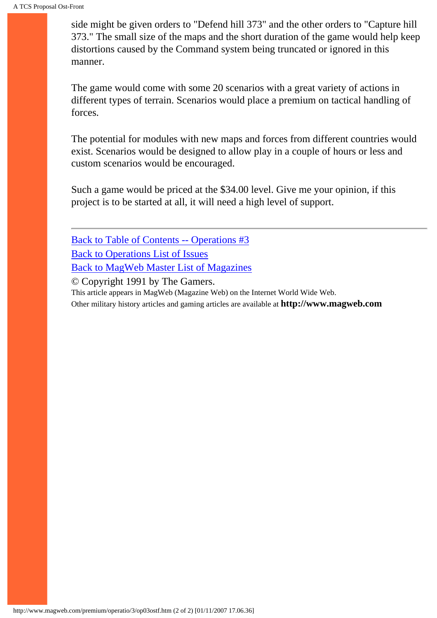side might be given orders to "Defend hill 373" and the other orders to "Capture hill 373." The small size of the maps and the short duration of the game would help keep distortions caused by the Command system being truncated or ignored in this manner.

The game would come with some 20 scenarios with a great variety of actions in different types of terrain. Scenarios would place a premium on tactical handling of forces.

The potential for modules with new maps and forces from different countries would exist. Scenarios would be designed to allow play in a couple of hours or less and custom scenarios would be encouraged.

Such a game would be priced at the \$34.00 level. Give me your opinion, if this project is to be started at all, it will need a high level of support.

[Back to Table of Contents -- Operations #3](#page-0-0) [Back to Operations List of Issues](http://www.magweb.com/premium/operatio/operiss.htm) [Back to MagWeb Master List of Magazines](http://www.magweb.com/premium/maglist.htm) © Copyright 1991 by The Gamers.

This article appears in MagWeb (Magazine Web) on the Internet World Wide Web.

Other military history articles and gaming articles are available at **http://www.magweb.com**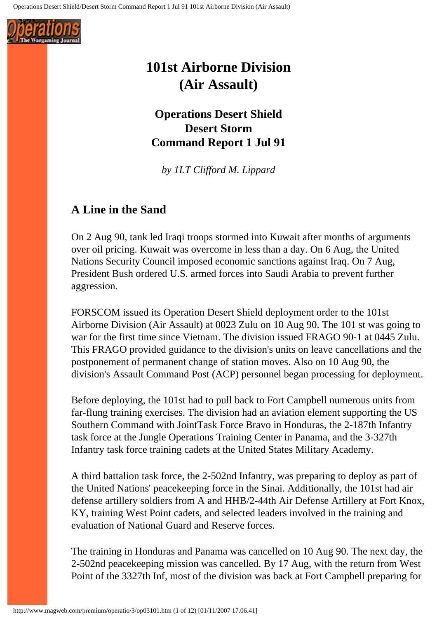

# **101st Airborne Division (Air Assault)**

**Operations Desert Shield Desert Storm Command Report 1 Jul 91** 

*by 1LT Clifford M. Lippard*

## **A Line in the Sand**

On 2 Aug 90, tank led Iraqi troops stormed into Kuwait after months of arguments over oil pricing. Kuwait was overcome in less than a day. On 6 Aug, the United Nations Security Council imposed economic sanctions against Iraq. On 7 Aug, President Bush ordered U.S. armed forces into Saudi Arabia to prevent further aggression.

FORSCOM issued its Operation Desert Shield deployment order to the 101st Airborne Division (Air Assault) at 0023 Zulu on 10 Aug 90. The 101 st was going to war for the first time since Vietnam. The division issued FRAGO 90-1 at 0445 Zulu. This FRAGO provided guidance to the division's units on leave cancellations and the postponement of permanent change of station moves. Also on 10 Aug 90, the division's Assault Command Post (ACP) personnel began processing for deployment.

Before deploying, the 101st had to pull back to Fort Campbell numerous units from far-flung training exercises. The division had an aviation element supporting the US Southern Command with JointTask Force Bravo in Honduras, the 2-187th Infantry task force at the Jungle Operations Training Center in Panama, and the 3-327th Infantry task force training cadets at the United States Military Academy.

A third battalion task force, the 2-502nd Infantry, was preparing to deploy as part of the United Nations' peacekeeping force in the Sinai. Additionally, the 101st had air defense artillery soldiers from A and HHB/2-44th Air Defense Artillery at Fort Knox, KY, training West Point cadets, and selected leaders involved in the training and evaluation of National Guard and Reserve forces.

The training in Honduras and Panama was cancelled on 10 Aug 90. The next day, the 2-502nd peacekeeping mission was cancelled. By 17 Aug, with the return from West Point of the 3327th Inf, most of the division was back at Fort Campbell preparing for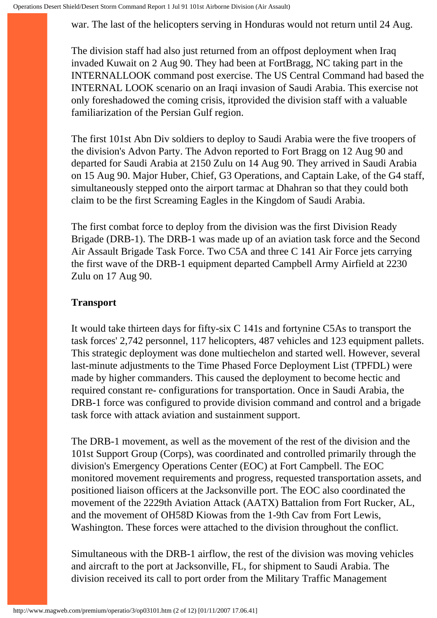war. The last of the helicopters serving in Honduras would not return until 24 Aug.

The division staff had also just returned from an offpost deployment when Iraq invaded Kuwait on 2 Aug 90. They had been at FortBragg, NC taking part in the INTERNALLOOK command post exercise. The US Central Command had based the INTERNAL LOOK scenario on an Iraqi invasion of Saudi Arabia. This exercise not only foreshadowed the coming crisis, itprovided the division staff with a valuable familiarization of the Persian Gulf region.

The first 101st Abn Div soldiers to deploy to Saudi Arabia were the five troopers of the division's Advon Party. The Advon reported to Fort Bragg on 12 Aug 90 and departed for Saudi Arabia at 2150 Zulu on 14 Aug 90. They arrived in Saudi Arabia on 15 Aug 90. Major Huber, Chief, G3 Operations, and Captain Lake, of the G4 staff, simultaneously stepped onto the airport tarmac at Dhahran so that they could both claim to be the first Screaming Eagles in the Kingdom of Saudi Arabia.

The first combat force to deploy from the division was the first Division Ready Brigade (DRB-1). The DRB-1 was made up of an aviation task force and the Second Air Assault Brigade Task Force. Two C5A and three C 141 Air Force jets carrying the first wave of the DRB-1 equipment departed Campbell Army Airfield at 2230 Zulu on 17 Aug 90.

### **Transport**

It would take thirteen days for fifty-six C 141s and fortynine C5As to transport the task forces' 2,742 personnel, 117 helicopters, 487 vehicles and 123 equipment pallets. This strategic deployment was done multiechelon and started well. However, several last-minute adjustments to the Time Phased Force Deployment List (TPFDL) were made by higher commanders. This caused the deployment to become hectic and required constant re- configurations for transportation. Once in Saudi Arabia, the DRB-1 force was configured to provide division command and control and a brigade task force with attack aviation and sustainment support.

The DRB-1 movement, as well as the movement of the rest of the division and the 101st Support Group (Corps), was coordinated and controlled primarily through the division's Emergency Operations Center (EOC) at Fort Campbell. The EOC monitored movement requirements and progress, requested transportation assets, and positioned liaison officers at the Jacksonville port. The EOC also coordinated the movement of the 2229th Aviation Attack (AATX) Battalion from Fort Rucker, AL, and the movement of OH58D Kiowas from the 1-9th Cav from Fort Lewis, Washington. These forces were attached to the division throughout the conflict.

Simultaneous with the DRB-1 airflow, the rest of the division was moving vehicles and aircraft to the port at Jacksonville, FL, for shipment to Saudi Arabia. The division received its call to port order from the Military Traffic Management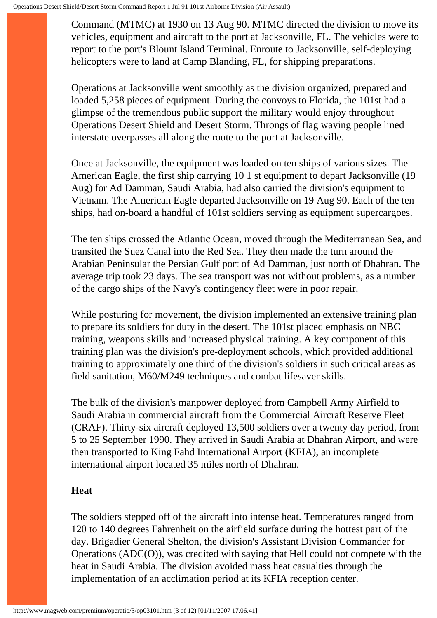Command (MTMC) at 1930 on 13 Aug 90. MTMC directed the division to move its vehicles, equipment and aircraft to the port at Jacksonville, FL. The vehicles were to report to the port's Blount Island Terminal. Enroute to Jacksonville, self-deploying helicopters were to land at Camp Blanding, FL, for shipping preparations.

Operations at Jacksonville went smoothly as the division organized, prepared and loaded 5,258 pieces of equipment. During the convoys to Florida, the 101st had a glimpse of the tremendous public support the military would enjoy throughout Operations Desert Shield and Desert Storm. Throngs of flag waving people lined interstate overpasses all along the route to the port at Jacksonville.

Once at Jacksonville, the equipment was loaded on ten ships of various sizes. The American Eagle, the first ship carrying 10 1 st equipment to depart Jacksonville (19 Aug) for Ad Damman, Saudi Arabia, had also carried the division's equipment to Vietnam. The American Eagle departed Jacksonville on 19 Aug 90. Each of the ten ships, had on-board a handful of 101st soldiers serving as equipment supercargoes.

The ten ships crossed the Atlantic Ocean, moved through the Mediterranean Sea, and transited the Suez Canal into the Red Sea. They then made the turn around the Arabian Peninsular the Persian Gulf port of Ad Damman, just north of Dhahran. The average trip took 23 days. The sea transport was not without problems, as a number of the cargo ships of the Navy's contingency fleet were in poor repair.

While posturing for movement, the division implemented an extensive training plan to prepare its soldiers for duty in the desert. The 101st placed emphasis on NBC training, weapons skills and increased physical training. A key component of this training plan was the division's pre-deployment schools, which provided additional training to approximately one third of the division's soldiers in such critical areas as field sanitation, M60/M249 techniques and combat lifesaver skills.

The bulk of the division's manpower deployed from Campbell Army Airfield to Saudi Arabia in commercial aircraft from the Commercial Aircraft Reserve Fleet (CRAF). Thirty-six aircraft deployed 13,500 soldiers over a twenty day period, from 5 to 25 September 1990. They arrived in Saudi Arabia at Dhahran Airport, and were then transported to King Fahd International Airport (KFIA), an incomplete international airport located 35 miles north of Dhahran.

### **Heat**

The soldiers stepped off of the aircraft into intense heat. Temperatures ranged from 120 to 140 degrees Fahrenheit on the airfield surface during the hottest part of the day. Brigadier General Shelton, the division's Assistant Division Commander for Operations (ADC(O)), was credited with saying that Hell could not compete with the heat in Saudi Arabia. The division avoided mass heat casualties through the implementation of an acclimation period at its KFIA reception center.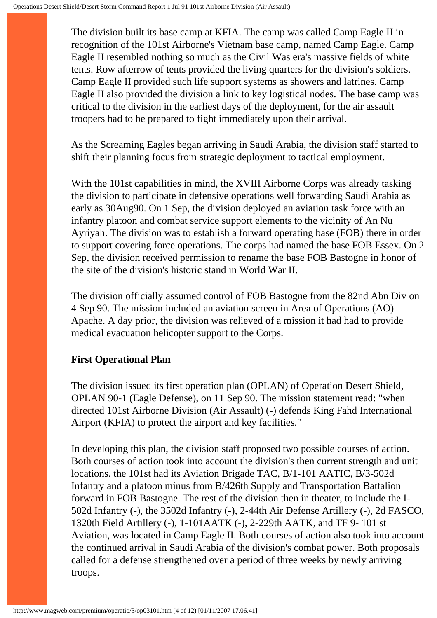The division built its base camp at KFIA. The camp was called Camp Eagle II in recognition of the 101st Airborne's Vietnam base camp, named Camp Eagle. Camp Eagle II resembled nothing so much as the Civil Was era's massive fields of white tents. Row afterrow of tents provided the living quarters for the division's soldiers. Camp Eagle II provided such life support systems as showers and latrines. Camp Eagle II also provided the division a link to key logistical nodes. The base camp was critical to the division in the earliest days of the deployment, for the air assault troopers had to be prepared to fight immediately upon their arrival.

As the Screaming Eagles began arriving in Saudi Arabia, the division staff started to shift their planning focus from strategic deployment to tactical employment.

With the 101st capabilities in mind, the XVIII Airborne Corps was already tasking the division to participate in defensive operations well forwarding Saudi Arabia as early as 30Aug90. On 1 Sep, the division deployed an aviation task force with an infantry platoon and combat service support elements to the vicinity of An Nu Ayriyah. The division was to establish a forward operating base (FOB) there in order to support covering force operations. The corps had named the base FOB Essex. On 2 Sep, the division received permission to rename the base FOB Bastogne in honor of the site of the division's historic stand in World War II.

The division officially assumed control of FOB Bastogne from the 82nd Abn Div on 4 Sep 90. The mission included an aviation screen in Area of Operations (AO) Apache. A day prior, the division was relieved of a mission it had had to provide medical evacuation helicopter support to the Corps.

### **First Operational Plan**

The division issued its first operation plan (OPLAN) of Operation Desert Shield, OPLAN 90-1 (Eagle Defense), on 11 Sep 90. The mission statement read: "when directed 101st Airborne Division (Air Assault) (-) defends King Fahd International Airport (KFIA) to protect the airport and key facilities."

In developing this plan, the division staff proposed two possible courses of action. Both courses of action took into account the division's then current strength and unit locations. the 101st had its Aviation Brigade TAC, B/1-101 AATIC, B/3-502d Infantry and a platoon minus from B/426th Supply and Transportation Battalion forward in FOB Bastogne. The rest of the division then in theater, to include the I-502d Infantry (-), the 3502d Infantry (-), 2-44th Air Defense Artillery (-), 2d FASCO, 1320th Field Artillery (-), 1-101AATK (-), 2-229th AATK, and TF 9- 101 st Aviation, was located in Camp Eagle II. Both courses of action also took into account the continued arrival in Saudi Arabia of the division's combat power. Both proposals called for a defense strengthened over a period of three weeks by newly arriving troops.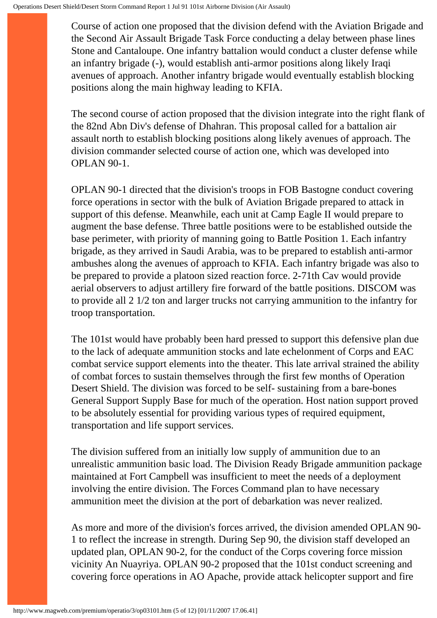Course of action one proposed that the division defend with the Aviation Brigade and the Second Air Assault Brigade Task Force conducting a delay between phase lines Stone and Cantaloupe. One infantry battalion would conduct a cluster defense while an infantry brigade (-), would establish anti-armor positions along likely Iraqi avenues of approach. Another infantry brigade would eventually establish blocking positions along the main highway leading to KFIA.

The second course of action proposed that the division integrate into the right flank of the 82nd Abn Div's defense of Dhahran. This proposal called for a battalion air assault north to establish blocking positions along likely avenues of approach. The division commander selected course of action one, which was developed into OPLAN 90-1.

OPLAN 90-1 directed that the division's troops in FOB Bastogne conduct covering force operations in sector with the bulk of Aviation Brigade prepared to attack in support of this defense. Meanwhile, each unit at Camp Eagle II would prepare to augment the base defense. Three battle positions were to be established outside the base perimeter, with priority of manning going to Battle Position 1. Each infantry brigade, as they arrived in Saudi Arabia, was to be prepared to establish anti-armor ambushes along the avenues of approach to KFIA. Each infantry brigade was also to be prepared to provide a platoon sized reaction force. 2-71th Cav would provide aerial observers to adjust artillery fire forward of the battle positions. DISCOM was to provide all 2 1/2 ton and larger trucks not carrying ammunition to the infantry for troop transportation.

The 101st would have probably been hard pressed to support this defensive plan due to the lack of adequate ammunition stocks and late echelonment of Corps and EAC combat service support elements into the theater. This late arrival strained the ability of combat forces to sustain themselves through the first few months of Operation Desert Shield. The division was forced to be self- sustaining from a bare-bones General Support Supply Base for much of the operation. Host nation support proved to be absolutely essential for providing various types of required equipment, transportation and life support services.

The division suffered from an initially low supply of ammunition due to an unrealistic ammunition basic load. The Division Ready Brigade ammunition package maintained at Fort Campbell was insufficient to meet the needs of a deployment involving the entire division. The Forces Command plan to have necessary ammunition meet the division at the port of debarkation was never realized.

As more and more of the division's forces arrived, the division amended OPLAN 90- 1 to reflect the increase in strength. During Sep 90, the division staff developed an updated plan, OPLAN 90-2, for the conduct of the Corps covering force mission vicinity An Nuayriya. OPLAN 90-2 proposed that the 101st conduct screening and covering force operations in AO Apache, provide attack helicopter support and fire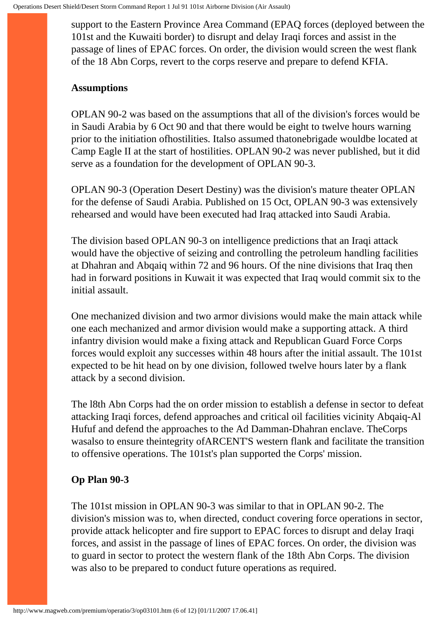support to the Eastern Province Area Command (EPAQ forces (deployed between the 101st and the Kuwaiti border) to disrupt and delay Iraqi forces and assist in the passage of lines of EPAC forces. On order, the division would screen the west flank of the 18 Abn Corps, revert to the corps reserve and prepare to defend KFIA.

#### **Assumptions**

OPLAN 90-2 was based on the assumptions that all of the division's forces would be in Saudi Arabia by 6 Oct 90 and that there would be eight to twelve hours warning prior to the initiation ofhostilities. Italso assumed thatonebrigade wouldbe located at Camp Eagle II at the start of hostilities. OPLAN 90-2 was never published, but it did serve as a foundation for the development of OPLAN 90-3.

OPLAN 90-3 (Operation Desert Destiny) was the division's mature theater OPLAN for the defense of Saudi Arabia. Published on 15 Oct, OPLAN 90-3 was extensively rehearsed and would have been executed had Iraq attacked into Saudi Arabia.

The division based OPLAN 90-3 on intelligence predictions that an Iraqi attack would have the objective of seizing and controlling the petroleum handling facilities at Dhahran and Abqaiq within 72 and 96 hours. Of the nine divisions that Iraq then had in forward positions in Kuwait it was expected that Iraq would commit six to the initial assault.

One mechanized division and two armor divisions would make the main attack while one each mechanized and armor division would make a supporting attack. A third infantry division would make a fixing attack and Republican Guard Force Corps forces would exploit any successes within 48 hours after the initial assault. The 101st expected to be hit head on by one division, followed twelve hours later by a flank attack by a second division.

The l8th Abn Corps had the on order mission to establish a defense in sector to defeat attacking Iraqi forces, defend approaches and critical oil facilities vicinity Abqaiq-Al Hufuf and defend the approaches to the Ad Damman-Dhahran enclave. TheCorps wasalso to ensure theintegrity ofARCENT'S western flank and facilitate the transition to offensive operations. The 101st's plan supported the Corps' mission.

### **Op Plan 90-3**

The 101st mission in OPLAN 90-3 was similar to that in OPLAN 90-2. The division's mission was to, when directed, conduct covering force operations in sector, provide attack helicopter and fire support to EPAC forces to disrupt and delay Iraqi forces, and assist in the passage of lines of EPAC forces. On order, the division was to guard in sector to protect the western flank of the 18th Abn Corps. The division was also to be prepared to conduct future operations as required.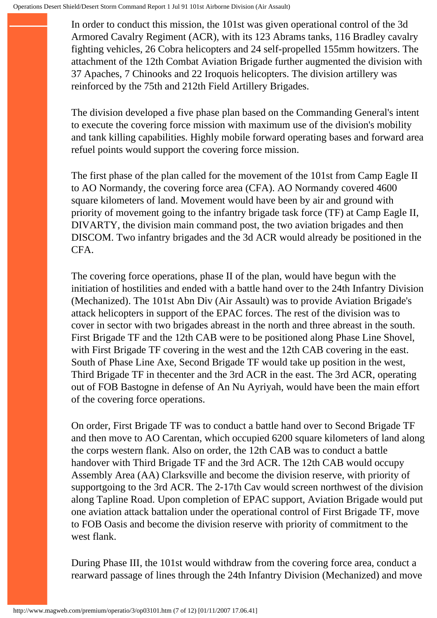In order to conduct this mission, the 101st was given operational control of the 3d Armored Cavalry Regiment (ACR), with its 123 Abrams tanks, 116 Bradley cavalry fighting vehicles, 26 Cobra helicopters and 24 self-propelled 155mm howitzers. The attachment of the 12th Combat Aviation Brigade further augmented the division with 37 Apaches, 7 Chinooks and 22 Iroquois helicopters. The division artillery was reinforced by the 75th and 212th Field Artillery Brigades.

The division developed a five phase plan based on the Commanding General's intent to execute the covering force mission with maximum use of the division's mobility and tank killing capabilities. Highly mobile forward operating bases and forward area refuel points would support the covering force mission.

The first phase of the plan called for the movement of the 101st from Camp Eagle II to AO Normandy, the covering force area (CFA). AO Normandy covered 4600 square kilometers of land. Movement would have been by air and ground with priority of movement going to the infantry brigade task force (TF) at Camp Eagle II, DIVARTY, the division main command post, the two aviation brigades and then DISCOM. Two infantry brigades and the 3d ACR would already be positioned in the CFA.

The covering force operations, phase II of the plan, would have begun with the initiation of hostilities and ended with a battle hand over to the 24th Infantry Division (Mechanized). The 101st Abn Div (Air Assault) was to provide Aviation Brigade's attack helicopters in support of the EPAC forces. The rest of the division was to cover in sector with two brigades abreast in the north and three abreast in the south. First Brigade TF and the 12th CAB were to be positioned along Phase Line Shovel, with First Brigade TF covering in the west and the 12th CAB covering in the east. South of Phase Line Axe, Second Brigade TF would take up position in the west, Third Brigade TF in thecenter and the 3rd ACR in the east. The 3rd ACR, operating out of FOB Bastogne in defense of An Nu Ayriyah, would have been the main effort of the covering force operations.

On order, First Brigade TF was to conduct a battle hand over to Second Brigade TF and then move to AO Carentan, which occupied 6200 square kilometers of land along the corps western flank. Also on order, the 12th CAB was to conduct a battle handover with Third Brigade TF and the 3rd ACR. The 12th CAB would occupy Assembly Area (AA) Clarksville and become the division reserve, with priority of supportgoing to the 3rd ACR. The 2-17th Cav would screen northwest of the division along Tapline Road. Upon completion of EPAC support, Aviation Brigade would put one aviation attack battalion under the operational control of First Brigade TF, move to FOB Oasis and become the division reserve with priority of commitment to the west flank.

During Phase III, the 101st would withdraw from the covering force area, conduct a rearward passage of lines through the 24th Infantry Division (Mechanized) and move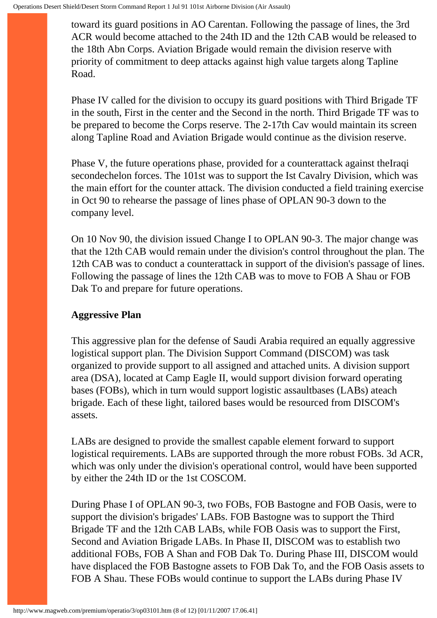toward its guard positions in AO Carentan. Following the passage of lines, the 3rd ACR would become attached to the 24th ID and the 12th CAB would be released to the 18th Abn Corps. Aviation Brigade would remain the division reserve with priority of commitment to deep attacks against high value targets along Tapline Road.

Phase IV called for the division to occupy its guard positions with Third Brigade TF in the south, First in the center and the Second in the north. Third Brigade TF was to be prepared to become the Corps reserve. The 2-17th Cav would maintain its screen along Tapline Road and Aviation Brigade would continue as the division reserve.

Phase V, the future operations phase, provided for a counterattack against theIraqi secondechelon forces. The 101st was to support the Ist Cavalry Division, which was the main effort for the counter attack. The division conducted a field training exercise in Oct 90 to rehearse the passage of lines phase of OPLAN 90-3 down to the company level.

On 10 Nov 90, the division issued Change I to OPLAN 90-3. The major change was that the 12th CAB would remain under the division's control throughout the plan. The 12th CAB was to conduct a counterattack in support of the division's passage of lines. Following the passage of lines the 12th CAB was to move to FOB A Shau or FOB Dak To and prepare for future operations.

#### **Aggressive Plan**

This aggressive plan for the defense of Saudi Arabia required an equally aggressive logistical support plan. The Division Support Command (DISCOM) was task organized to provide support to all assigned and attached units. A division support area (DSA), located at Camp Eagle II, would support division forward operating bases (FOBs), which in turn would support logistic assaultbases (LABs) ateach brigade. Each of these light, tailored bases would be resourced from DISCOM's assets.

LABs are designed to provide the smallest capable element forward to support logistical requirements. LABs are supported through the more robust FOBs. 3d ACR, which was only under the division's operational control, would have been supported by either the 24th ID or the 1st COSCOM.

During Phase I of OPLAN 90-3, two FOBs, FOB Bastogne and FOB Oasis, were to support the division's brigades' LABs. FOB Bastogne was to support the Third Brigade TF and the 12th CAB LABs, while FOB Oasis was to support the First, Second and Aviation Brigade LABs. In Phase II, DISCOM was to establish two additional FOBs, FOB A Shan and FOB Dak To. During Phase III, DISCOM would have displaced the FOB Bastogne assets to FOB Dak To, and the FOB Oasis assets to FOB A Shau. These FOBs would continue to support the LABs during Phase IV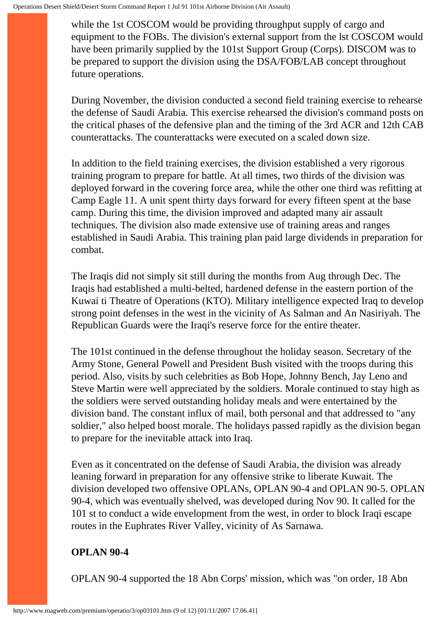while the 1st COSCOM would be providing throughput supply of cargo and equipment to the FOBs. The division's external support from the lst COSCOM would have been primarily supplied by the 101st Support Group (Corps). DISCOM was to be prepared to support the division using the DSA/FOB/LAB concept throughout future operations.

During November, the division conducted a second field training exercise to rehearse the defense of Saudi Arabia. This exercise rehearsed the division's command posts on the critical phases of the defensive plan and the timing of the 3rd ACR and 12th CAB counterattacks. The counterattacks were executed on a scaled down size.

In addition to the field training exercises, the division established a very rigorous training program to prepare for battle. At all times, two thirds of the division was deployed forward in the covering force area, while the other one third was refitting at Camp Eagle 11. A unit spent thirty days forward for every fifteen spent at the base camp. During this time, the division improved and adapted many air assault techniques. The division also made extensive use of training areas and ranges established in Saudi Arabia. This training plan paid large dividends in preparation for combat.

The Iraqis did not simply sit still during the months from Aug through Dec. The Iraqis had established a multi-belted, hardened defense in the eastern portion of the Kuwai ti Theatre of Operations (KTO). Military intelligence expected Iraq to develop strong point defenses in the west in the vicinity of As Salman and An Nasiriyah. The Republican Guards were the Iraqi's reserve force for the entire theater.

The 101st continued in the defense throughout the holiday season. Secretary of the Army Stone, General Powell and President Bush visited with the troops during this period. Also, visits by such celebrities as Bob Hope, Johnny Bench, Jay Leno and Steve Martin were well appreciated by the soldiers. Morale continued to stay high as the soldiers were served outstanding holiday meals and were entertained by the division band. The constant influx of mail, both personal and that addressed to "any soldier," also helped boost morale. The holidays passed rapidly as the division began to prepare for the inevitable attack into Iraq.

Even as it concentrated on the defense of Saudi Arabia, the division was already leaning forward in preparation for any offensive strike to liberate Kuwait. The division developed two offensive OPLANs, OPLAN 90-4 and OPLAN 90-5. OPLAN 90-4, which was eventually shelved, was developed during Nov 90. It called for the 101 st to conduct a wide envelopment from the west, in order to block Iraqi escape routes in the Euphrates River Valley, vicinity of As Sarnawa.

### **OPLAN 90-4**

OPLAN 90-4 supported the 18 Abn Corps' mission, which was "on order, 18 Abn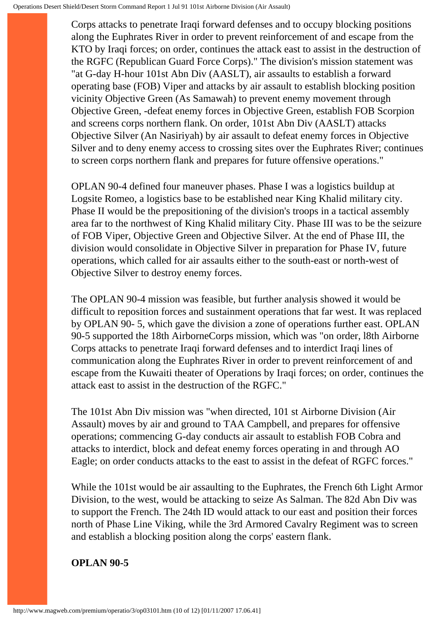Corps attacks to penetrate Iraqi forward defenses and to occupy blocking positions along the Euphrates River in order to prevent reinforcement of and escape from the KTO by Iraqi forces; on order, continues the attack east to assist in the destruction of the RGFC (Republican Guard Force Corps)." The division's mission statement was "at G-day H-hour 101st Abn Div (AASLT), air assaults to establish a forward operating base (FOB) Viper and attacks by air assault to establish blocking position vicinity Objective Green (As Samawah) to prevent enemy movement through Objective Green, -defeat enemy forces in Objective Green, establish FOB Scorpion and screens corps northern flank. On order, 101st Abn Div (AASLT) attacks Objective Silver (An Nasiriyah) by air assault to defeat enemy forces in Objective Silver and to deny enemy access to crossing sites over the Euphrates River; continues to screen corps northern flank and prepares for future offensive operations."

OPLAN 90-4 defined four maneuver phases. Phase I was a logistics buildup at Logsite Romeo, a logistics base to be established near King Khalid military city. Phase II would be the prepositioning of the division's troops in a tactical assembly area far to the northwest of King Khalid military City. Phase III was to be the seizure of FOB Viper, Objective Green and Objective Silver. At the end of Phase III, the division would consolidate in Objective Silver in preparation for Phase IV, future operations, which called for air assaults either to the south-east or north-west of Objective Silver to destroy enemy forces.

The OPLAN 90-4 mission was feasible, but further analysis showed it would be difficult to reposition forces and sustainment operations that far west. It was replaced by OPLAN 90- 5, which gave the division a zone of operations further east. OPLAN 90-5 supported the 18th AirborneCorps mission, which was "on order, l8th Airborne Corps attacks to penetrate Iraqi forward defenses and to interdict Iraqi lines of communication along the Euphrates River in order to prevent reinforcement of and escape from the Kuwaiti theater of Operations by Iraqi forces; on order, continues the attack east to assist in the destruction of the RGFC."

The 101st Abn Div mission was "when directed, 101 st Airborne Division (Air Assault) moves by air and ground to TAA Campbell, and prepares for offensive operations; commencing G-day conducts air assault to establish FOB Cobra and attacks to interdict, block and defeat enemy forces operating in and through AO Eagle; on order conducts attacks to the east to assist in the defeat of RGFC forces."

While the 101st would be air assaulting to the Euphrates, the French 6th Light Armor Division, to the west, would be attacking to seize As Salman. The 82d Abn Div was to support the French. The 24th ID would attack to our east and position their forces north of Phase Line Viking, while the 3rd Armored Cavalry Regiment was to screen and establish a blocking position along the corps' eastern flank.

#### **OPLAN 90-5**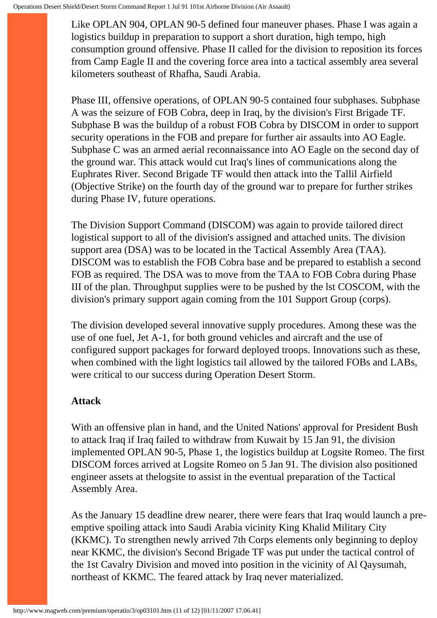Like OPLAN 904, OPLAN 90-5 defined four maneuver phases. Phase I was again a logistics buildup in preparation to support a short duration, high tempo, high consumption ground offensive. Phase II called for the division to reposition its forces from Camp Eagle II and the covering force area into a tactical assembly area several kilometers southeast of Rhafha, Saudi Arabia.

Phase III, offensive operations, of OPLAN 90-5 contained four subphases. Subphase A was the seizure of FOB Cobra, deep in Iraq, by the division's First Brigade TF. Subphase B was the buildup of a robust FOB Cobra by DISCOM in order to support security operations in the FOB and prepare for further air assaults into AO Eagle. Subphase C was an armed aerial reconnaissance into AO Eagle on the second day of the ground war. This attack would cut Iraq's lines of communications along the Euphrates River. Second Brigade TF would then attack into the Tallil Airfield (Objective Strike) on the fourth day of the ground war to prepare for further strikes during Phase IV, future operations.

The Division Support Command (DISCOM) was again to provide tailored direct logistical support to all of the division's assigned and attached units. The division support area (DSA) was to be located in the Tactical Assembly Area (TAA). DISCOM was to establish the FOB Cobra base and be prepared to establish a second FOB as required. The DSA was to move from the TAA to FOB Cobra during Phase III of the plan. Throughput supplies were to be pushed by the lst COSCOM, with the division's primary support again coming from the 101 Support Group (corps).

The division developed several innovative supply procedures. Among these was the use of one fuel, Jet A-1, for both ground vehicles and aircraft and the use of configured support packages for forward deployed troops. Innovations such as these, when combined with the light logistics tail allowed by the tailored FOBs and LABs, were critical to our success during Operation Desert Storm.

#### **Attack**

With an offensive plan in hand, and the United Nations' approval for President Bush to attack Iraq if Iraq failed to withdraw from Kuwait by 15 Jan 91, the division implemented OPLAN 90-5, Phase 1, the logistics buildup at Logsite Romeo. The first DISCOM forces arrived at Logsite Romeo on 5 Jan 91. The division also positioned engineer assets at thelogsite to assist in the eventual preparation of the Tactical Assembly Area.

As the January 15 deadline drew nearer, there were fears that Iraq would launch a preemptive spoiling attack into Saudi Arabia vicinity King Khalid Military City (KKMC). To strengthen newly arrived 7th Corps elements only beginning to deploy near KKMC, the division's Second Brigade TF was put under the tactical control of the 1st Cavalry Division and moved into position in the vicinity of Al Qaysumah, northeast of KKMC. The feared attack by Iraq never materialized.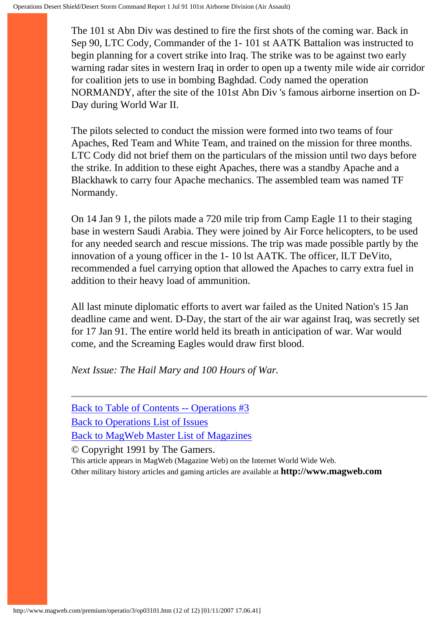The 101 st Abn Div was destined to fire the first shots of the coming war. Back in Sep 90, LTC Cody, Commander of the 1- 101 st AATK Battalion was instructed to begin planning for a covert strike into Iraq. The strike was to be against two early warning radar sites in western Iraq in order to open up a twenty mile wide air corridor for coalition jets to use in bombing Baghdad. Cody named the operation NORMANDY, after the site of the 101st Abn Div 's famous airborne insertion on D-Day during World War II.

The pilots selected to conduct the mission were formed into two teams of four Apaches, Red Team and White Team, and trained on the mission for three months. LTC Cody did not brief them on the particulars of the mission until two days before the strike. In addition to these eight Apaches, there was a standby Apache and a Blackhawk to carry four Apache mechanics. The assembled team was named TF Normandy.

On 14 Jan 9 1, the pilots made a 720 mile trip from Camp Eagle 11 to their staging base in western Saudi Arabia. They were joined by Air Force helicopters, to be used for any needed search and rescue missions. The trip was made possible partly by the innovation of a young officer in the 1- 10 lst AATK. The officer, lLT DeVito, recommended a fuel carrying option that allowed the Apaches to carry extra fuel in addition to their heavy load of ammunition.

All last minute diplomatic efforts to avert war failed as the United Nation's 15 Jan deadline came and went. D-Day, the start of the air war against Iraq, was secretly set for 17 Jan 91. The entire world held its breath in anticipation of war. War would come, and the Screaming Eagles would draw first blood.

*Next Issue: The Hail Mary and 100 Hours of War.*

[Back to Table of Contents -- Operations #3](#page-0-0) [Back to Operations List of Issues](http://www.magweb.com/premium/operatio/operiss.htm) [Back to MagWeb Master List of Magazines](http://www.magweb.com/premium/maglist.htm) © Copyright 1991 by The Gamers.

This article appears in MagWeb (Magazine Web) on the Internet World Wide Web. Other military history articles and gaming articles are available at **http://www.magweb.com**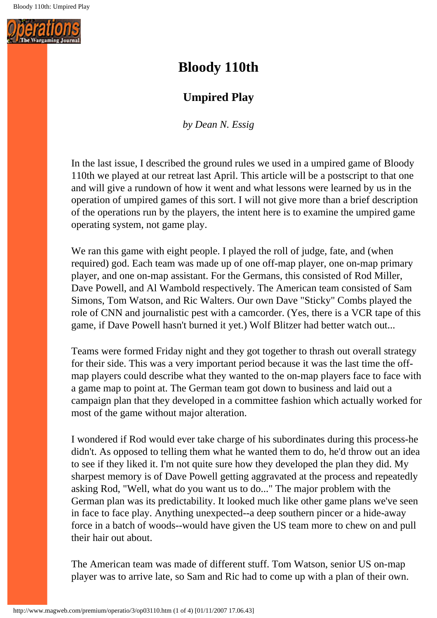

# **Bloody 110th**

## **Umpired Play**

*by Dean N. Essig*

In the last issue, I described the ground rules we used in a umpired game of Bloody 110th we played at our retreat last April. This article will be a postscript to that one and will give a rundown of how it went and what lessons were learned by us in the operation of umpired games of this sort. I will not give more than a brief description of the operations run by the players, the intent here is to examine the umpired game operating system, not game play.

We ran this game with eight people. I played the roll of judge, fate, and (when required) god. Each team was made up of one off-map player, one on-map primary player, and one on-map assistant. For the Germans, this consisted of Rod Miller, Dave Powell, and Al Wambold respectively. The American team consisted of Sam Simons, Tom Watson, and Ric Walters. Our own Dave "Sticky" Combs played the role of CNN and journalistic pest with a camcorder. (Yes, there is a VCR tape of this game, if Dave Powell hasn't burned it yet.) Wolf Blitzer had better watch out...

Teams were formed Friday night and they got together to thrash out overall strategy for their side. This was a very important period because it was the last time the offmap players could describe what they wanted to the on-map players face to face with a game map to point at. The German team got down to business and laid out a campaign plan that they developed in a committee fashion which actually worked for most of the game without major alteration.

I wondered if Rod would ever take charge of his subordinates during this process-he didn't. As opposed to telling them what he wanted them to do, he'd throw out an idea to see if they liked it. I'm not quite sure how they developed the plan they did. My sharpest memory is of Dave Powell getting aggravated at the process and repeatedly asking Rod, "Well, what do you want us to do..." The major problem with the German plan was its predictability. It looked much like other game plans we've seen in face to face play. Anything unexpected--a deep southern pincer or a hide-away force in a batch of woods--would have given the US team more to chew on and pull their hair out about.

The American team was made of different stuff. Tom Watson, senior US on-map player was to arrive late, so Sam and Ric had to come up with a plan of their own.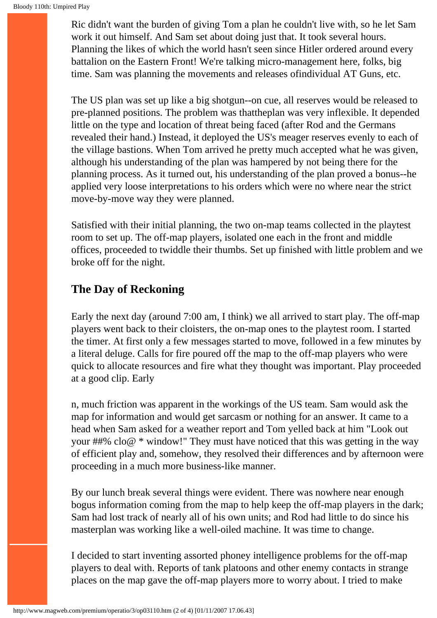Ric didn't want the burden of giving Tom a plan he couldn't live with, so he let Sam work it out himself. And Sam set about doing just that. It took several hours. Planning the likes of which the world hasn't seen since Hitler ordered around every battalion on the Eastern Front! We're talking micro-management here, folks, big time. Sam was planning the movements and releases ofindividual AT Guns, etc.

The US plan was set up like a big shotgun--on cue, all reserves would be released to pre-planned positions. The problem was thattheplan was very inflexible. It depended little on the type and location of threat being faced (after Rod and the Germans revealed their hand.) Instead, it deployed the US's meager reserves evenly to each of the village bastions. When Tom arrived he pretty much accepted what he was given, although his understanding of the plan was hampered by not being there for the planning process. As it turned out, his understanding of the plan proved a bonus--he applied very loose interpretations to his orders which were no where near the strict move-by-move way they were planned.

Satisfied with their initial planning, the two on-map teams collected in the playtest room to set up. The off-map players, isolated one each in the front and middle offices, proceeded to twiddle their thumbs. Set up finished with little problem and we broke off for the night.

### **The Day of Reckoning**

Early the next day (around 7:00 am, I think) we all arrived to start play. The off-map players went back to their cloisters, the on-map ones to the playtest room. I started the timer. At first only a few messages started to move, followed in a few minutes by a literal deluge. Calls for fire poured off the map to the off-map players who were quick to allocate resources and fire what they thought was important. Play proceeded at a good clip. Early

n, much friction was apparent in the workings of the US team. Sam would ask the map for information and would get sarcasm or nothing for an answer. It came to a head when Sam asked for a weather report and Tom yelled back at him "Look out your ##% clo@  $*$  window!" They must have noticed that this was getting in the way of efficient play and, somehow, they resolved their differences and by afternoon were proceeding in a much more business-like manner.

By our lunch break several things were evident. There was nowhere near enough bogus information coming from the map to help keep the off-map players in the dark; Sam had lost track of nearly all of his own units; and Rod had little to do since his masterplan was working like a well-oiled machine. It was time to change.

I decided to start inventing assorted phoney intelligence problems for the off-map players to deal with. Reports of tank platoons and other enemy contacts in strange places on the map gave the off-map players more to worry about. I tried to make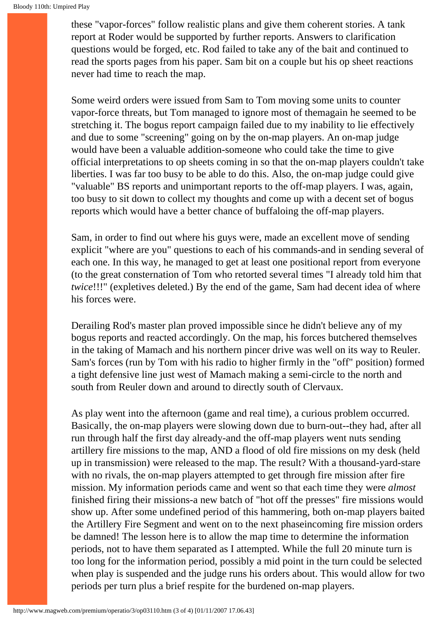these "vapor-forces" follow realistic plans and give them coherent stories. A tank report at Roder would be supported by further reports. Answers to clarification questions would be forged, etc. Rod failed to take any of the bait and continued to read the sports pages from his paper. Sam bit on a couple but his op sheet reactions never had time to reach the map.

Some weird orders were issued from Sam to Tom moving some units to counter vapor-force threats, but Tom managed to ignore most of themagain he seemed to be stretching it. The bogus report campaign failed due to my inability to lie effectively and due to some "screening" going on by the on-map players. An on-map judge would have been a valuable addition-someone who could take the time to give official interpretations to op sheets coming in so that the on-map players couldn't take liberties. I was far too busy to be able to do this. Also, the on-map judge could give "valuable" BS reports and unimportant reports to the off-map players. I was, again, too busy to sit down to collect my thoughts and come up with a decent set of bogus reports which would have a better chance of buffaloing the off-map players.

Sam, in order to find out where his guys were, made an excellent move of sending explicit "where are you" questions to each of his commands-and in sending several of each one. In this way, he managed to get at least one positional report from everyone (to the great consternation of Tom who retorted several times "I already told him that *twice*!!!" (expletives deleted.) By the end of the game, Sam had decent idea of where his forces were.

Derailing Rod's master plan proved impossible since he didn't believe any of my bogus reports and reacted accordingly. On the map, his forces butchered themselves in the taking of Mamach and his northern pincer drive was well on its way to Reuler. Sam's forces (run by Tom with his radio to higher firmly in the "off" position) formed a tight defensive line just west of Mamach making a semi-circle to the north and south from Reuler down and around to directly south of Clervaux.

As play went into the afternoon (game and real time), a curious problem occurred. Basically, the on-map players were slowing down due to burn-out--they had, after all run through half the first day already-and the off-map players went nuts sending artillery fire missions to the map, AND a flood of old fire missions on my desk (held up in transmission) were released to the map. The result? With a thousand-yard-stare with no rivals, the on-map players attempted to get through fire mission after fire mission. My information periods came and went so that each time they were *almost* finished firing their missions-a new batch of "hot off the presses" fire missions would show up. After some undefined period of this hammering, both on-map players baited the Artillery Fire Segment and went on to the next phaseincoming fire mission orders be damned! The lesson here is to allow the map time to determine the information periods, not to have them separated as I attempted. While the full 20 minute turn is too long for the information period, possibly a mid point in the turn could be selected when play is suspended and the judge runs his orders about. This would allow for two periods per turn plus a brief respite for the burdened on-map players.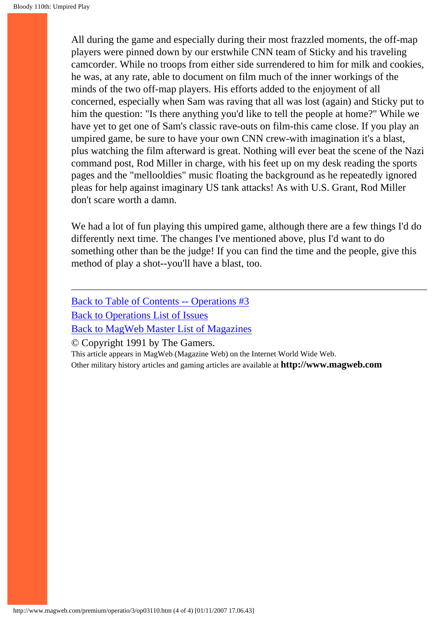All during the game and especially during their most frazzled moments, the off-map players were pinned down by our erstwhile CNN team of Sticky and his traveling camcorder. While no troops from either side surrendered to him for milk and cookies, he was, at any rate, able to document on film much of the inner workings of the minds of the two off-map players. His efforts added to the enjoyment of all concerned, especially when Sam was raving that all was lost (again) and Sticky put to him the question: "Is there anything you'd like to tell the people at home?" While we have yet to get one of Sam's classic rave-outs on film-this came close. If you play an umpired game, be sure to have your own CNN crew-with imagination it's a blast, plus watching the film afterward is great. Nothing will ever beat the scene of the Nazi command post, Rod Miller in charge, with his feet up on my desk reading the sports pages and the "mellooldies" music floating the background as he repeatedly ignored pleas for help against imaginary US tank attacks! As with U.S. Grant, Rod Miller don't scare worth a damn.

We had a lot of fun playing this umpired game, although there are a few things I'd do differently next time. The changes I've mentioned above, plus I'd want to do something other than be the judge! If you can find the time and the people, give this method of play a shot--you'll have a blast, too.

[Back to Table of Contents -- Operations #3](#page-0-0) [Back to Operations List of Issues](http://www.magweb.com/premium/operatio/operiss.htm) [Back to MagWeb Master List of Magazines](http://www.magweb.com/premium/maglist.htm) © Copyright 1991 by The Gamers.

This article appears in MagWeb (Magazine Web) on the Internet World Wide Web. Other military history articles and gaming articles are available at **http://www.magweb.com**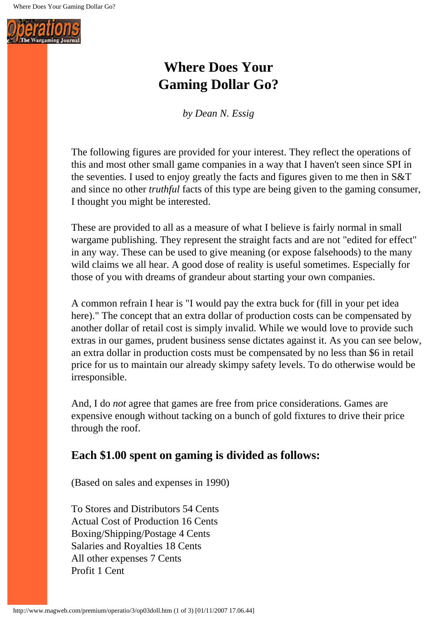

# **Where Does Your Gaming Dollar Go?**

*by Dean N. Essig*

The following figures are provided for your interest. They reflect the operations of this and most other small game companies in a way that I haven't seen since SPI in the seventies. I used to enjoy greatly the facts and figures given to me then in S&T and since no other *truthful* facts of this type are being given to the gaming consumer, I thought you might be interested.

These are provided to all as a measure of what I believe is fairly normal in small wargame publishing. They represent the straight facts and are not "edited for effect" in any way. These can be used to give meaning (or expose falsehoods) to the many wild claims we all hear. A good dose of reality is useful sometimes. Especially for those of you with dreams of grandeur about starting your own companies.

A common refrain I hear is "I would pay the extra buck for (fill in your pet idea here)." The concept that an extra dollar of production costs can be compensated by another dollar of retail cost is simply invalid. While we would love to provide such extras in our games, prudent business sense dictates against it. As you can see below, an extra dollar in production costs must be compensated by no less than \$6 in retail price for us to maintain our already skimpy safety levels. To do otherwise would be irresponsible.

And, I do *not* agree that games are free from price considerations. Games are expensive enough without tacking on a bunch of gold fixtures to drive their price through the roof.

### **Each \$1.00 spent on gaming is divided as follows:**

(Based on sales and expenses in 1990)

To Stores and Distributors 54 Cents Actual Cost of Production 16 Cents Boxing/Shipping/Postage 4 Cents Salaries and Royalties 18 Cents All other expenses 7 Cents Profit 1 Cent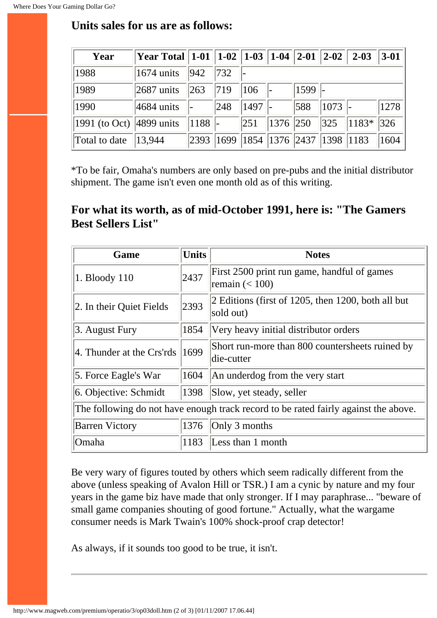| Year                                 | Year Total   1-01   1-02   1-03   1-04   2-01   2-02   2-03 |      |                                          |      |          |      |      |                      | $3-01$ |
|--------------------------------------|-------------------------------------------------------------|------|------------------------------------------|------|----------|------|------|----------------------|--------|
| 1988                                 | $1674$ units                                                | 942  | $ 732\rangle$                            |      |          |      |      |                      |        |
| 1989                                 | $ 2687 \text{ units} $                                      | 263  | $ 719\rangle$                            | 106  |          | 1599 |      |                      |        |
| 1990                                 | $ 4684 \text{ units} $                                      |      | 248                                      | 1497 |          | 588  | 1073 |                      | 1278   |
| 1991 (to Oct) $ 4899 \text{ units} $ |                                                             | 1188 |                                          | 251  | 1376 250 |      |      | $ 325 $ $ 1183* 326$ |        |
| Total to date                        | 13,944                                                      |      | 2393  1699  1854  1376  2437  1398  1183 |      |          |      |      |                      | 1604   |

## **Units sales for us are as follows:**

\*To be fair, Omaha's numbers are only based on pre-pubs and the initial distributor shipment. The game isn't even one month old as of this writing.

## **For what its worth, as of mid-October 1991, here is: "The Gamers Best Sellers List"**

| Game                                                                                | <b>Units</b> | <b>Notes</b>                                                     |  |  |  |  |
|-------------------------------------------------------------------------------------|--------------|------------------------------------------------------------------|--|--|--|--|
| 1. Bloody 110                                                                       | 2437         | First 2500 print run game, handful of games<br>remain $(< 100$ ) |  |  |  |  |
| 2393<br>2. In their Quiet Fields                                                    |              | 2 Editions (first of 1205, then 1200, both all but<br>sold out)  |  |  |  |  |
| 3. August Fury                                                                      | 1854         | Very heavy initial distributor orders                            |  |  |  |  |
| 4. Thunder at the Crs'rds                                                           | 1699         | Short run-more than 800 countersheets ruined by<br>die-cutter    |  |  |  |  |
| 5. Force Eagle's War                                                                | 1604         | An underdog from the very start                                  |  |  |  |  |
| 6. Objective: Schmidt                                                               | 1398         | Slow, yet steady, seller                                         |  |  |  |  |
| The following do not have enough track record to be rated fairly against the above. |              |                                                                  |  |  |  |  |
| <b>Barren Victory</b>                                                               | 1376         | Only 3 months                                                    |  |  |  |  |
| Omaha<br>1183                                                                       |              | Less than 1 month                                                |  |  |  |  |

Be very wary of figures touted by others which seem radically different from the above (unless speaking of Avalon Hill or TSR.) I am a cynic by nature and my four years in the game biz have made that only stronger. If I may paraphrase... "beware of small game companies shouting of good fortune." Actually, what the wargame consumer needs is Mark Twain's 100% shock-proof crap detector!

As always, if it sounds too good to be true, it isn't.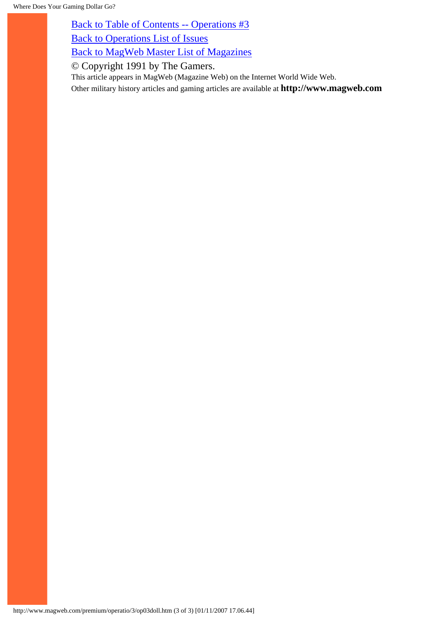[Back to Table of Contents -- Operations #3](#page-0-0)

[Back to Operations List of Issues](http://www.magweb.com/premium/operatio/operiss.htm)

[Back to MagWeb Master List of Magazines](http://www.magweb.com/premium/maglist.htm)

© Copyright 1991 by The Gamers.

This article appears in MagWeb (Magazine Web) on the Internet World Wide Web.

Other military history articles and gaming articles are available at **http://www.magweb.com**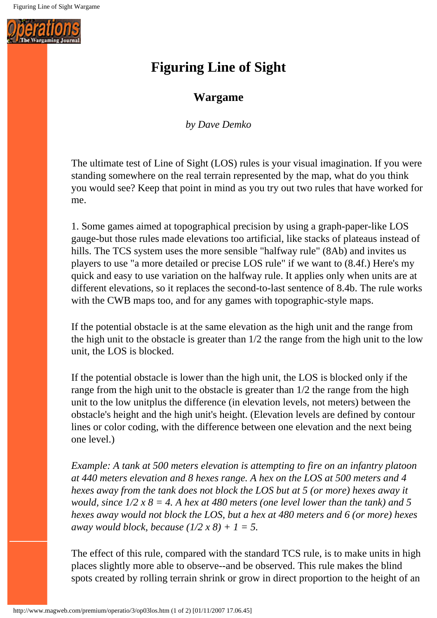

# **Figuring Line of Sight**

# **Wargame**

*by Dave Demko*

The ultimate test of Line of Sight (LOS) rules is your visual imagination. If you were standing somewhere on the real terrain represented by the map, what do you think you would see? Keep that point in mind as you try out two rules that have worked for me.

1. Some games aimed at topographical precision by using a graph-paper-like LOS gauge-but those rules made elevations too artificial, like stacks of plateaus instead of hills. The TCS system uses the more sensible "halfway rule" (8Ab) and invites us players to use "a more detailed or precise LOS rule" if we want to (8.4f.) Here's my quick and easy to use variation on the halfway rule. It applies only when units are at different elevations, so it replaces the second-to-last sentence of 8.4b. The rule works with the CWB maps too, and for any games with topographic-style maps.

If the potential obstacle is at the same elevation as the high unit and the range from the high unit to the obstacle is greater than 1/2 the range from the high unit to the low unit, the LOS is blocked.

If the potential obstacle is lower than the high unit, the LOS is blocked only if the range from the high unit to the obstacle is greater than 1/2 the range from the high unit to the low unitplus the difference (in elevation levels, not meters) between the obstacle's height and the high unit's height. (Elevation levels are defined by contour lines or color coding, with the difference between one elevation and the next being one level.)

*Example: A tank at 500 meters elevation is attempting to fire on an infantry platoon at 440 meters elevation and 8 hexes range. A hex on the LOS at 500 meters and 4 hexes away from the tank does not block the LOS but at 5 (or more) hexes away it would, since*  $1/2$  *x 8 = 4. A hex at 480 meters (one level lower than the tank) and 5 hexes away would not block the LOS, but a hex at 480 meters and 6 (or more) hexes away would block, because (1/2 x 8) + 1 = 5.* 

The effect of this rule, compared with the standard TCS rule, is to make units in high places slightly more able to observe--and be observed. This rule makes the blind spots created by rolling terrain shrink or grow in direct proportion to the height of an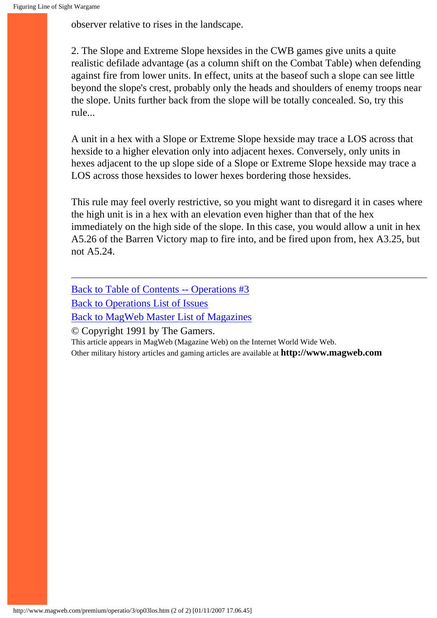observer relative to rises in the landscape.

2. The Slope and Extreme Slope hexsides in the CWB games give units a quite realistic defilade advantage (as a column shift on the Combat Table) when defending against fire from lower units. In effect, units at the baseof such a slope can see little beyond the slope's crest, probably only the heads and shoulders of enemy troops near the slope. Units further back from the slope will be totally concealed. So, try this rule...

A unit in a hex with a Slope or Extreme Slope hexside may trace a LOS across that hexside to a higher elevation only into adjacent hexes. Conversely, only units in hexes adjacent to the up slope side of a Slope or Extreme Slope hexside may trace a LOS across those hexsides to lower hexes bordering those hexsides.

This rule may feel overly restrictive, so you might want to disregard it in cases where the high unit is in a hex with an elevation even higher than that of the hex immediately on the high side of the slope. In this case, you would allow a unit in hex A5.26 of the Barren Victory map to fire into, and be fired upon from, hex A3.25, but not A5.24.

[Back to Table of Contents -- Operations #3](#page-0-0) [Back to Operations List of Issues](http://www.magweb.com/premium/operatio/operiss.htm) [Back to MagWeb Master List of Magazines](http://www.magweb.com/premium/maglist.htm)

© Copyright 1991 by The Gamers.

This article appears in MagWeb (Magazine Web) on the Internet World Wide Web.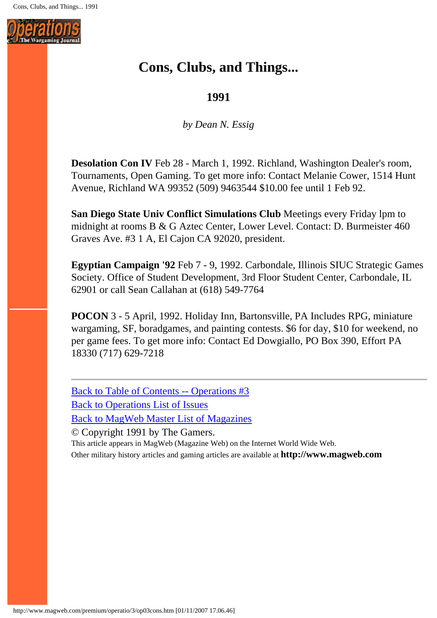

# **Cons, Clubs, and Things...**

## **1991**

*by Dean N. Essig*

**Desolation Con IV** Feb 28 - March 1, 1992. Richland, Washington Dealer's room, Tournaments, Open Gaming. To get more info: Contact Melanie Cower, 1514 Hunt Avenue, Richland WA 99352 (509) 9463544 \$10.00 fee until 1 Feb 92.

**San Diego State Univ Conflict Simulations Club** Meetings every Friday lpm to midnight at rooms B & G Aztec Center, Lower Level. Contact: D. Burmeister 460 Graves Ave. #3 1 A, El Cajon CA 92020, president.

**Egyptian Campaign '92** Feb 7 - 9, 1992. Carbondale, Illinois SIUC Strategic Games Society. Office of Student Development, 3rd Floor Student Center, Carbondale, IL 62901 or call Sean Callahan at (618) 549-7764

**POCON** 3 - 5 April, 1992. Holiday Inn, Bartonsville, PA Includes RPG, miniature wargaming, SF, boradgames, and painting contests. \$6 for day, \$10 for weekend, no per game fees. To get more info: Contact Ed Dowgiallo, PO Box 390, Effort PA 18330 (717) 629-7218

[Back to Table of Contents -- Operations #3](#page-0-0) [Back to Operations List of Issues](http://www.magweb.com/premium/operatio/operiss.htm) [Back to MagWeb Master List of Magazines](http://www.magweb.com/premium/maglist.htm)

© Copyright 1991 by The Gamers. This article appears in MagWeb (Magazine Web) on the Internet World Wide Web. Other military history articles and gaming articles are available at **http://www.magweb.com**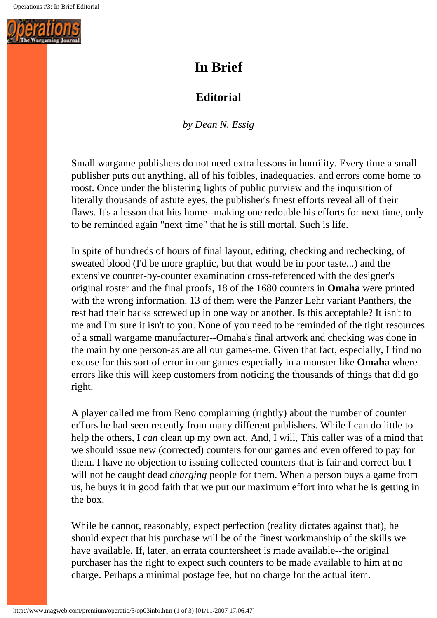

# **In Brief**

# **Editorial**

*by Dean N. Essig*

Small wargame publishers do not need extra lessons in humility. Every time a small publisher puts out anything, all of his foibles, inadequacies, and errors come home to roost. Once under the blistering lights of public purview and the inquisition of literally thousands of astute eyes, the publisher's finest efforts reveal all of their flaws. It's a lesson that hits home--making one redouble his efforts for next time, only to be reminded again "next time" that he is still mortal. Such is life.

In spite of hundreds of hours of final layout, editing, checking and rechecking, of sweated blood (I'd be more graphic, but that would be in poor taste...) and the extensive counter-by-counter examination cross-referenced with the designer's original roster and the final proofs, 18 of the 1680 counters in **Omaha** were printed with the wrong information. 13 of them were the Panzer Lehr variant Panthers, the rest had their backs screwed up in one way or another. Is this acceptable? It isn't to me and I'm sure it isn't to you. None of you need to be reminded of the tight resources of a small wargame manufacturer--Omaha's final artwork and checking was done in the main by one person-as are all our games-me. Given that fact, especially, I find no excuse for this sort of error in our games-especially in a monster like **Omaha** where errors like this will keep customers from noticing the thousands of things that did go right.

A player called me from Reno complaining (rightly) about the number of counter erTors he had seen recently from many different publishers. While I can do little to help the others, I *can* clean up my own act. And, I will, This caller was of a mind that we should issue new (corrected) counters for our games and even offered to pay for them. I have no objection to issuing collected counters-that is fair and correct-but I will not be caught dead *charging* people for them. When a person buys a game from us, he buys it in good faith that we put our maximum effort into what he is getting in the box.

While he cannot, reasonably, expect perfection (reality dictates against that), he should expect that his purchase will be of the finest workmanship of the skills we have available. If, later, an errata countersheet is made available--the original purchaser has the right to expect such counters to be made available to him at no charge. Perhaps a minimal postage fee, but no charge for the actual item.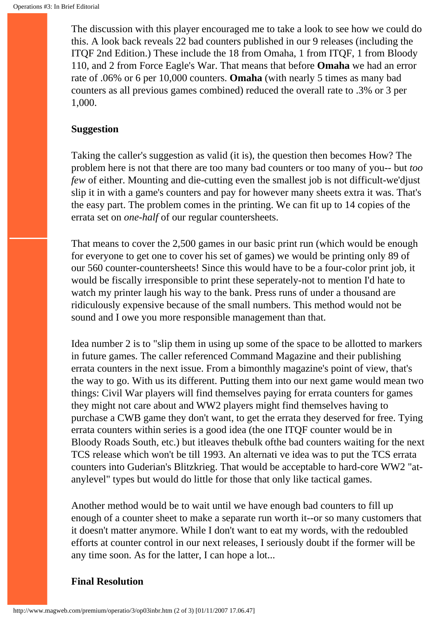The discussion with this player encouraged me to take a look to see how we could do this. A look back reveals 22 bad counters published in our 9 releases (including the ITQF 2nd Edition.) These include the 18 from Omaha, 1 from ITQF, 1 from Bloody 110, and 2 from Force Eagle's War. That means that before **Omaha** we had an error rate of .06% or 6 per 10,000 counters. **Omaha** (with nearly 5 times as many bad counters as all previous games combined) reduced the overall rate to .3% or 3 per 1,000.

#### **Suggestion**

Taking the caller's suggestion as valid (it is), the question then becomes How? The problem here is not that there are too many bad counters or too many of you-- but *too few* of either. Mounting and die-cutting even the smallest job is not difficult-we'djust slip it in with a game's counters and pay for however many sheets extra it was. That's the easy part. The problem comes in the printing. We can fit up to 14 copies of the errata set on *one-half* of our regular countersheets.

That means to cover the 2,500 games in our basic print run (which would be enough for everyone to get one to cover his set of games) we would be printing only 89 of our 560 counter-countersheets! Since this would have to be a four-color print job, it would be fiscally irresponsible to print these seperately-not to mention I'd hate to watch my printer laugh his way to the bank. Press runs of under a thousand are ridiculously expensive because of the small numbers. This method would not be sound and I owe you more responsible management than that.

Idea number 2 is to "slip them in using up some of the space to be allotted to markers in future games. The caller referenced Command Magazine and their publishing errata counters in the next issue. From a bimonthly magazine's point of view, that's the way to go. With us its different. Putting them into our next game would mean two things: Civil War players will find themselves paying for errata counters for games they might not care about and WW2 players might find themselves having to purchase a CWB game they don't want, to get the errata they deserved for free. Tying errata counters within series is a good idea (the one ITQF counter would be in Bloody Roads South, etc.) but itleaves thebulk ofthe bad counters waiting for the next TCS release which won't be till 1993. An alternati ve idea was to put the TCS errata counters into Guderian's Blitzkrieg. That would be acceptable to hard-core WW2 "atanylevel" types but would do little for those that only like tactical games.

Another method would be to wait until we have enough bad counters to fill up enough of a counter sheet to make a separate run worth it--or so many customers that it doesn't matter anymore. While I don't want to eat my words, with the redoubled efforts at counter control in our next releases, I seriously doubt if the former will be any time soon. As for the latter, I can hope a lot...

#### **Final Resolution**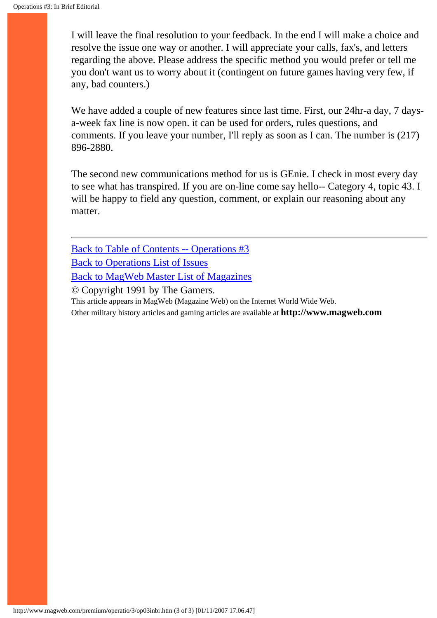I will leave the final resolution to your feedback. In the end I will make a choice and resolve the issue one way or another. I will appreciate your calls, fax's, and letters regarding the above. Please address the specific method you would prefer or tell me you don't want us to worry about it (contingent on future games having very few, if any, bad counters.)

We have added a couple of new features since last time. First, our 24hr-a day, 7 daysa-week fax line is now open. it can be used for orders, rules questions, and comments. If you leave your number, I'll reply as soon as I can. The number is (217) 896-2880.

The second new communications method for us is GEnie. I check in most every day to see what has transpired. If you are on-line come say hello-- Category 4, topic 43. I will be happy to field any question, comment, or explain our reasoning about any matter.

[Back to Table of Contents -- Operations #3](#page-0-0) [Back to Operations List of Issues](http://www.magweb.com/premium/operatio/operiss.htm) [Back to MagWeb Master List of Magazines](http://www.magweb.com/premium/maglist.htm)

© Copyright 1991 by The Gamers.

This article appears in MagWeb (Magazine Web) on the Internet World Wide Web.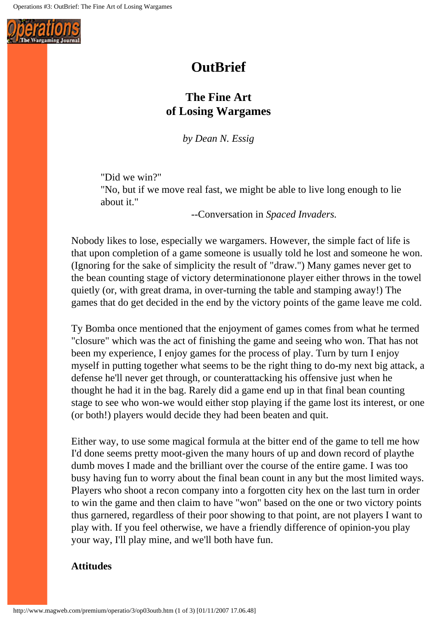

# **OutBrief**

# **The Fine Art of Losing Wargames**

*by Dean N. Essig*

"Did we win?"

"No, but if we move real fast, we might be able to live long enough to lie about it."

--Conversation in *Spaced Invaders.*

Nobody likes to lose, especially we wargamers. However, the simple fact of life is that upon completion of a game someone is usually told he lost and someone he won. (Ignoring for the sake of simplicity the result of "draw.") Many games never get to the bean counting stage of victory determinationone player either throws in the towel quietly (or, with great drama, in over-turning the table and stamping away!) The games that do get decided in the end by the victory points of the game leave me cold.

Ty Bomba once mentioned that the enjoyment of games comes from what he termed "closure" which was the act of finishing the game and seeing who won. That has not been my experience, I enjoy games for the process of play. Turn by turn I enjoy myself in putting together what seems to be the right thing to do-my next big attack, a defense he'll never get through, or counterattacking his offensive just when he thought he had it in the bag. Rarely did a game end up in that final bean counting stage to see who won-we would either stop playing if the game lost its interest, or one (or both!) players would decide they had been beaten and quit.

Either way, to use some magical formula at the bitter end of the game to tell me how I'd done seems pretty moot-given the many hours of up and down record of playthe dumb moves I made and the brilliant over the course of the entire game. I was too busy having fun to worry about the final bean count in any but the most limited ways. Players who shoot a recon company into a forgotten city hex on the last turn in order to win the game and then claim to have "won" based on the one or two victory points thus garnered, regardless of their poor showing to that point, are not players I want to play with. If you feel otherwise, we have a friendly difference of opinion-you play your way, I'll play mine, and we'll both have fun.

#### **Attitudes**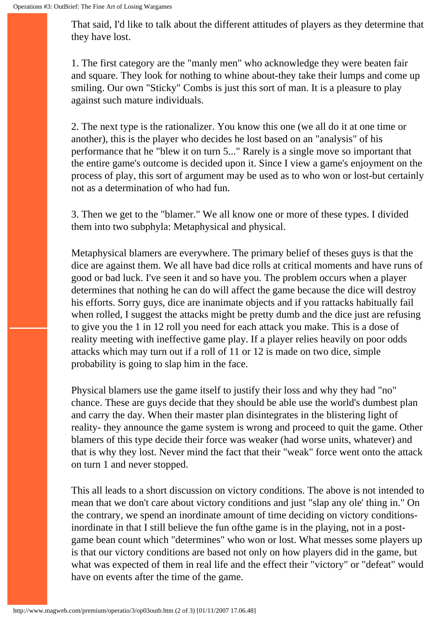That said, I'd like to talk about the different attitudes of players as they determine that they have lost.

1. The first category are the "manly men" who acknowledge they were beaten fair and square. They look for nothing to whine about-they take their lumps and come up smiling. Our own "Sticky" Combs is just this sort of man. It is a pleasure to play against such mature individuals.

2. The next type is the rationalizer. You know this one (we all do it at one time or another), this is the player who decides he lost based on an "analysis" of his performance that he "blew it on turn 5..." Rarely is a single move so important that the entire game's outcome is decided upon it. Since I view a game's enjoyment on the process of play, this sort of argument may be used as to who won or lost-but certainly not as a determination of who had fun.

3. Then we get to the "blamer." We all know one or more of these types. I divided them into two subphyla: Metaphysical and physical.

Metaphysical blamers are everywhere. The primary belief of theses guys is that the dice are against them. We all have bad dice rolls at critical moments and have runs of good or bad luck. I've seen it and so have you. The problem occurs when a player determines that nothing he can do will affect the game because the dice will destroy his efforts. Sorry guys, dice are inanimate objects and if you rattacks habitually fail when rolled, I suggest the attacks might be pretty dumb and the dice just are refusing to give you the 1 in 12 roll you need for each attack you make. This is a dose of reality meeting with ineffective game play. If a player relies heavily on poor odds attacks which may turn out if a roll of 11 or 12 is made on two dice, simple probability is going to slap him in the face.

Physical blamers use the game itself to justify their loss and why they had "no" chance. These are guys decide that they should be able use the world's dumbest plan and carry the day. When their master plan disintegrates in the blistering light of reality- they announce the game system is wrong and proceed to quit the game. Other blamers of this type decide their force was weaker (had worse units, whatever) and that is why they lost. Never mind the fact that their "weak" force went onto the attack on turn 1 and never stopped.

This all leads to a short discussion on victory conditions. The above is not intended to mean that we don't care about victory conditions and just "slap any ole' thing in." On the contrary, we spend an inordinate amount of time deciding on victory conditionsinordinate in that I still believe the fun ofthe game is in the playing, not in a postgame bean count which "determines" who won or lost. What messes some players up is that our victory conditions are based not only on how players did in the game, but what was expected of them in real life and the effect their "victory" or "defeat" would have on events after the time of the game.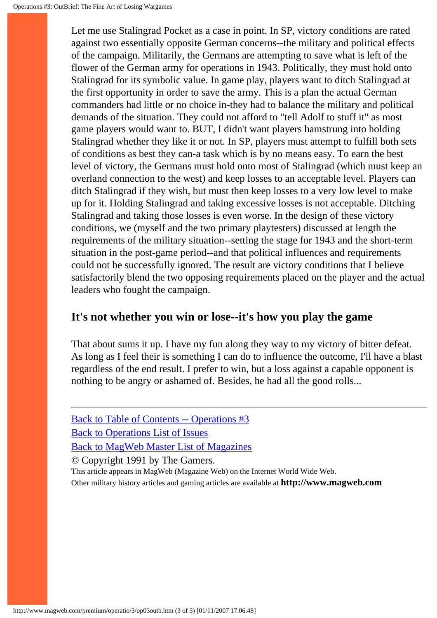Let me use Stalingrad Pocket as a case in point. In SP, victory conditions are rated against two essentially opposite German concerns--the military and political effects of the campaign. Militarily, the Germans are attempting to save what is left of the flower of the German army for operations in 1943. Politically, they must hold onto Stalingrad for its symbolic value. In game play, players want to ditch Stalingrad at the first opportunity in order to save the army. This is a plan the actual German commanders had little or no choice in-they had to balance the military and political demands of the situation. They could not afford to "tell Adolf to stuff it" as most game players would want to. BUT, I didn't want players hamstrung into holding Stalingrad whether they like it or not. In SP, players must attempt to fulfill both sets of conditions as best they can-a task which is by no means easy. To earn the best level of victory, the Germans must hold onto most of Stalingrad (which must keep an overland connection to the west) and keep losses to an acceptable level. Players can ditch Stalingrad if they wish, but must then keep losses to a very low level to make up for it. Holding Stalingrad and taking excessive losses is not acceptable. Ditching Stalingrad and taking those losses is even worse. In the design of these victory conditions, we (myself and the two primary playtesters) discussed at length the requirements of the military situation--setting the stage for 1943 and the short-term situation in the post-game period--and that political influences and requirements could not be successfully ignored. The result are victory conditions that I believe satisfactorily blend the two opposing requirements placed on the player and the actual leaders who fought the campaign.

## **It's not whether you win or lose--it's how you play the game**

That about sums it up. I have my fun along they way to my victory of bitter defeat. As long as I feel their is something I can do to influence the outcome, I'll have a blast regardless of the end result. I prefer to win, but a loss against a capable opponent is nothing to be angry or ashamed of. Besides, he had all the good rolls...

[Back to Table of Contents -- Operations #3](#page-0-0) [Back to Operations List of Issues](http://www.magweb.com/premium/operatio/operiss.htm) [Back to MagWeb Master List of Magazines](http://www.magweb.com/premium/maglist.htm)

© Copyright 1991 by The Gamers.

This article appears in MagWeb (Magazine Web) on the Internet World Wide Web.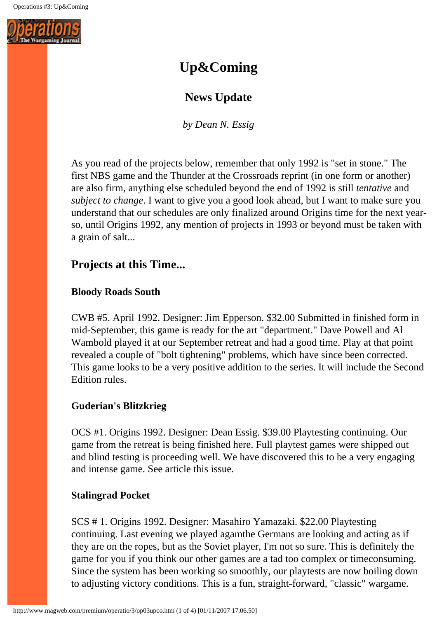

# **Up&Coming**

# **News Update**

*by Dean N. Essig*

As you read of the projects below, remember that only 1992 is "set in stone." The first NBS game and the Thunder at the Crossroads reprint (in one form or another) are also firm, anything else scheduled beyond the end of 1992 is still *tentative* and *subject to change*. I want to give you a good look ahead, but I want to make sure you understand that our schedules are only finalized around Origins time for the next yearso, until Origins 1992, any mention of projects in 1993 or beyond must be taken with a grain of salt...

## **Projects at this Time...**

## **Bloody Roads South**

CWB #5. April 1992. Designer: Jim Epperson. \$32.00 Submitted in finished form in mid-September, this game is ready for the art "department." Dave Powell and Al Wambold played it at our September retreat and had a good time. Play at that point revealed a couple of "bolt tightening" problems, which have since been corrected. This game looks to be a very positive addition to the series. It will include the Second Edition rules.

## **Guderian's Blitzkrieg**

OCS #1. Origins 1992. Designer: Dean Essig. \$39.00 Playtesting continuing. Our game from the retreat is being finished here. Full playtest games were shipped out and blind testing is proceeding well. We have discovered this to be a very engaging and intense game. See article this issue.

#### **Stalingrad Pocket**

SCS # 1. Origins 1992. Designer: Masahiro Yamazaki. \$22.00 Playtesting continuing. Last evening we played agamthe Germans are looking and acting as if they are on the ropes, but as the Soviet player, I'm not so sure. This is definitely the game for you if you think our other games are a tad too complex or timeconsuming. Since the system has been working so smoothly, our playtests are now boiling down to adjusting victory conditions. This is a fun, straight-forward, "classic" wargame.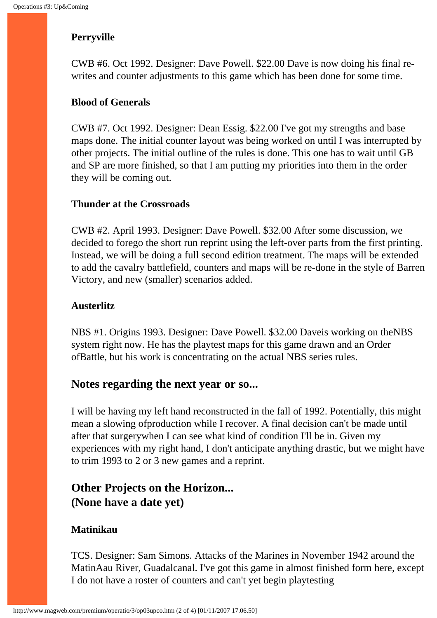### **Perryville**

CWB #6. Oct 1992. Designer: Dave Powell. \$22.00 Dave is now doing his final rewrites and counter adjustments to this game which has been done for some time.

#### **Blood of Generals**

CWB #7. Oct 1992. Designer: Dean Essig. \$22.00 I've got my strengths and base maps done. The initial counter layout was being worked on until I was interrupted by other projects. The initial outline of the rules is done. This one has to wait until GB and SP are more finished, so that I am putting my priorities into them in the order they will be coming out.

#### **Thunder at the Crossroads**

CWB #2. April 1993. Designer: Dave Powell. \$32.00 After some discussion, we decided to forego the short run reprint using the left-over parts from the first printing. Instead, we will be doing a full second edition treatment. The maps will be extended to add the cavalry battlefield, counters and maps will be re-done in the style of Barren Victory, and new (smaller) scenarios added.

#### **Austerlitz**

NBS #1. Origins 1993. Designer: Dave Powell. \$32.00 Daveis working on theNBS system right now. He has the playtest maps for this game drawn and an Order ofBattle, but his work is concentrating on the actual NBS series rules.

## **Notes regarding the next year or so...**

I will be having my left hand reconstructed in the fall of 1992. Potentially, this might mean a slowing ofproduction while I recover. A final decision can't be made until after that surgerywhen I can see what kind of condition I'll be in. Given my experiences with my right hand, I don't anticipate anything drastic, but we might have to trim 1993 to 2 or 3 new games and a reprint.

# **Other Projects on the Horizon... (None have a date yet)**

#### **Matinikau**

TCS. Designer: Sam Simons. Attacks of the Marines in November 1942 around the MatinAau River, Guadalcanal. I've got this game in almost finished form here, except I do not have a roster of counters and can't yet begin playtesting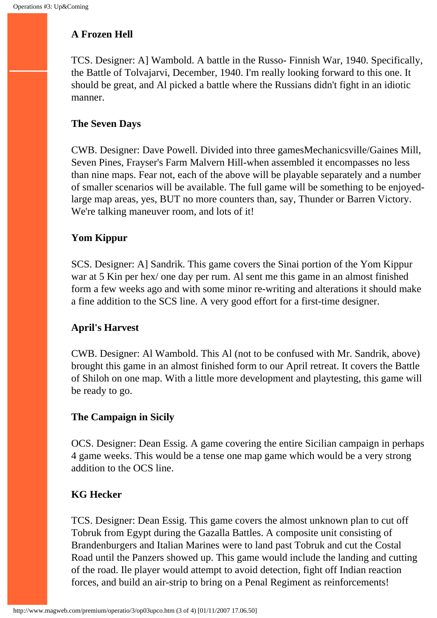## **A Frozen Hell**

TCS. Designer: A] Wambold. A battle in the Russo- Finnish War, 1940. Specifically, the Battle of Tolvajarvi, December, 1940. I'm really looking forward to this one. It should be great, and Al picked a battle where the Russians didn't fight in an idiotic manner.

## **The Seven Days**

CWB. Designer: Dave Powell. Divided into three gamesMechanicsville/Gaines Mill, Seven Pines, Frayser's Farm Malvern Hill-when assembled it encompasses no less than nine maps. Fear not, each of the above will be playable separately and a number of smaller scenarios will be available. The full game will be something to be enjoyedlarge map areas, yes, BUT no more counters than, say, Thunder or Barren Victory. We're talking maneuver room, and lots of it!

## **Yom Kippur**

SCS. Designer: A] Sandrik. This game covers the Sinai portion of the Yom Kippur war at 5 Kin per hex/ one day per rum. Al sent me this game in an almost finished form a few weeks ago and with some minor re-writing and alterations it should make a fine addition to the SCS line. A very good effort for a first-time designer.

## **April's Harvest**

CWB. Designer: Al Wambold. This Al (not to be confused with Mr. Sandrik, above) brought this game in an almost finished form to our April retreat. It covers the Battle of Shiloh on one map. With a little more development and playtesting, this game will be ready to go.

## **The Campaign in Sicily**

OCS. Designer: Dean Essig. A game covering the entire Sicilian campaign in perhaps 4 game weeks. This would be a tense one map game which would be a very strong addition to the OCS line.

## **KG Hecker**

TCS. Designer: Dean Essig. This game covers the almost unknown plan to cut off Tobruk from Egypt during the Gazalla Battles. A composite unit consisting of Brandenburgers and Italian Marines were to land past Tobruk and cut the Costal Road until the Panzers showed up. This game would include the landing and cutting of the road. Ile player would attempt to avoid detection, fight off Indian reaction forces, and build an air-strip to bring on a Penal Regiment as reinforcements!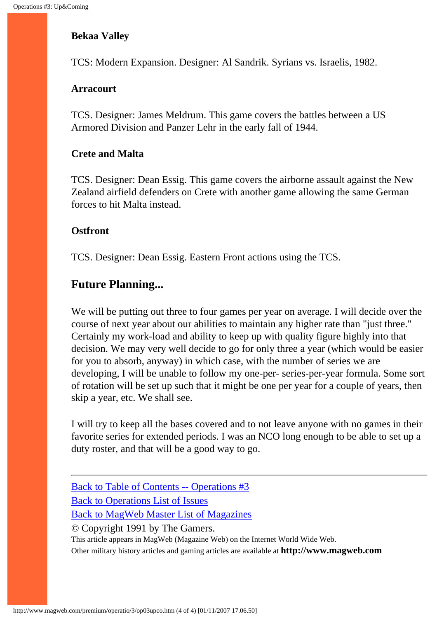#### **Bekaa Valley**

TCS: Modern Expansion. Designer: Al Sandrik. Syrians vs. Israelis, 1982.

#### **Arracourt**

TCS. Designer: James Meldrum. This game covers the battles between a US Armored Division and Panzer Lehr in the early fall of 1944.

#### **Crete and Malta**

TCS. Designer: Dean Essig. This game covers the airborne assault against the New Zealand airfield defenders on Crete with another game allowing the same German forces to hit Malta instead.

#### **Ostfront**

TCS. Designer: Dean Essig. Eastern Front actions using the TCS.

## **Future Planning...**

We will be putting out three to four games per year on average. I will decide over the course of next year about our abilities to maintain any higher rate than "just three." Certainly my work-load and ability to keep up with quality figure highly into that decision. We may very well decide to go for only three a year (which would be easier for you to absorb, anyway) in which case, with the number of series we are developing, I will be unable to follow my one-per- series-per-year formula. Some sort of rotation will be set up such that it might be one per year for a couple of years, then skip a year, etc. We shall see.

I will try to keep all the bases covered and to not leave anyone with no games in their favorite series for extended periods. I was an NCO long enough to be able to set up a duty roster, and that will be a good way to go.

© Copyright 1991 by The Gamers.

This article appears in MagWeb (Magazine Web) on the Internet World Wide Web. Other military history articles and gaming articles are available at **http://www.magweb.com**

[Back to Table of Contents -- Operations #3](#page-0-0) [Back to Operations List of Issues](http://www.magweb.com/premium/operatio/operiss.htm) [Back to MagWeb Master List of Magazines](http://www.magweb.com/premium/maglist.htm)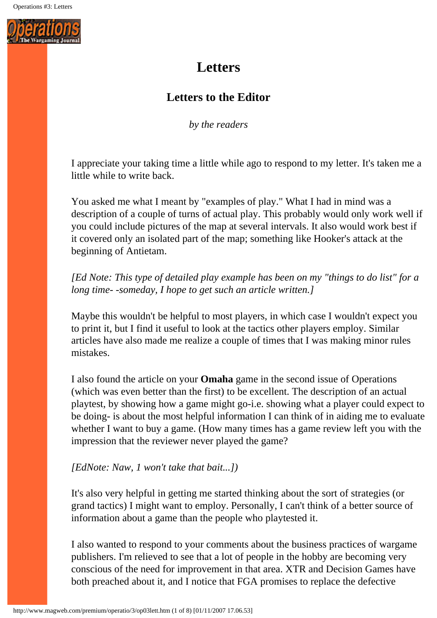

# **Letters**

# **Letters to the Editor**

*by the readers* 

I appreciate your taking time a little while ago to respond to my letter. It's taken me a little while to write back.

You asked me what I meant by "examples of play." What I had in mind was a description of a couple of turns of actual play. This probably would only work well if you could include pictures of the map at several intervals. It also would work best if it covered only an isolated part of the map; something like Hooker's attack at the beginning of Antietam.

*[Ed Note: This type of detailed play example has been on my "things to do list" for a long time- -someday, I hope to get such an article written.]*

Maybe this wouldn't be helpful to most players, in which case I wouldn't expect you to print it, but I find it useful to look at the tactics other players employ. Similar articles have also made me realize a couple of times that I was making minor rules mistakes.

I also found the article on your **Omaha** game in the second issue of Operations (which was even better than the first) to be excellent. The description of an actual playtest, by showing how a game might go-i.e. showing what a player could expect to be doing- is about the most helpful information I can think of in aiding me to evaluate whether I want to buy a game. (How many times has a game review left you with the impression that the reviewer never played the game?

#### *[EdNote: Naw, 1 won't take that bait...])*

It's also very helpful in getting me started thinking about the sort of strategies (or grand tactics) I might want to employ. Personally, I can't think of a better source of information about a game than the people who playtested it.

I also wanted to respond to your comments about the business practices of wargame publishers. I'm relieved to see that a lot of people in the hobby are becoming very conscious of the need for improvement in that area. XTR and Decision Games have both preached about it, and I notice that FGA promises to replace the defective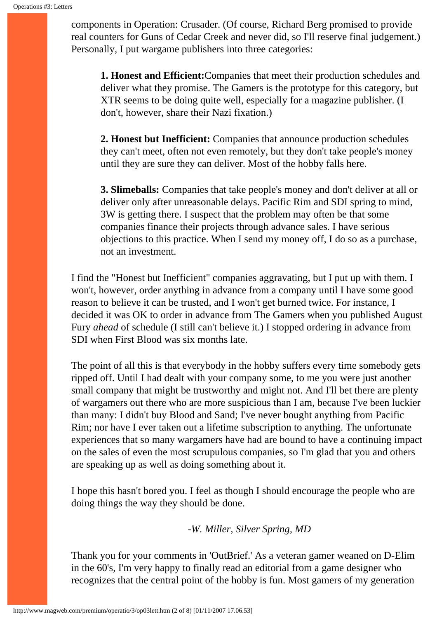components in Operation: Crusader. (Of course, Richard Berg promised to provide real counters for Guns of Cedar Creek and never did, so I'll reserve final judgement.) Personally, I put wargame publishers into three categories:

**1. Honest and Efficient:**Companies that meet their production schedules and deliver what they promise. The Gamers is the prototype for this category, but XTR seems to be doing quite well, especially for a magazine publisher. (I don't, however, share their Nazi fixation.)

**2. Honest but Inefficient:** Companies that announce production schedules they can't meet, often not even remotely, but they don't take people's money until they are sure they can deliver. Most of the hobby falls here.

**3. Slimeballs:** Companies that take people's money and don't deliver at all or deliver only after unreasonable delays. Pacific Rim and SDI spring to mind, 3W is getting there. I suspect that the problem may often be that some companies finance their projects through advance sales. I have serious objections to this practice. When I send my money off, I do so as a purchase, not an investment.

I find the "Honest but Inefficient" companies aggravating, but I put up with them. I won't, however, order anything in advance from a company until I have some good reason to believe it can be trusted, and I won't get burned twice. For instance, I decided it was OK to order in advance from The Gamers when you published August Fury *ahead* of schedule (I still can't believe it.) I stopped ordering in advance from SDI when First Blood was six months late.

The point of all this is that everybody in the hobby suffers every time somebody gets ripped off. Until I had dealt with your company some, to me you were just another small company that might be trustworthy and might not. And I'll bet there are plenty of wargamers out there who are more suspicious than I am, because I've been luckier than many: I didn't buy Blood and Sand; I've never bought anything from Pacific Rim; nor have I ever taken out a lifetime subscription to anything. The unfortunate experiences that so many wargamers have had are bound to have a continuing impact on the sales of even the most scrupulous companies, so I'm glad that you and others are speaking up as well as doing something about it.

I hope this hasn't bored you. I feel as though I should encourage the people who are doing things the way they should be done.

*-W. Miller, Silver Spring, MD*

Thank you for your comments in 'OutBrief.' As a veteran gamer weaned on D-Elim in the 60's, I'm very happy to finally read an editorial from a game designer who recognizes that the central point of the hobby is fun. Most gamers of my generation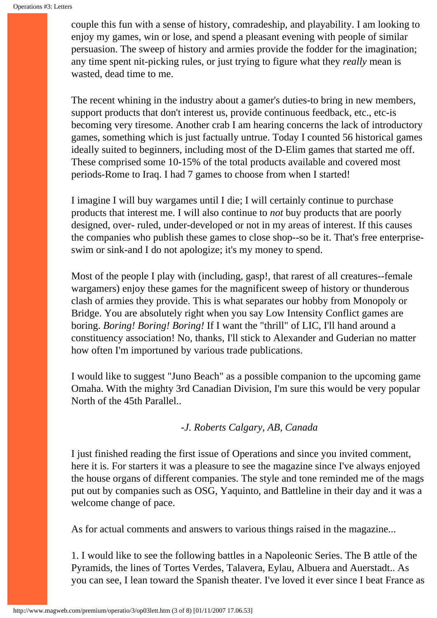couple this fun with a sense of history, comradeship, and playability. I am looking to enjoy my games, win or lose, and spend a pleasant evening with people of similar persuasion. The sweep of history and armies provide the fodder for the imagination; any time spent nit-picking rules, or just trying to figure what they *really* mean is wasted, dead time to me.

The recent whining in the industry about a gamer's duties-to bring in new members, support products that don't interest us, provide continuous feedback, etc., etc-is becoming very tiresome. Another crab I am hearing concerns the lack of introductory games, something which is just factually untrue. Today I counted 56 historical games ideally suited to beginners, including most of the D-Elim games that started me off. These comprised some 10-15% of the total products available and covered most periods-Rome to Iraq. I had 7 games to choose from when I started!

I imagine I will buy wargames until I die; I will certainly continue to purchase products that interest me. I will also continue to *not* buy products that are poorly designed, over- ruled, under-developed or not in my areas of interest. If this causes the companies who publish these games to close shop--so be it. That's free enterpriseswim or sink-and I do not apologize; it's my money to spend.

Most of the people I play with (including, gasp!, that rarest of all creatures--female wargamers) enjoy these games for the magnificent sweep of history or thunderous clash of armies they provide. This is what separates our hobby from Monopoly or Bridge. You are absolutely right when you say Low Intensity Conflict games are boring. *Boring! Boring! Boring!* If I want the "thrill" of LIC, I'll hand around a constituency association! No, thanks, I'll stick to Alexander and Guderian no matter how often I'm importuned by various trade publications.

I would like to suggest "Juno Beach" as a possible companion to the upcoming game Omaha. With the mighty 3rd Canadian Division, I'm sure this would be very popular North of the 45th Parallel..

#### *-J. Roberts Calgary, AB, Canada*

I just finished reading the first issue of Operations and since you invited comment, here it is. For starters it was a pleasure to see the magazine since I've always enjoyed the house organs of different companies. The style and tone reminded me of the mags put out by companies such as OSG, Yaquinto, and Battleline in their day and it was a welcome change of pace.

As for actual comments and answers to various things raised in the magazine...

1. I would like to see the following battles in a Napoleonic Series. The B attle of the Pyramids, the lines of Tortes Verdes, Talavera, Eylau, Albuera and Auerstadt.. As you can see, I lean toward the Spanish theater. I've loved it ever since I beat France as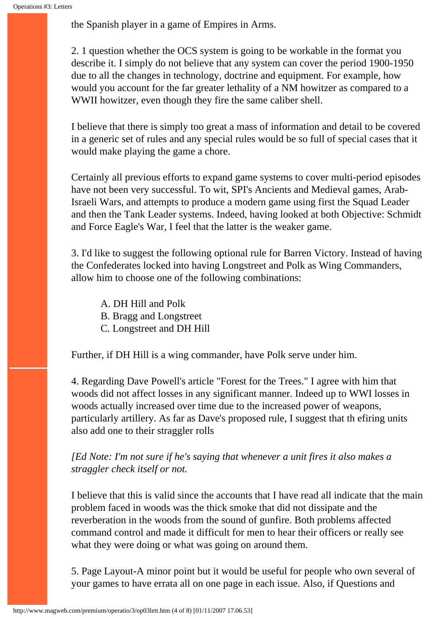the Spanish player in a game of Empires in Arms.

2. 1 question whether the OCS system is going to be workable in the format you describe it. I simply do not believe that any system can cover the period 1900-1950 due to all the changes in technology, doctrine and equipment. For example, how would you account for the far greater lethality of a NM howitzer as compared to a WWII howitzer, even though they fire the same caliber shell.

I believe that there is simply too great a mass of information and detail to be covered in a generic set of rules and any special rules would be so full of special cases that it would make playing the game a chore.

Certainly all previous efforts to expand game systems to cover multi-period episodes have not been very successful. To wit, SPI's Ancients and Medieval games, Arab-Israeli Wars, and attempts to produce a modern game using first the Squad Leader and then the Tank Leader systems. Indeed, having looked at both Objective: Schmidt and Force Eagle's War, I feel that the latter is the weaker game.

3. I'd like to suggest the following optional rule for Barren Victory. Instead of having the Confederates locked into having Longstreet and Polk as Wing Commanders, allow him to choose one of the following combinations:

A. DH Hill and Polk B. Bragg and Longstreet C. Longstreet and DH Hill

Further, if DH Hill is a wing commander, have Polk serve under him.

4. Regarding Dave Powell's article "Forest for the Trees." I agree with him that woods did not affect losses in any significant manner. Indeed up to WWI losses in woods actually increased over time due to the increased power of weapons, particularly artillery. As far as Dave's proposed rule, I suggest that th efiring units also add one to their straggler rolls

## *[Ed Note: I'm not sure if he's saying that whenever a unit fires it also makes a straggler check itself or not.*

I believe that this is valid since the accounts that I have read all indicate that the main problem faced in woods was the thick smoke that did not dissipate and the reverberation in the woods from the sound of gunfire. Both problems affected command control and made it difficult for men to hear their officers or really see what they were doing or what was going on around them.

5. Page Layout-A minor point but it would be useful for people who own several of your games to have errata all on one page in each issue. Also, if Questions and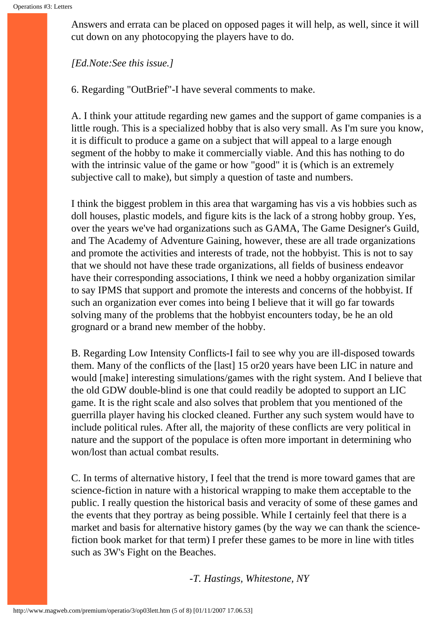Answers and errata can be placed on opposed pages it will help, as well, since it will cut down on any photocopying the players have to do.

#### *[Ed.Note:See this issue.]*

6. Regarding "OutBrief"-I have several comments to make.

A. I think your attitude regarding new games and the support of game companies is a little rough. This is a specialized hobby that is also very small. As I'm sure you know, it is difficult to produce a game on a subject that will appeal to a large enough segment of the hobby to make it commercially viable. And this has nothing to do with the intrinsic value of the game or how "good" it is (which is an extremely subjective call to make), but simply a question of taste and numbers.

I think the biggest problem in this area that wargaming has vis a vis hobbies such as doll houses, plastic models, and figure kits is the lack of a strong hobby group. Yes, over the years we've had organizations such as GAMA, The Game Designer's Guild, and The Academy of Adventure Gaining, however, these are all trade organizations and promote the activities and interests of trade, not the hobbyist. This is not to say that we should not have these trade organizations, all fields of business endeavor have their corresponding associations, I think we need a hobby organization similar to say IPMS that support and promote the interests and concerns of the hobbyist. If such an organization ever comes into being I believe that it will go far towards solving many of the problems that the hobbyist encounters today, be he an old grognard or a brand new member of the hobby.

B. Regarding Low Intensity Conflicts-I fail to see why you are ill-disposed towards them. Many of the conflicts of the [last] 15 or20 years have been LIC in nature and would [make] interesting simulations/games with the right system. And I believe that the old GDW double-blind is one that could readily be adopted to support an LIC game. It is the right scale and also solves that problem that you mentioned of the guerrilla player having his clocked cleaned. Further any such system would have to include political rules. After all, the majority of these conflicts are very political in nature and the support of the populace is often more important in determining who won/lost than actual combat results.

C. In terms of alternative history, I feel that the trend is more toward games that are science-fiction in nature with a historical wrapping to make them acceptable to the public. I really question the historical basis and veracity of some of these games and the events that they portray as being possible. While I certainly feel that there is a market and basis for alternative history games (by the way we can thank the sciencefiction book market for that term) I prefer these games to be more in line with titles such as 3W's Fight on the Beaches.

-*T. Hastings, Whitestone, NY*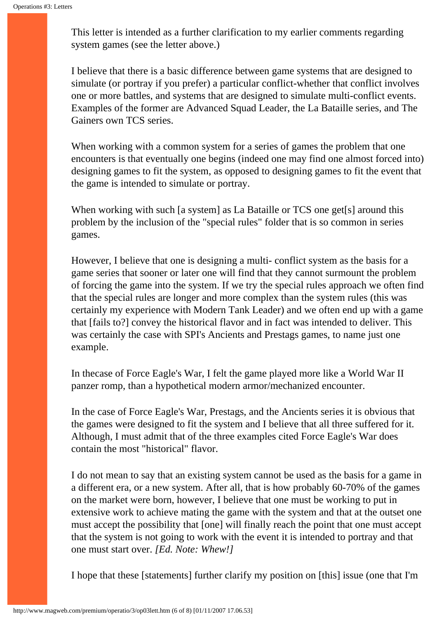This letter is intended as a further clarification to my earlier comments regarding system games (see the letter above.)

I believe that there is a basic difference between game systems that are designed to simulate (or portray if you prefer) a particular conflict-whether that conflict involves one or more battles, and systems that are designed to simulate multi-conflict events. Examples of the former are Advanced Squad Leader, the La Bataille series, and The Gainers own TCS series.

When working with a common system for a series of games the problem that one encounters is that eventually one begins (indeed one may find one almost forced into) designing games to fit the system, as opposed to designing games to fit the event that the game is intended to simulate or portray.

When working with such [a system] as La Bataille or TCS one get<sup>[s]</sup> around this problem by the inclusion of the "special rules" folder that is so common in series games.

However, I believe that one is designing a multi- conflict system as the basis for a game series that sooner or later one will find that they cannot surmount the problem of forcing the game into the system. If we try the special rules approach we often find that the special rules are longer and more complex than the system rules (this was certainly my experience with Modern Tank Leader) and we often end up with a game that [fails to?] convey the historical flavor and in fact was intended to deliver. This was certainly the case with SPI's Ancients and Prestags games, to name just one example.

In thecase of Force Eagle's War, I felt the game played more like a World War II panzer romp, than a hypothetical modern armor/mechanized encounter.

In the case of Force Eagle's War, Prestags, and the Ancients series it is obvious that the games were designed to fit the system and I believe that all three suffered for it. Although, I must admit that of the three examples cited Force Eagle's War does contain the most "historical" flavor.

I do not mean to say that an existing system cannot be used as the basis for a game in a different era, or a new system. After all, that is how probably 60-70% of the games on the market were born, however, I believe that one must be working to put in extensive work to achieve mating the game with the system and that at the outset one must accept the possibility that [one] will finally reach the point that one must accept that the system is not going to work with the event it is intended to portray and that one must start over. *[Ed. Note: Whew!]*

I hope that these [statements] further clarify my position on [this] issue (one that I'm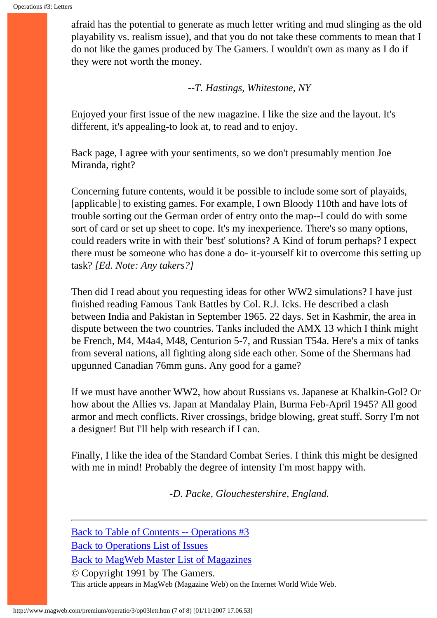afraid has the potential to generate as much letter writing and mud slinging as the old playability vs. realism issue), and that you do not take these comments to mean that I do not like the games produced by The Gamers. I wouldn't own as many as I do if they were not worth the money.

-*-T. Hastings, Whitestone, NY*

Enjoyed your first issue of the new magazine. I like the size and the layout. It's different, it's appealing-to look at, to read and to enjoy.

Back page, I agree with your sentiments, so we don't presumably mention Joe Miranda, right?

Concerning future contents, would it be possible to include some sort of playaids, [applicable] to existing games. For example, I own Bloody 110th and have lots of trouble sorting out the German order of entry onto the map--I could do with some sort of card or set up sheet to cope. It's my inexperience. There's so many options, could readers write in with their 'best' solutions? A Kind of forum perhaps? I expect there must be someone who has done a do- it-yourself kit to overcome this setting up task? *[Ed. Note: Any takers?]*

Then did I read about you requesting ideas for other WW2 simulations? I have just finished reading Famous Tank Battles by Col. R.J. Icks. He described a clash between India and Pakistan in September 1965. 22 days. Set in Kashmir, the area in dispute between the two countries. Tanks included the AMX 13 which I think might be French, M4, M4a4, M48, Centurion 5-7, and Russian T54a. Here's a mix of tanks from several nations, all fighting along side each other. Some of the Shermans had upgunned Canadian 76mm guns. Any good for a game?

If we must have another WW2, how about Russians vs. Japanese at Khalkin-Gol? Or how about the Allies vs. Japan at Mandalay Plain, Burma Feb-April 1945? All good armor and mech conflicts. River crossings, bridge blowing, great stuff. Sorry I'm not a designer! But I'll help with research if I can.

Finally, I like the idea of the Standard Combat Series. I think this might be designed with me in mind! Probably the degree of intensity I'm most happy with.

*-D. Packe, Glouchestershire, England.*

[Back to Table of Contents -- Operations #3](#page-0-0) [Back to Operations List of Issues](http://www.magweb.com/premium/operatio/operiss.htm) [Back to MagWeb Master List of Magazines](http://www.magweb.com/premium/maglist.htm) © Copyright 1991 by The Gamers.

This article appears in MagWeb (Magazine Web) on the Internet World Wide Web.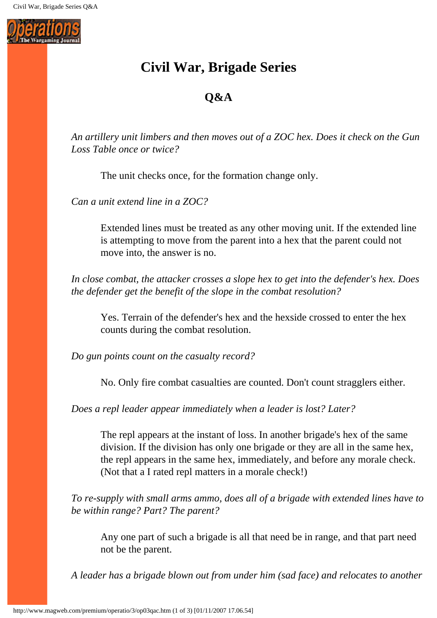

# **Civil War, Brigade Series**

# **Q&A**

*An artillery unit limbers and then moves out of a ZOC hex. Does it check on the Gun Loss Table once or twice?* 

The unit checks once, for the formation change only.

*Can a unit extend line in a ZOC?* 

Extended lines must be treated as any other moving unit. If the extended line is attempting to move from the parent into a hex that the parent could not move into, the answer is no.

*In close combat, the attacker crosses a slope hex to get into the defender's hex. Does the defender get the benefit of the slope in the combat resolution?* 

Yes. Terrain of the defender's hex and the hexside crossed to enter the hex counts during the combat resolution.

*Do gun points count on the casualty record?* 

No. Only fire combat casualties are counted. Don't count stragglers either.

*Does a repl leader appear immediately when a leader is lost? Later?* 

The repl appears at the instant of loss. In another brigade's hex of the same division. If the division has only one brigade or they are all in the same hex, the repl appears in the same hex, immediately, and before any morale check. (Not that a I rated repl matters in a morale check!)

*To re-supply with small arms ammo, does all of a brigade with extended lines have to be within range? Part? The parent?* 

Any one part of such a brigade is all that need be in range, and that part need not be the parent.

*A leader has a brigade blown out from under him (sad face) and relocates to another*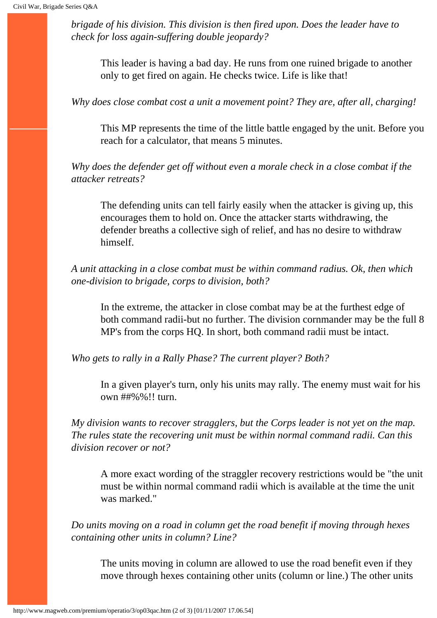*brigade of his division. This division is then fired upon. Does the leader have to check for loss again-suffering double jeopardy?* 

This leader is having a bad day. He runs from one ruined brigade to another only to get fired on again. He checks twice. Life is like that!

*Why does close combat cost a unit a movement point? They are, after all, charging!* 

This MP represents the time of the little battle engaged by the unit. Before you reach for a calculator, that means 5 minutes.

*Why does the defender get off without even a morale check in a close combat if the attacker retreats?* 

The defending units can tell fairly easily when the attacker is giving up, this encourages them to hold on. Once the attacker starts withdrawing, the defender breaths a collective sigh of relief, and has no desire to withdraw himself.

*A unit attacking in a close combat must be within command radius. Ok, then which one-division to brigade, corps to division, both?* 

In the extreme, the attacker in close combat may be at the furthest edge of both command radii-but no further. The division cornmander may be the full 8 MP's from the corps HQ. In short, both command radii must be intact.

*Who gets to rally in a Rally Phase? The current player? Both?* 

In a given player's turn, only his units may rally. The enemy must wait for his own ##%%!! turn.

*My division wants to recover stragglers, but the Corps leader is not yet on the map. The rules state the recovering unit must be within normal command radii. Can this division recover or not?* 

A more exact wording of the straggler recovery restrictions would be "the unit must be within normal command radii which is available at the time the unit was marked."

*Do units moving on a road in column get the road benefit if moving through hexes containing other units in column? Line?* 

The units moving in column are allowed to use the road benefit even if they move through hexes containing other units (column or line.) The other units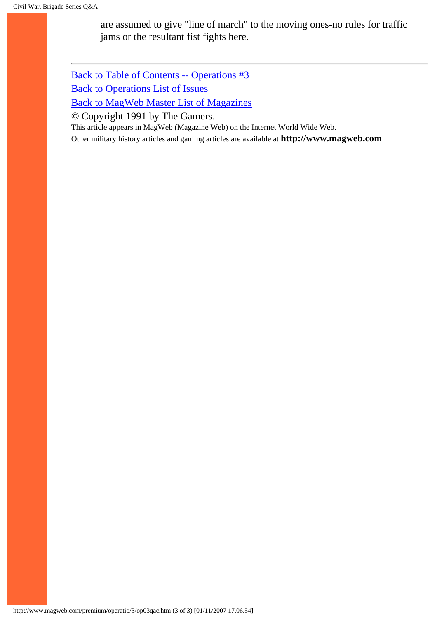are assumed to give "line of march" to the moving ones-no rules for traffic jams or the resultant fist fights here.

[Back to Table of Contents -- Operations #3](#page-0-0) [Back to Operations List of Issues](http://www.magweb.com/premium/operatio/operiss.htm) [Back to MagWeb Master List of Magazines](http://www.magweb.com/premium/maglist.htm)

© Copyright 1991 by The Gamers.

This article appears in MagWeb (Magazine Web) on the Internet World Wide Web. Other military history articles and gaming articles are available at **http://www.magweb.com**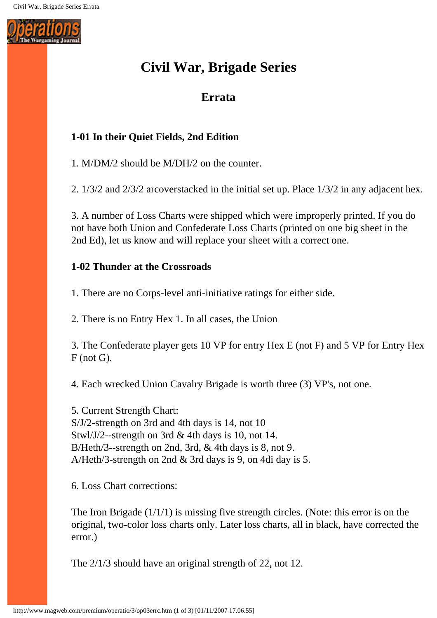

# **Civil War, Brigade Series**

# **Errata**

## **1-01 In their Quiet Fields, 2nd Edition**

1. M/DM/2 should be M/DH/2 on the counter.

2. 1/3/2 and 2/3/2 arcoverstacked in the initial set up. Place 1/3/2 in any adjacent hex.

3. A number of Loss Charts were shipped which were improperly printed. If you do not have both Union and Confederate Loss Charts (printed on one big sheet in the 2nd Ed), let us know and will replace your sheet with a correct one.

## **1-02 Thunder at the Crossroads**

1. There are no Corps-level anti-initiative ratings for either side.

2. There is no Entry Hex 1. In all cases, the Union

3. The Confederate player gets 10 VP for entry Hex E (not F) and 5 VP for Entry Hex F (not G).

4. Each wrecked Union Cavalry Brigade is worth three (3) VP's, not one.

5. Current Strength Chart: S/J/2-strength on 3rd and 4th days is 14, not 10 Stwl/J/2--strength on 3rd & 4th days is 10, not 14. B/Heth/3--strength on 2nd, 3rd, & 4th days is 8, not 9. A/Heth/3-strength on 2nd & 3rd days is 9, on 4di day is 5.

6. Loss Chart corrections:

The Iron Brigade  $(1/1/1)$  is missing five strength circles. (Note: this error is on the original, two-color loss charts only. Later loss charts, all in black, have corrected the error.)

The 2/1/3 should have an original strength of 22, not 12.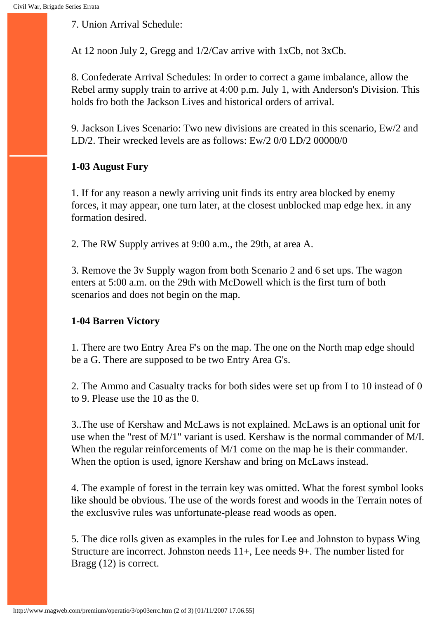7. Union Arrival Schedule:

At 12 noon July 2, Gregg and 1/2/Cav arrive with 1xCb, not 3xCb.

8. Confederate Arrival Schedules: In order to correct a game imbalance, allow the Rebel army supply train to arrive at 4:00 p.m. July 1, with Anderson's Division. This holds fro both the Jackson Lives and historical orders of arrival.

9. Jackson Lives Scenario: Two new divisions are created in this scenario, Ew/2 and LD/2. Their wrecked levels are as follows: Ew/2 0/0 LD/2 00000/0

## **1-03 August Fury**

1. If for any reason a newly arriving unit finds its entry area blocked by enemy forces, it may appear, one turn later, at the closest unblocked map edge hex. in any formation desired.

2. The RW Supply arrives at 9:00 a.m., the 29th, at area A.

3. Remove the 3v Supply wagon from both Scenario 2 and 6 set ups. The wagon enters at 5:00 a.m. on the 29th with McDowell which is the first turn of both scenarios and does not begin on the map.

## **1-04 Barren Victory**

1. There are two Entry Area F's on the map. The one on the North map edge should be a G. There are supposed to be two Entry Area G's.

2. The Ammo and Casualty tracks for both sides were set up from I to 10 instead of 0 to 9. Please use the 10 as the 0.

3..The use of Kershaw and McLaws is not explained. McLaws is an optional unit for use when the "rest of M/1" variant is used. Kershaw is the normal commander of M/I. When the regular reinforcements of M/1 come on the map he is their commander. When the option is used, ignore Kershaw and bring on McLaws instead.

4. The example of forest in the terrain key was omitted. What the forest symbol looks like should be obvious. The use of the words forest and woods in the Terrain notes of the exclusvive rules was unfortunate-please read woods as open.

5. The dice rolls given as examples in the rules for Lee and Johnston to bypass Wing Structure are incorrect. Johnston needs 11+, Lee needs 9+. The number listed for Bragg (12) is correct.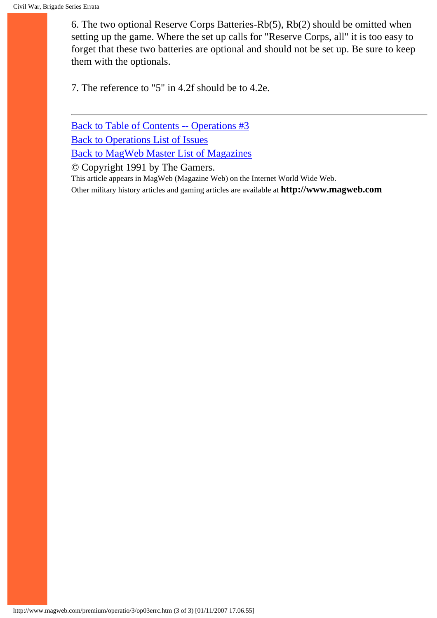6. The two optional Reserve Corps Batteries-Rb(5), Rb(2) should be omitted when setting up the game. Where the set up calls for "Reserve Corps, all" it is too easy to forget that these two batteries are optional and should not be set up. Be sure to keep them with the optionals.

7. The reference to "5" in 4.2f should be to 4.2e.

[Back to Table of Contents -- Operations #3](#page-0-0) [Back to Operations List of Issues](http://www.magweb.com/premium/operatio/operiss.htm) [Back to MagWeb Master List of Magazines](http://www.magweb.com/premium/maglist.htm)

© Copyright 1991 by The Gamers.

This article appears in MagWeb (Magazine Web) on the Internet World Wide Web.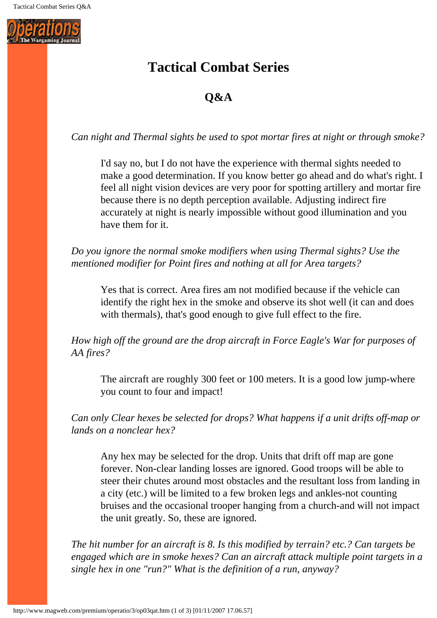

# **Tactical Combat Series**

# **Q&A**

*Can night and Thermal sights be used to spot mortar fires at night or through smoke?* 

I'd say no, but I do not have the experience with thermal sights needed to make a good determination. If you know better go ahead and do what's right. I feel all night vision devices are very poor for spotting artillery and mortar fire because there is no depth perception available. Adjusting indirect fire accurately at night is nearly impossible without good illumination and you have them for it.

*Do you ignore the normal smoke modifiers when using Thermal sights? Use the mentioned modifier for Point fires and nothing at all for Area targets?*

Yes that is correct. Area fires am not modified because if the vehicle can identify the right hex in the smoke and observe its shot well (it can and does with thermals), that's good enough to give full effect to the fire.

*How high off the ground are the drop aircraft in Force Eagle's War for purposes of AA fires?*

The aircraft are roughly 300 feet or 100 meters. It is a good low jump-where you count to four and impact!

*Can only Clear hexes be selected for drops? What happens if a unit drifts off-map or lands on a nonclear hex?*

Any hex may be selected for the drop. Units that drift off map are gone forever. Non-clear landing losses are ignored. Good troops will be able to steer their chutes around most obstacles and the resultant loss from landing in a city (etc.) will be limited to a few broken legs and ankles-not counting bruises and the occasional trooper hanging from a church-and will not impact the unit greatly. So, these are ignored.

*The hit number for an aircraft is 8. Is this modified by terrain? etc.? Can targets be engaged which are in smoke hexes? Can an aircraft attack multiple point targets in a single hex in one "run?" What is the definition of a run, anyway?*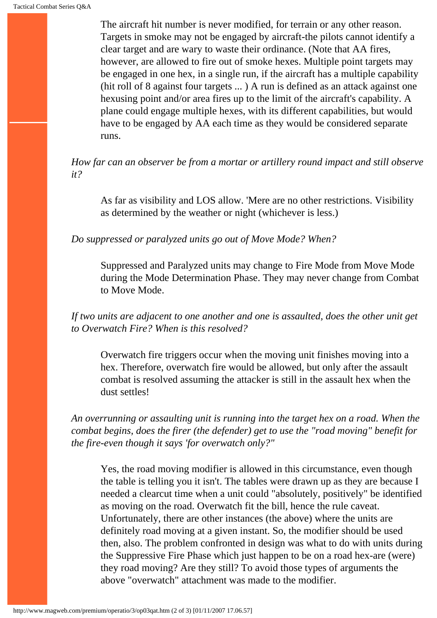The aircraft hit number is never modified, for terrain or any other reason. Targets in smoke may not be engaged by aircraft-the pilots cannot identify a clear target and are wary to waste their ordinance. (Note that AA fires, however, are allowed to fire out of smoke hexes. Multiple point targets may be engaged in one hex, in a single run, if the aircraft has a multiple capability (hit roll of 8 against four targets ... ) A run is defined as an attack against one hexusing point and/or area fires up to the limit of the aircraft's capability. A plane could engage multiple hexes, with its different capabilities, but would have to be engaged by AA each time as they would be considered separate runs.

*How far can an observer be from a mortar or artillery round impact and still observe it?*

As far as visibility and LOS allow. 'Mere are no other restrictions. Visibility as determined by the weather or night (whichever is less.)

*Do suppressed or paralyzed units go out of Move Mode? When?*

Suppressed and Paralyzed units may change to Fire Mode from Move Mode during the Mode Determination Phase. They may never change from Combat to Move Mode.

*If two units are adjacent to one another and one is assaulted, does the other unit get to Overwatch Fire? When is this resolved?*

Overwatch fire triggers occur when the moving unit finishes moving into a hex. Therefore, overwatch fire would be allowed, but only after the assault combat is resolved assuming the attacker is still in the assault hex when the dust settles!

*An overrunning or assaulting unit is running into the target hex on a road. When the combat begins, does the firer (the defender) get to use the "road moving" benefit for the fire-even though it says 'for overwatch only?"*

Yes, the road moving modifier is allowed in this circumstance, even though the table is telling you it isn't. The tables were drawn up as they are because I needed a clearcut time when a unit could "absolutely, positively" be identified as moving on the road. Overwatch fit the bill, hence the rule caveat. Unfortunately, there are other instances (the above) where the units are definitely road moving at a given instant. So, the modifier should be used then, also. The problem confronted in design was what to do with units during the Suppressive Fire Phase which just happen to be on a road hex-are (were) they road moving? Are they still? To avoid those types of arguments the above "overwatch" attachment was made to the modifier.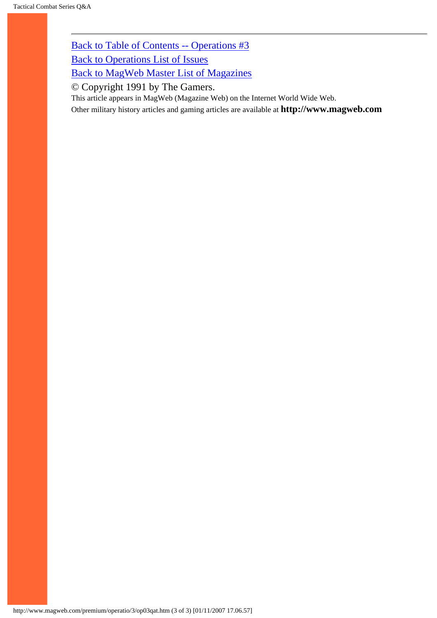[Back to Table of Contents -- Operations #3](#page-0-0)

[Back to Operations List of Issues](http://www.magweb.com/premium/operatio/operiss.htm)

[Back to MagWeb Master List of Magazines](http://www.magweb.com/premium/maglist.htm)

© Copyright 1991 by The Gamers.

This article appears in MagWeb (Magazine Web) on the Internet World Wide Web.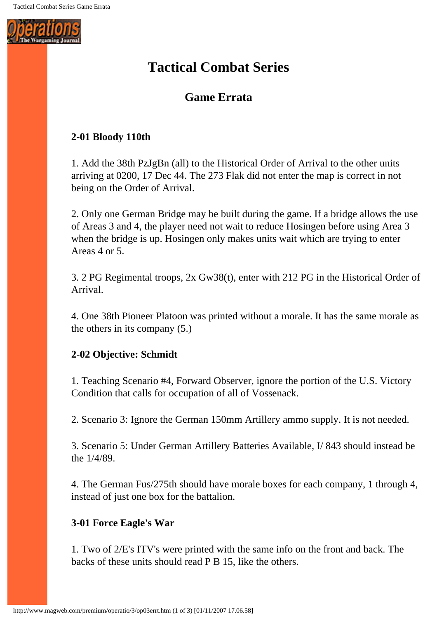

# **Tactical Combat Series**

# **Game Errata**

## **2-01 Bloody 110th**

1. Add the 38th PzJgBn (all) to the Historical Order of Arrival to the other units arriving at 0200, 17 Dec 44. The 273 Flak did not enter the map is correct in not being on the Order of Arrival.

2. Only one German Bridge may be built during the game. If a bridge allows the use of Areas 3 and 4, the player need not wait to reduce Hosingen before using Area 3 when the bridge is up. Hosingen only makes units wait which are trying to enter Areas 4 or 5.

3. 2 PG Regimental troops, 2x Gw38(t), enter with 212 PG in the Historical Order of Arrival.

4. One 38th Pioneer Platoon was printed without a morale. It has the same morale as the others in its company (5.)

## **2-02 Objective: Schmidt**

1. Teaching Scenario #4, Forward Observer, ignore the portion of the U.S. Victory Condition that calls for occupation of all of Vossenack.

2. Scenario 3: Ignore the German 150mm Artillery ammo supply. It is not needed.

3. Scenario 5: Under German Artillery Batteries Available, I/ 843 should instead be the 1/4/89.

4. The German Fus/275th should have morale boxes for each company, 1 through 4, instead of just one box for the battalion.

## **3-01 Force Eagle's War**

1. Two of 2/E's ITV's were printed with the same info on the front and back. The backs of these units should read P B 15, like the others.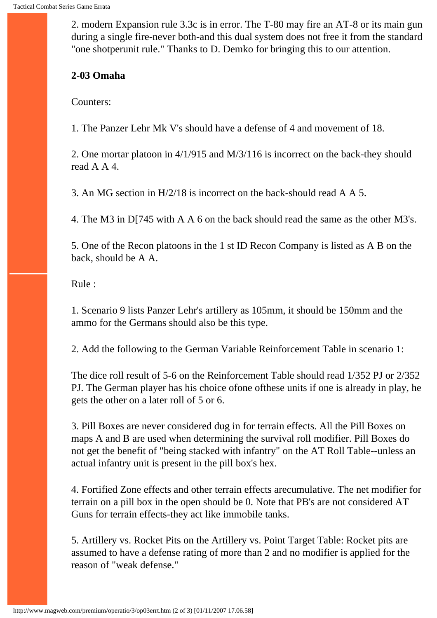2. modern Expansion rule 3.3c is in error. The T-80 may fire an AT-8 or its main gun during a single fire-never both-and this dual system does not free it from the standard "one shotperunit rule." Thanks to D. Demko for bringing this to our attention.

#### **2-03 Omaha**

Counters:

1. The Panzer Lehr Mk V's should have a defense of 4 and movement of 18.

2. One mortar platoon in 4/1/915 and M/3/116 is incorrect on the back-they should read A A 4.

3. An MG section in H/2/18 is incorrect on the back-should read A A 5.

4. The M3 in D[745 with A A 6 on the back should read the same as the other M3's.

5. One of the Recon platoons in the 1 st ID Recon Company is listed as A B on the back, should be A A.

Rule :

1. Scenario 9 lists Panzer Lehr's artillery as 105mm, it should be 150mm and the ammo for the Germans should also be this type.

2. Add the following to the German Variable Reinforcement Table in scenario 1:

The dice roll result of 5-6 on the Reinforcement Table should read 1/352 PJ or 2/352 PJ. The German player has his choice ofone ofthese units if one is already in play, he gets the other on a later roll of 5 or 6.

3. Pill Boxes are never considered dug in for terrain effects. All the Pill Boxes on maps A and B are used when determining the survival roll modifier. Pill Boxes do not get the benefit of "being stacked with infantry" on the AT Roll Table--unless an actual infantry unit is present in the pill box's hex.

4. Fortified Zone effects and other terrain effects arecumulative. The net modifier for terrain on a pill box in the open should be 0. Note that PB's are not considered AT Guns for terrain effects-they act like immobile tanks.

5. Artillery vs. Rocket Pits on the Artillery vs. Point Target Table: Rocket pits are assumed to have a defense rating of more than 2 and no modifier is applied for the reason of "weak defense."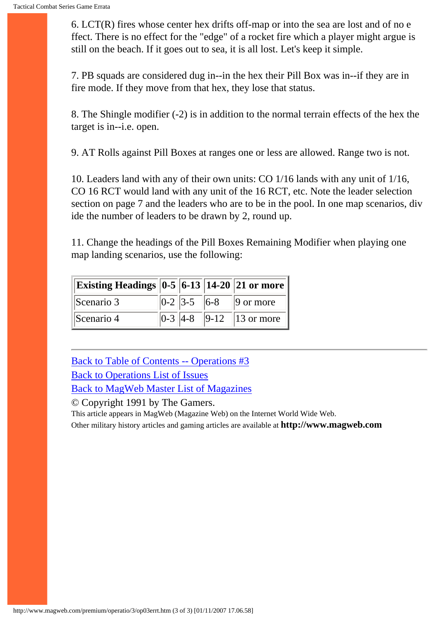6. LCT(R) fires whose center hex drifts off-map or into the sea are lost and of no e ffect. There is no effect for the "edge" of a rocket fire which a player might argue is still on the beach. If it goes out to sea, it is all lost. Let's keep it simple.

7. PB squads are considered dug in--in the hex their Pill Box was in--if they are in fire mode. If they move from that hex, they lose that status.

8. The Shingle modifier (-2) is in addition to the normal terrain effects of the hex the target is in--i.e. open.

9. AT Rolls against Pill Boxes at ranges one or less are allowed. Range two is not.

10. Leaders land with any of their own units: CO 1/16 lands with any unit of 1/16, CO 16 RCT would land with any unit of the 16 RCT, etc. Note the leader selection section on page 7 and the leaders who are to be in the pool. In one map scenarios, div ide the number of leaders to be drawn by 2, round up.

11. Change the headings of the Pill Boxes Remaining Modifier when playing one map landing scenarios, use the following:

| Existing Headings $\boxed{0.5 \, \boxed{6.13} \, \boxed{14.20} \, \boxed{21 \, \text{or} \, \text{more}}}$ |  |                                         |
|------------------------------------------------------------------------------------------------------------|--|-----------------------------------------|
| Scenario 3                                                                                                 |  | $\ 0-2\ $ 3-5 $\ 6-8\ $ 9 or more       |
| Scenario 4                                                                                                 |  | $\ 0-3\ $ 4-8 $\ $ 9-12 $\ $ 13 or more |

[Back to Table of Contents -- Operations #3](#page-0-0) [Back to Operations List of Issues](http://www.magweb.com/premium/operatio/operiss.htm) [Back to MagWeb Master List of Magazines](http://www.magweb.com/premium/maglist.htm)

© Copyright 1991 by The Gamers.

This article appears in MagWeb (Magazine Web) on the Internet World Wide Web.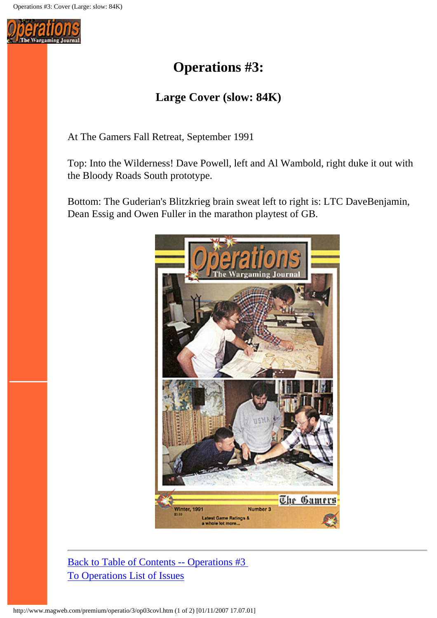

# **Operations #3:**

# **Large Cover (slow: 84K)**

At The Gamers Fall Retreat, September 1991

Top: Into the Wilderness! Dave Powell, left and Al Wambold, right duke it out with the Bloody Roads South prototype.

Bottom: The Guderian's Blitzkrieg brain sweat left to right is: LTC DaveBenjamin, Dean Essig and Owen Fuller in the marathon playtest of GB.



[Back to Table of Contents -- Operations #3](#page-0-0) [To Operations List of Issues](http://www.magweb.com/premium/operatio/operiss.htm)